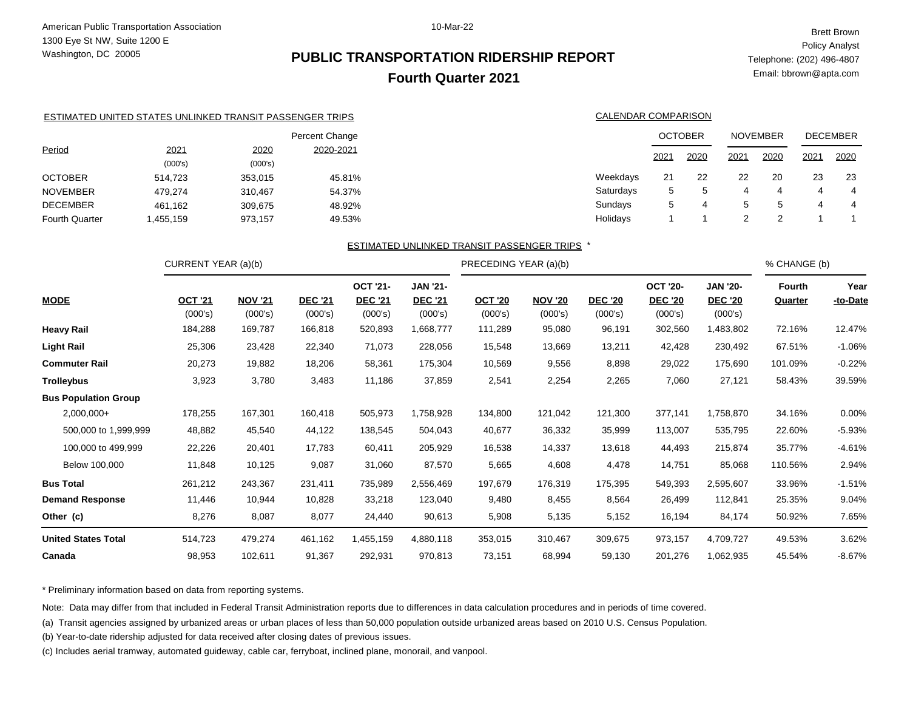## **PUBLIC TRANSPORTATION RIDERSHIP REPORT Fourth Quarter 2021**

Brett Brown Policy Analyst Telephone: (202) 496-4807 Email: bbrown@apta.com

|                       | ESTIMATED UNITED STATES UNLINKED TRANSIT PASSENGER TRIPS |                 |                | CALENDAR COMPARISON                                 |      |                |      |                 |      |                 |
|-----------------------|----------------------------------------------------------|-----------------|----------------|-----------------------------------------------------|------|----------------|------|-----------------|------|-----------------|
|                       |                                                          |                 | Percent Change |                                                     |      | <b>OCTOBER</b> |      | <b>NOVEMBER</b> |      | <b>DECEMBER</b> |
| Period                | 2021<br>(000's)                                          | 2020<br>(000's) | 2020-2021      |                                                     | 2021 | 2020           | 2021 | 2020            | 2021 | 2020            |
| <b>OCTOBER</b>        | 514.723                                                  | 353.015         | 45.81%         | Weekdays                                            | 21   | 22             | 22   | 20              | 23   | -23             |
| <b>NOVEMBER</b>       | 479.274                                                  | 310.467         | 54.37%         | Saturdays                                           | 5    | b              | 4    | 4               | 4    | 4               |
| <b>DECEMBER</b>       | 461,162                                                  | 309,675         | 48.92%         | Sundays                                             | 5    | 4              | 5    | $\mathbf{b}$    | 4    | 4               |
| <b>Fourth Quarter</b> | 1,455,159                                                | 973.157         | 49.53%         | Holidays                                            |      |                | ົ    | 2               |      |                 |
|                       |                                                          |                 |                | <b>ESTIMATED UNLINKED TRANSIT PASSENGER TRIPS *</b> |      |                |      |                 |      |                 |

#### ESTIMATED UNLINKED TRANSIT PASSENGER TRIPS

|                             | CURRENT YEAR (a)(b)       |                           |                           |                                              |                                              | PRECEDING YEAR (a)(b)     |                           |                           |                                              |                                              | % CHANGE (b)                    |                  |
|-----------------------------|---------------------------|---------------------------|---------------------------|----------------------------------------------|----------------------------------------------|---------------------------|---------------------------|---------------------------|----------------------------------------------|----------------------------------------------|---------------------------------|------------------|
| <b>MODE</b>                 | <b>OCT '21</b><br>(000's) | <b>NOV '21</b><br>(000's) | <b>DEC '21</b><br>(000's) | <b>OCT '21-</b><br><b>DEC '21</b><br>(000's) | <b>JAN '21-</b><br><b>DEC '21</b><br>(000's) | <b>OCT '20</b><br>(000's) | <b>NOV '20</b><br>(000's) | <b>DEC '20</b><br>(000's) | <b>OCT '20-</b><br><b>DEC '20</b><br>(000's) | <b>JAN '20-</b><br><b>DEC '20</b><br>(000's) | <b>Fourth</b><br><b>Quarter</b> | Year<br>-to-Date |
| <b>Heavy Rail</b>           | 184,288                   | 169,787                   | 166,818                   | 520,893                                      | 1,668,777                                    | 111,289                   | 95,080                    | 96,191                    | 302,560                                      | 1,483,802                                    | 72.16%                          | 12.47%           |
| <b>Light Rail</b>           | 25,306                    | 23,428                    | 22,340                    | 71,073                                       | 228,056                                      | 15,548                    | 13,669                    | 13,211                    | 42,428                                       | 230,492                                      | 67.51%                          | $-1.06%$         |
| <b>Commuter Rail</b>        | 20,273                    | 19,882                    | 18,206                    | 58,361                                       | 175,304                                      | 10,569                    | 9,556                     | 8,898                     | 29,022                                       | 175,690                                      | 101.09%                         | $-0.22%$         |
| <b>Trolleybus</b>           | 3,923                     | 3,780                     | 3,483                     | 11,186                                       | 37,859                                       | 2,541                     | 2,254                     | 2,265                     | 7,060                                        | 27,121                                       | 58.43%                          | 39.59%           |
| <b>Bus Population Group</b> |                           |                           |                           |                                              |                                              |                           |                           |                           |                                              |                                              |                                 |                  |
| $2,000,000+$                | 178,255                   | 167,301                   | 160,418                   | 505,973                                      | 1,758,928                                    | 134,800                   | 121,042                   | 121,300                   | 377,141                                      | 1,758,870                                    | 34.16%                          | 0.00%            |
| 500,000 to 1,999,999        | 48,882                    | 45,540                    | 44,122                    | 138,545                                      | 504,043                                      | 40,677                    | 36,332                    | 35,999                    | 113,007                                      | 535,795                                      | 22.60%                          | $-5.93%$         |
| 100,000 to 499,999          | 22,226                    | 20,401                    | 17,783                    | 60,411                                       | 205,929                                      | 16,538                    | 14,337                    | 13,618                    | 44,493                                       | 215,874                                      | 35.77%                          | $-4.61%$         |
| Below 100,000               | 11,848                    | 10,125                    | 9,087                     | 31,060                                       | 87,570                                       | 5,665                     | 4,608                     | 4,478                     | 14,751                                       | 85,068                                       | 110.56%                         | 2.94%            |
| <b>Bus Total</b>            | 261,212                   | 243,367                   | 231,411                   | 735,989                                      | 2,556,469                                    | 197,679                   | 176,319                   | 175,395                   | 549,393                                      | 2,595,607                                    | 33.96%                          | $-1.51%$         |
| <b>Demand Response</b>      | 11,446                    | 10,944                    | 10,828                    | 33,218                                       | 123,040                                      | 9,480                     | 8,455                     | 8,564                     | 26,499                                       | 112,841                                      | 25.35%                          | 9.04%            |
| Other (c)                   | 8,276                     | 8,087                     | 8,077                     | 24,440                                       | 90,613                                       | 5,908                     | 5,135                     | 5,152                     | 16,194                                       | 84,174                                       | 50.92%                          | 7.65%            |
| <b>United States Total</b>  | 514,723                   | 479,274                   | 461,162                   | 1,455,159                                    | 4,880,118                                    | 353,015                   | 310,467                   | 309,675                   | 973,157                                      | 4,709,727                                    | 49.53%                          | 3.62%            |
| Canada                      | 98,953                    | 102,611                   | 91,367                    | 292,931                                      | 970,813                                      | 73,151                    | 68,994                    | 59,130                    | 201,276                                      | 1,062,935                                    | 45.54%                          | $-8.67%$         |

\* Preliminary information based on data from reporting systems.

Note: Data may differ from that included in Federal Transit Administration reports due to differences in data calculation procedures and in periods of time covered.

(a) Transit agencies assigned by urbanized areas or urban places of less than 50,000 population outside urbanized areas based on 2010 U.S. Census Population.

(b) Year-to-date ridership adjusted for data received after closing dates of previous issues.

(c) Includes aerial tramway, automated guideway, cable car, ferryboat, inclined plane, monorail, and vanpool.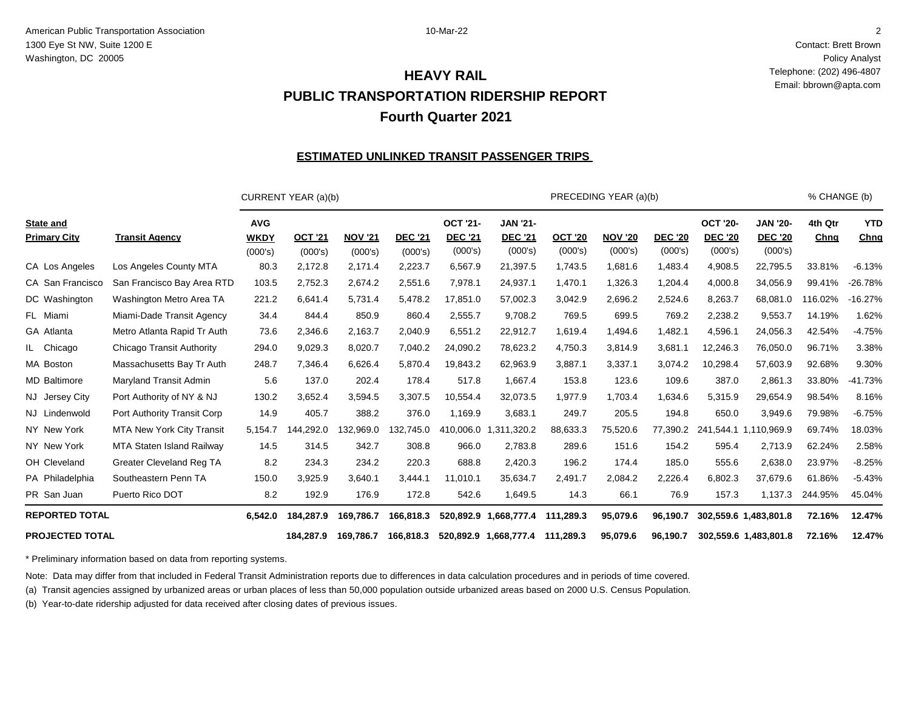Contact: Brett Brown Policy Analyst Telephone: (202) 496-4807 Email: bbrown@apta.com

## **PUBLIC TRANSPORTATION RIDERSHIP REPORT Fourth Quarter 2021 HEAVY RAIL**

#### **ESTIMATED UNLINKED TRANSIT PASSENGER TRIPS**

|                                         |                                  |                                      | CURRENT YEAR (a)(b)       |                           |                           |                                              |                                              |                           | PRECEDING YEAR (a)(b)     |                           |                                              |                                              | % CHANGE (b)    |                    |
|-----------------------------------------|----------------------------------|--------------------------------------|---------------------------|---------------------------|---------------------------|----------------------------------------------|----------------------------------------------|---------------------------|---------------------------|---------------------------|----------------------------------------------|----------------------------------------------|-----------------|--------------------|
| <b>State and</b><br><b>Primary City</b> | <b>Transit Agency</b>            | <b>AVG</b><br><b>WKDY</b><br>(000's) | <b>OCT '21</b><br>(000's) | <b>NOV '21</b><br>(000's) | <b>DEC '21</b><br>(000's) | <b>OCT '21-</b><br><b>DEC '21</b><br>(000's) | <b>JAN '21-</b><br><b>DEC '21</b><br>(000's) | <b>OCT '20</b><br>(000's) | <b>NOV '20</b><br>(000's) | <b>DEC '20</b><br>(000's) | <b>OCT '20-</b><br><b>DEC '20</b><br>(000's) | <b>JAN '20-</b><br><b>DEC '20</b><br>(000's) | 4th Qtr<br>Chng | <b>YTD</b><br>Chng |
| CA Los Angeles                          | Los Angeles County MTA           | 80.3                                 | 2,172.8                   | 2,171.4                   | 2,223.7                   | 6,567.9                                      | 21,397.5                                     | 1,743.5                   | 1,681.6                   | 1,483.4                   | 4,908.5                                      | 22,795.5                                     | 33.81%          | $-6.13%$           |
| CA San Francisco                        | San Francisco Bay Area RTD       | 103.5                                | 2,752.3                   | 2,674.2                   | 2,551.6                   | 7,978.1                                      | 24,937.1                                     | 1,470.1                   | 1,326.3                   | 1,204.4                   | 4,000.8                                      | 34,056.9                                     | 99.41%          | $-26.78%$          |
| DC Washington                           | Washington Metro Area TA         | 221.2                                | 6,641.4                   | 5,731.4                   | 5,478.2                   | 17,851.0                                     | 57,002.3                                     | 3,042.9                   | 2,696.2                   | 2,524.6                   | 8,263.7                                      | 68,081.0                                     | 116.02%         | $-16.27%$          |
| FL Miami                                | Miami-Dade Transit Agency        | 34.4                                 | 844.4                     | 850.9                     | 860.4                     | 2,555.7                                      | 9,708.2                                      | 769.5                     | 699.5                     | 769.2                     | 2,238.2                                      | 9,553.7                                      | 14.19%          | 1.62%              |
| GA Atlanta                              | Metro Atlanta Rapid Tr Auth      | 73.6                                 | 2,346.6                   | 2,163.7                   | 2,040.9                   | 6,551.2                                      | 22,912.7                                     | 1,619.4                   | 1,494.6                   | 1,482.1                   | 4,596.1                                      | 24,056.3                                     | 42.54%          | $-4.75%$           |
| IL Chicago                              | <b>Chicago Transit Authority</b> | 294.0                                | 9,029.3                   | 8,020.7                   | 7,040.2                   | 24,090.2                                     | 78,623.2                                     | 4,750.3                   | 3,814.9                   | 3,681.1                   | 12,246.3                                     | 76,050.0                                     | 96.71%          | 3.38%              |
| MA Boston                               | Massachusetts Bay Tr Auth        | 248.7                                | 7,346.4                   | 6,626.4                   | 5,870.4                   | 19,843.2                                     | 62,963.9                                     | 3,887.1                   | 3,337.1                   | 3,074.2                   | 10,298.4                                     | 57,603.9                                     | 92.68%          | 9.30%              |
| <b>MD Baltimore</b>                     | Maryland Transit Admin           | 5.6                                  | 137.0                     | 202.4                     | 178.4                     | 517.8                                        | 1,667.4                                      | 153.8                     | 123.6                     | 109.6                     | 387.0                                        | 2,861.3                                      | 33.80%          | $-41.73%$          |
| NJ Jersey City                          | Port Authority of NY & NJ        | 130.2                                | 3,652.4                   | 3,594.5                   | 3,307.5                   | 10,554.4                                     | 32,073.5                                     | 1,977.9                   | 1,703.4                   | 1,634.6                   | 5,315.9                                      | 29,654.9                                     | 98.54%          | 8.16%              |
| NJ Lindenwold                           | Port Authority Transit Corp      | 14.9                                 | 405.7                     | 388.2                     | 376.0                     | 1,169.9                                      | 3,683.1                                      | 249.7                     | 205.5                     | 194.8                     | 650.0                                        | 3,949.6                                      | 79.98%          | $-6.75%$           |
| NY New York                             | <b>MTA New York City Transit</b> | 5,154.7                              | ,292.0<br>144             | 132,969.0                 | 132,745.0                 | 410,006.0                                    | ,320.2<br>1,311                              | 88,633.3                  | 75,520.6                  | 77,390.2                  |                                              | 241,544.1 1,110,969.9                        | 69.74%          | 18.03%             |
| NY New York                             | MTA Staten Island Railway        | 14.5                                 | 314.5                     | 342.7                     | 308.8                     | 966.0                                        | 2,783.8                                      | 289.6                     | 151.6                     | 154.2                     | 595.4                                        | 2,713.9                                      | 62.24%          | 2.58%              |
| OH Cleveland                            | Greater Cleveland Reg TA         | 8.2                                  | 234.3                     | 234.2                     | 220.3                     | 688.8                                        | 2,420.3                                      | 196.2                     | 174.4                     | 185.0                     | 555.6                                        | 2,638.0                                      | 23.97%          | $-8.25%$           |
| PA Philadelphia                         | Southeastern Penn TA             | 150.0                                | 3,925.9                   | 3,640.1                   | 3,444.1                   | 11,010.1                                     | 35,634.7                                     | 2,491.7                   | 2,084.2                   | 2,226.4                   | 6,802.3                                      | 37,679.6                                     | 61.86%          | $-5.43%$           |
| PR San Juan                             | Puerto Rico DOT                  | 8.2                                  | 192.9                     | 176.9                     | 172.8                     | 542.6                                        | 1,649.5                                      | 14.3                      | 66.1                      | 76.9                      | 157.3                                        | 1,137.3                                      | 244.95%         | 45.04%             |
| <b>REPORTED TOTAL</b>                   |                                  | 6.542.0                              | 184.287.9                 | 169.786.7                 | 166,818.3                 | 520,892.9                                    | 1,668,777.4                                  | 111,289.3                 | 95,079.6                  | 96.190.7                  |                                              | 302,559.6 1,483,801.8                        | 72.16%          | 12.47%             |
| <b>PROJECTED TOTAL</b>                  |                                  |                                      | 184.287.9                 | 169.786.7                 | 166.818.3                 |                                              | 520,892.9 1,668,777.4                        | 111,289.3                 | 95,079.6                  | 96.190.7                  |                                              | 302,559.6 1,483,801.8                        | 72.16%          | 12.47%             |

\* Preliminary information based on data from reporting systems.

Note: Data may differ from that included in Federal Transit Administration reports due to differences in data calculation procedures and in periods of time covered.

(a) Transit agencies assigned by urbanized areas or urban places of less than 50,000 population outside urbanized areas based on 2000 U.S. Census Population.

(b) Year-to-date ridership adjusted for data received after closing dates of previous issues.

2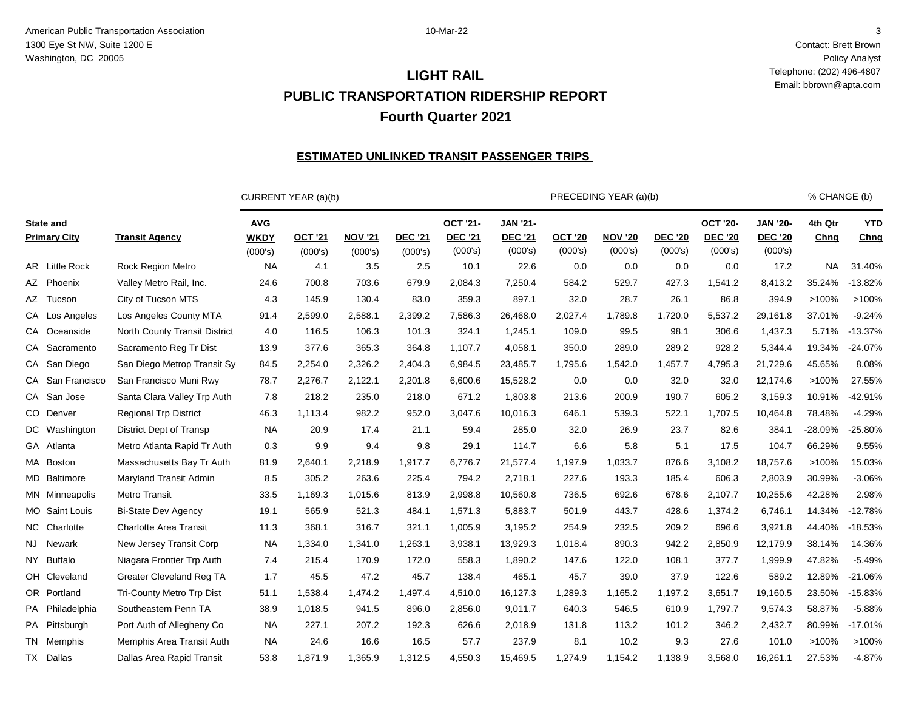Contact: Brett Brown Policy Analyst Telephone: (202) 496-4807 Email: bbrown@apta.com

## **PUBLIC TRANSPORTATION RIDERSHIP REPORT Fourth Quarter 2021 LIGHT RAIL**

#### **ESTIMATED UNLINKED TRANSIT PASSENGER TRIPS**

|                                         |                                 |                                      | CURRENT YEAR (a)(b)       |                           |                           |                                              |                                              |                           | PRECEDING YEAR (a)(b)     |                           |                                              |                                              | % CHANGE (b)    |                    |
|-----------------------------------------|---------------------------------|--------------------------------------|---------------------------|---------------------------|---------------------------|----------------------------------------------|----------------------------------------------|---------------------------|---------------------------|---------------------------|----------------------------------------------|----------------------------------------------|-----------------|--------------------|
| <b>State and</b><br><b>Primary City</b> | <b>Transit Agency</b>           | <b>AVG</b><br><b>WKDY</b><br>(000's) | <b>OCT '21</b><br>(000's) | <b>NOV '21</b><br>(000's) | <b>DEC '21</b><br>(000's) | <b>OCT '21-</b><br><b>DEC '21</b><br>(000's) | <b>JAN '21-</b><br><b>DEC '21</b><br>(000's) | <b>OCT '20</b><br>(000's) | <b>NOV '20</b><br>(000's) | <b>DEC '20</b><br>(000's) | <b>OCT '20-</b><br><b>DEC '20</b><br>(000's) | <b>JAN '20-</b><br><b>DEC '20</b><br>(000's) | 4th Qtr<br>Chng | <b>YTD</b><br>Chng |
| AR Little Rock                          | <b>Rock Region Metro</b>        | <b>NA</b>                            | 4.1                       | 3.5                       | 2.5                       | 10.1                                         | 22.6                                         | 0.0                       | 0.0                       | 0.0                       | 0.0                                          | 17.2                                         | <b>NA</b>       | 31.40%             |
| AZ Phoenix                              | Valley Metro Rail, Inc.         | 24.6                                 | 700.8                     | 703.6                     | 679.9                     | 2,084.3                                      | 7,250.4                                      | 584.2                     | 529.7                     | 427.3                     | 1,541.2                                      | 8,413.2                                      | 35.24%          | $-13.82%$          |
| AZ Tucson                               | City of Tucson MTS              | 4.3                                  | 145.9                     | 130.4                     | 83.0                      | 359.3                                        | 897.1                                        | 32.0                      | 28.7                      | 26.1                      | 86.8                                         | 394.9                                        | >100%           | >100%              |
| CA Los Angeles                          | Los Angeles County MTA          | 91.4                                 | 2,599.0                   | 2,588.1                   | 2,399.2                   | 7,586.3                                      | 26,468.0                                     | 2,027.4                   | 1,789.8                   | 1,720.0                   | 5,537.2                                      | 29,161.8                                     | 37.01%          | $-9.24%$           |
| CA Oceanside                            | North County Transit District   | 4.0                                  | 116.5                     | 106.3                     | 101.3                     | 324.1                                        | 1,245.1                                      | 109.0                     | 99.5                      | 98.1                      | 306.6                                        | 1,437.3                                      | 5.71%           | $-13.37%$          |
| CA Sacramento                           | Sacramento Reg Tr Dist          | 13.9                                 | 377.6                     | 365.3                     | 364.8                     | 1,107.7                                      | 4,058.1                                      | 350.0                     | 289.0                     | 289.2                     | 928.2                                        | 5,344.4                                      | 19.34%          | $-24.07%$          |
| CA San Diego                            | San Diego Metrop Transit Sy     | 84.5                                 | 2,254.0                   | 2,326.2                   | 2,404.3                   | 6,984.5                                      | 23,485.7                                     | 1,795.6                   | 1,542.0                   | 1,457.7                   | 4,795.3                                      | 21,729.6                                     | 45.65%          | 8.08%              |
| CA San Francisco                        | San Francisco Muni Rwy          | 78.7                                 | 2,276.7                   | 2,122.1                   | 2,201.8                   | 6,600.6                                      | 15,528.2                                     | 0.0                       | 0.0                       | 32.0                      | 32.0                                         | 12,174.6                                     | >100%           | 27.55%             |
| CA San Jose                             | Santa Clara Valley Trp Auth     | 7.8                                  | 218.2                     | 235.0                     | 218.0                     | 671.2                                        | 1,803.8                                      | 213.6                     | 200.9                     | 190.7                     | 605.2                                        | 3,159.3                                      | 10.91%          | $-42.91%$          |
| CO Denver                               | <b>Regional Trp District</b>    | 46.3                                 | 1,113.4                   | 982.2                     | 952.0                     | 3,047.6                                      | 10,016.3                                     | 646.1                     | 539.3                     | 522.1                     | 1,707.5                                      | 10,464.8                                     | 78.48%          | $-4.29%$           |
| DC Washington                           | <b>District Dept of Transp</b>  | <b>NA</b>                            | 20.9                      | 17.4                      | 21.1                      | 59.4                                         | 285.0                                        | 32.0                      | 26.9                      | 23.7                      | 82.6                                         | 384.1                                        | $-28.09%$       | $-25.80%$          |
| GA Atlanta                              | Metro Atlanta Rapid Tr Auth     | 0.3                                  | 9.9                       | 9.4                       | 9.8                       | 29.1                                         | 114.7                                        | 6.6                       | 5.8                       | 5.1                       | 17.5                                         | 104.7                                        | 66.29%          | 9.55%              |
| MA Boston                               | Massachusetts Bay Tr Auth       | 81.9                                 | 2,640.1                   | 2,218.9                   | 1,917.7                   | 6,776.7                                      | 21,577.4                                     | 1,197.9                   | 1,033.7                   | 876.6                     | 3,108.2                                      | 18,757.6                                     | >100%           | 15.03%             |
| <b>MD</b> Baltimore                     | Maryland Transit Admin          | 8.5                                  | 305.2                     | 263.6                     | 225.4                     | 794.2                                        | 2,718.1                                      | 227.6                     | 193.3                     | 185.4                     | 606.3                                        | 2,803.9                                      | 30.99%          | $-3.06%$           |
| MN Minneapolis                          | Metro Transit                   | 33.5                                 | 1,169.3                   | 1,015.6                   | 813.9                     | 2,998.8                                      | 10,560.8                                     | 736.5                     | 692.6                     | 678.6                     | 2,107.7                                      | 10,255.6                                     | 42.28%          | 2.98%              |
| MO Saint Louis                          | <b>Bi-State Dev Agency</b>      | 19.1                                 | 565.9                     | 521.3                     | 484.1                     | 1,571.3                                      | 5,883.7                                      | 501.9                     | 443.7                     | 428.6                     | 1,374.2                                      | 6,746.1                                      | 14.34%          | $-12.78%$          |
| NC Charlotte                            | <b>Charlotte Area Transit</b>   | 11.3                                 | 368.1                     | 316.7                     | 321.1                     | 1,005.9                                      | 3,195.2                                      | 254.9                     | 232.5                     | 209.2                     | 696.6                                        | 3,921.8                                      | 44.40%          | $-18.53%$          |
| <b>NJ</b><br>Newark                     | New Jersey Transit Corp         | <b>NA</b>                            | 1,334.0                   | 1,341.0                   | 1,263.1                   | 3,938.1                                      | 13,929.3                                     | 1,018.4                   | 890.3                     | 942.2                     | 2,850.9                                      | 12,179.9                                     | 38.14%          | 14.36%             |
| NY Buffalo                              | Niagara Frontier Trp Auth       | 7.4                                  | 215.4                     | 170.9                     | 172.0                     | 558.3                                        | 1,890.2                                      | 147.6                     | 122.0                     | 108.1                     | 377.7                                        | 1,999.9                                      | 47.82%          | $-5.49%$           |
| OH Cleveland                            | <b>Greater Cleveland Reg TA</b> | 1.7                                  | 45.5                      | 47.2                      | 45.7                      | 138.4                                        | 465.1                                        | 45.7                      | 39.0                      | 37.9                      | 122.6                                        | 589.2                                        | 12.89%          | $-21.06%$          |
| OR Portland                             | Tri-County Metro Trp Dist       | 51.1                                 | 1,538.4                   | 1,474.2                   | 1,497.4                   | 4,510.0                                      | 16,127.3                                     | 1,289.3                   | 1,165.2                   | 1,197.2                   | 3,651.7                                      | 19,160.5                                     | 23.50%          | $-15.83%$          |
| PA Philadelphia                         | Southeastern Penn TA            | 38.9                                 | 1,018.5                   | 941.5                     | 896.0                     | 2,856.0                                      | 9,011.7                                      | 640.3                     | 546.5                     | 610.9                     | 1,797.7                                      | 9,574.3                                      | 58.87%          | $-5.88%$           |
| PA Pittsburgh                           | Port Auth of Allegheny Co       | <b>NA</b>                            | 227.1                     | 207.2                     | 192.3                     | 626.6                                        | 2,018.9                                      | 131.8                     | 113.2                     | 101.2                     | 346.2                                        | 2,432.7                                      | 80.99%          | $-17.01%$          |
| TN Memphis                              | Memphis Area Transit Auth       | <b>NA</b>                            | 24.6                      | 16.6                      | 16.5                      | 57.7                                         | 237.9                                        | 8.1                       | 10.2                      | 9.3                       | 27.6                                         | 101.0                                        | >100%           | >100%              |
| TX Dallas                               | Dallas Area Rapid Transit       | 53.8                                 | 1,871.9                   | 1,365.9                   | 1,312.5                   | 4,550.3                                      | 15,469.5                                     | 1,274.9                   | 1,154.2                   | 1,138.9                   | 3,568.0                                      | 16,261.1                                     | 27.53%          | $-4.87%$           |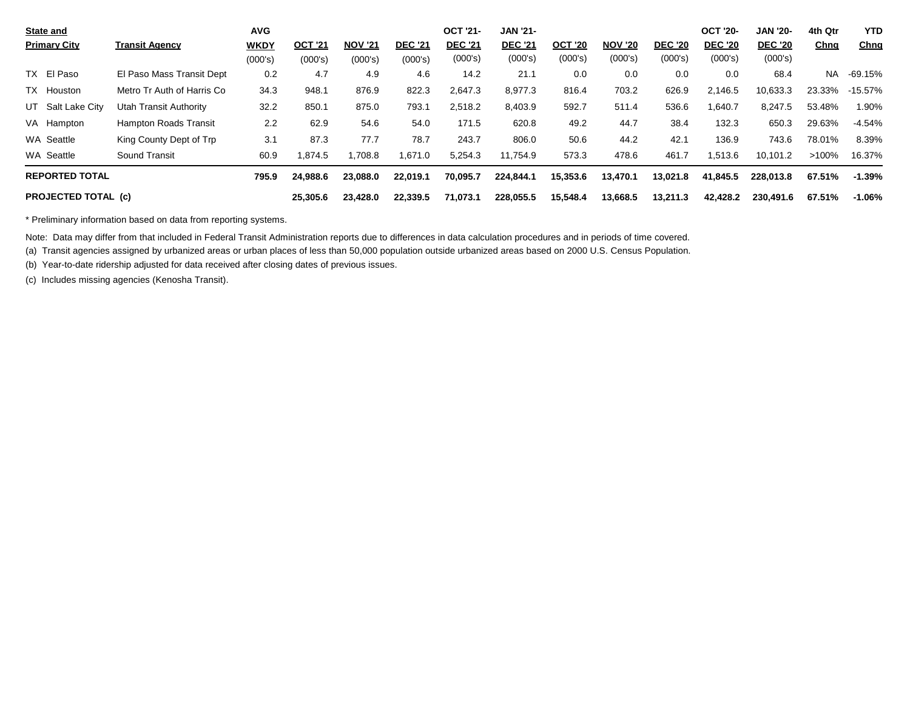| <b>State and</b>           |                              | <b>AVG</b>  |                |                |                | <b>OCT '21-</b> | <b>JAN '21-</b> |                |                |                | <b>OCT '20-</b> | <b>JAN '20-</b> | 4th Qtr     | <b>YTD</b>  |
|----------------------------|------------------------------|-------------|----------------|----------------|----------------|-----------------|-----------------|----------------|----------------|----------------|-----------------|-----------------|-------------|-------------|
| <b>Primary City</b>        | <b>Transit Agency</b>        | <b>WKDY</b> | <b>OCT '21</b> | <b>NOV '21</b> | <b>DEC '21</b> | <b>DEC '21</b>  | <b>DEC '21</b>  | <b>OCT '20</b> | <b>NOV '20</b> | <b>DEC '20</b> | <b>DEC '20</b>  | <b>DEC '20</b>  | <u>Chng</u> | <u>Chng</u> |
|                            |                              | (000's)     | (000's)        | (000's)        | (000's)        | (000's)         | (000's)         | (000's)        | (000's)        | (000's)        | (000's)         | (000's)         |             |             |
| TX El Paso                 | El Paso Mass Transit Dept    | 0.2         | 4.7            | 4.9            | 4.6            | 14.2            | 21.1            | 0.0            | 0.0            | 0.0            | 0.0             | 68.4            | <b>NA</b>   | $-69.15%$   |
| TX Houston                 | Metro Tr Auth of Harris Co   | 34.3        | 948.1          | 876.9          | 822.3          | 2,647.3         | 8,977.3         | 816.4          | 703.2          | 626.9          | 2,146.5         | 10,633.3        | 23.33%      | $-15.57\%$  |
| UT Salt Lake City          | Utah Transit Authority       | 32.2        | 850.1          | 875.0          | 793.1          | 2,518.2         | 8,403.9         | 592.7          | 511.4          | 536.6          | ,640.7          | 8,247.5         | 53.48%      | 1.90%       |
| VA Hampton                 | <b>Hampton Roads Transit</b> | 2.2         | 62.9           | 54.6           | 54.0           | 171.5           | 620.8           | 49.2           | 44.7           | 38.4           | 132.3           | 650.3           | 29.63%      | $-4.54%$    |
| WA Seattle                 | King County Dept of Trp      | 3.1         | 87.3           | 77.7           | 78.7           | 243.7           | 806.0           | 50.6           | 44.2           | 42.1           | 136.9           | 743.6           | 78.01%      | 8.39%       |
| WA Seattle                 | Sound Transit                | 60.9        | 1.874.5        | 1.708.8        | 1.671.0        | 5,254.3         | 11.754.9        | 573.3          | 478.6          | 461.7          | 1.513.6         | 10.101.2        | $>100\%$    | 16.37%      |
| <b>REPORTED TOTAL</b>      |                              | 795.9       | 24,988.6       | 23,088.0       | 22.019.1       | 70,095.7        | 224,844.1       | 15,353.6       | 13,470.1       | 13,021.8       | 41,845.5        | 228.013.8       | 67.51%      | $-1.39%$    |
| <b>PROJECTED TOTAL (c)</b> |                              |             | 25,305.6       | 23,428.0       | 22.339.5       | 71,073.1        | 228,055.5       | 15,548.4       | 13,668.5       | 13,211.3       | 42,428.2        | 230,491.6       | 67.51%      | $-1.06\%$   |

\* Preliminary information based on data from reporting systems.

Note: Data may differ from that included in Federal Transit Administration reports due to differences in data calculation procedures and in periods of time covered.

(a) Transit agencies assigned by urbanized areas or urban places of less than 50,000 population outside urbanized areas based on 2000 U.S. Census Population.

(b) Year-to-date ridership adjusted for data received after closing dates of previous issues.

(c) Includes missing agencies (Kenosha Transit).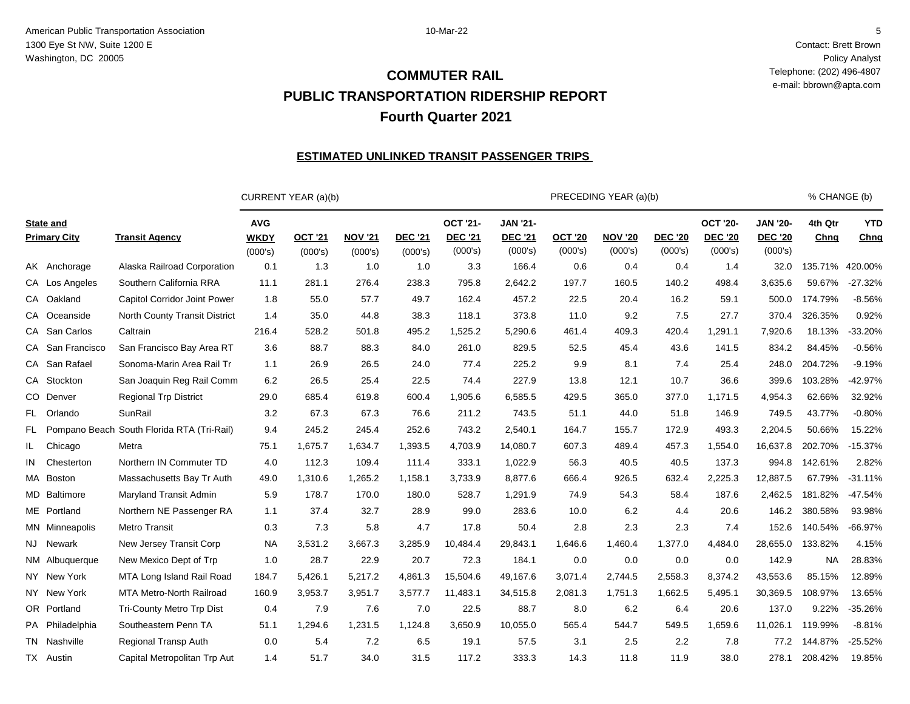Contact: Brett Brown Policy Analyst Telephone: (202) 496-4807 e-mail: bbrown@apta.com

# **PUBLIC TRANSPORTATION RIDERSHIP REPORT Fourth Quarter 2021 COMMUTER RAIL**

### **ESTIMATED UNLINKED TRANSIT PASSENGER TRIPS**

|     |                                         |                                            |                                      | CURRENT YEAR (a)(b)       |                           |                           |                                              |                                              |                           | PRECEDING YEAR (a)(b)     |                           |                                              |                                              | % CHANGE (b)    |                    |
|-----|-----------------------------------------|--------------------------------------------|--------------------------------------|---------------------------|---------------------------|---------------------------|----------------------------------------------|----------------------------------------------|---------------------------|---------------------------|---------------------------|----------------------------------------------|----------------------------------------------|-----------------|--------------------|
|     | <b>State and</b><br><b>Primary City</b> | <b>Transit Agency</b>                      | <b>AVG</b><br><b>WKDY</b><br>(000's) | <b>OCT '21</b><br>(000's) | <b>NOV '21</b><br>(000's) | <b>DEC '21</b><br>(000's) | <b>OCT '21-</b><br><b>DEC '21</b><br>(000's) | <b>JAN '21-</b><br><b>DEC '21</b><br>(000's) | <b>OCT '20</b><br>(000's) | <b>NOV '20</b><br>(000's) | <b>DEC '20</b><br>(000's) | <b>OCT '20-</b><br><b>DEC '20</b><br>(000's) | <b>JAN '20-</b><br><b>DEC '20</b><br>(000's) | 4th Qtr<br>Chng | <b>YTD</b><br>Chng |
|     | AK Anchorage                            | Alaska Railroad Corporation                | 0.1                                  | 1.3                       | 1.0                       | 1.0                       | 3.3                                          | 166.4                                        | 0.6                       | 0.4                       | 0.4                       | 1.4                                          | 32.0                                         | 135.71%         | 420.00%            |
|     | CA Los Angeles                          | Southern California RRA                    | 11.1                                 | 281.1                     | 276.4                     | 238.3                     | 795.8                                        | 2,642.2                                      | 197.7                     | 160.5                     | 140.2                     | 498.4                                        | 3,635.6                                      | 59.67%          | $-27.32%$          |
|     | CA Oakland                              | Capitol Corridor Joint Power               | 1.8                                  | 55.0                      | 57.7                      | 49.7                      | 162.4                                        | 457.2                                        | 22.5                      | 20.4                      | 16.2                      | 59.1                                         | 500.0                                        | 174.79%         | $-8.56%$           |
|     | CA Oceanside                            | <b>North County Transit District</b>       | 1.4                                  | 35.0                      | 44.8                      | 38.3                      | 118.1                                        | 373.8                                        | 11.0                      | 9.2                       | 7.5                       | 27.7                                         | 370.4                                        | 326.35%         | 0.92%              |
|     | CA San Carlos                           | Caltrain                                   | 216.4                                | 528.2                     | 501.8                     | 495.2                     | 1,525.2                                      | 5,290.6                                      | 461.4                     | 409.3                     | 420.4                     | 1.291.1                                      | 7,920.6                                      | 18.13%          | $-33.20%$          |
|     | CA San Francisco                        | San Francisco Bay Area RT                  | 3.6                                  | 88.7                      | 88.3                      | 84.0                      | 261.0                                        | 829.5                                        | 52.5                      | 45.4                      | 43.6                      | 141.5                                        | 834.2                                        | 84.45%          | $-0.56%$           |
|     | CA San Rafael                           | Sonoma-Marin Area Rail Tr                  | 1.1                                  | 26.9                      | 26.5                      | 24.0                      | 77.4                                         | 225.2                                        | 9.9                       | 8.1                       | 7.4                       | 25.4                                         | 248.0                                        | 204.72%         | $-9.19%$           |
|     | CA Stockton                             | San Joaquin Reg Rail Comm                  | 6.2                                  | 26.5                      | 25.4                      | 22.5                      | 74.4                                         | 227.9                                        | 13.8                      | 12.1                      | 10.7                      | 36.6                                         | 399.6                                        | 103.28%         | $-42.97%$          |
|     | CO Denver                               | <b>Regional Trp District</b>               | 29.0                                 | 685.4                     | 619.8                     | 600.4                     | 1,905.6                                      | 6,585.5                                      | 429.5                     | 365.0                     | 377.0                     | 1.171.5                                      | 4,954.3                                      | 62.66%          | 32.92%             |
|     | FL Orlando                              | <b>SunRail</b>                             | 3.2                                  | 67.3                      | 67.3                      | 76.6                      | 211.2                                        | 743.5                                        | 51.1                      | 44.0                      | 51.8                      | 146.9                                        | 749.5                                        | 43.77%          | $-0.80%$           |
| FL. |                                         | Pompano Beach South Florida RTA (Tri-Rail) | 9.4                                  | 245.2                     | 245.4                     | 252.6                     | 743.2                                        | 2,540.1                                      | 164.7                     | 155.7                     | 172.9                     | 493.3                                        | 2,204.5                                      | 50.66%          | 15.22%             |
| IL. | Chicago                                 | Metra                                      | 75.1                                 | 1,675.7                   | 1,634.7                   | 1,393.5                   | 4,703.9                                      | 14,080.7                                     | 607.3                     | 489.4                     | 457.3                     | 1,554.0                                      | 16,637.8                                     | 202.70%         | $-15.37%$          |
| IN  | Chesterton                              | Northern IN Commuter TD                    | 4.0                                  | 112.3                     | 109.4                     | 111.4                     | 333.1                                        | 1,022.9                                      | 56.3                      | 40.5                      | 40.5                      | 137.3                                        | 994.8                                        | 142.61%         | 2.82%              |
|     | MA Boston                               | Massachusetts Bay Tr Auth                  | 49.0                                 | 1,310.6                   | 1,265.2                   | 1,158.1                   | 3,733.9                                      | 8,877.6                                      | 666.4                     | 926.5                     | 632.4                     | 2,225.3                                      | 12,887.5                                     | 67.79%          | $-31.11%$          |
|     | MD Baltimore                            | Maryland Transit Admin                     | 5.9                                  | 178.7                     | 170.0                     | 180.0                     | 528.7                                        | 1,291.9                                      | 74.9                      | 54.3                      | 58.4                      | 187.6                                        | 2,462.5                                      | 181.82%         | $-47.54%$          |
|     | ME Portland                             | Northern NE Passenger RA                   | 1.1                                  | 37.4                      | 32.7                      | 28.9                      | 99.0                                         | 283.6                                        | 10.0                      | 6.2                       | 4.4                       | 20.6                                         | 146.2                                        | 380.58%         | 93.98%             |
|     | MN Minneapolis                          | Metro Transit                              | 0.3                                  | 7.3                       | 5.8                       | 4.7                       | 17.8                                         | 50.4                                         | 2.8                       | 2.3                       | 2.3                       | 7.4                                          | 152.6                                        | 140.54%         | $-66.97%$          |
|     | NJ Newark                               | New Jersey Transit Corp                    | <b>NA</b>                            | 3,531.2                   | 3,667.3                   | 3,285.9                   | 10,484.4                                     | 29,843.1                                     | 1,646.6                   | 1,460.4                   | 1,377.0                   | 4,484.0                                      | 28,655.0                                     | 133.82%         | 4.15%              |
|     | NM Albuquerque                          | New Mexico Dept of Trp                     | 1.0                                  | 28.7                      | 22.9                      | 20.7                      | 72.3                                         | 184.1                                        | 0.0                       | 0.0                       | 0.0                       | 0.0                                          | 142.9                                        | <b>NA</b>       | 28.83%             |
|     | NY New York                             | MTA Long Island Rail Road                  | 184.7                                | 5,426.1                   | 5.217.2                   | 4,861.3                   | 15.504.6                                     | 49,167.6                                     | 3,071.4                   | 2.744.5                   | 2,558.3                   | 8,374.2                                      | 43,553.6                                     | 85.15%          | 12.89%             |
|     | NY New York                             | <b>MTA Metro-North Railroad</b>            | 160.9                                | 3,953.7                   | 3,951.7                   | 3,577.7                   | 11,483.1                                     | 34,515.8                                     | 2,081.3                   | 1,751.3                   | 1,662.5                   | 5,495.1                                      | 30,369.5                                     | 108.97%         | 13.65%             |
|     | OR Portland                             | Tri-County Metro Trp Dist                  | 0.4                                  | 7.9                       | 7.6                       | 7.0                       | 22.5                                         | 88.7                                         | 8.0                       | 6.2                       | 6.4                       | 20.6                                         | 137.0                                        | 9.22%           | $-35.26%$          |
|     | PA Philadelphia                         | Southeastern Penn TA                       | 51.1                                 | 1,294.6                   | 1,231.5                   | 1,124.8                   | 3,650.9                                      | 10,055.0                                     | 565.4                     | 544.7                     | 549.5                     | .659.6                                       | 11,026.1                                     | 119.99%         | $-8.81%$           |
|     | TN Nashville                            | <b>Regional Transp Auth</b>                | 0.0                                  | 5.4                       | 7.2                       | 6.5                       | 19.1                                         | 57.5                                         | 3.1                       | 2.5                       | 2.2                       | 7.8                                          | 77.2                                         | 144.87%         | $-25.52%$          |
|     | TX Austin                               | Capital Metropolitan Trp Aut               | 1.4                                  | 51.7                      | 34.0                      | 31.5                      | 117.2                                        | 333.3                                        | 14.3                      | 11.8                      | 11.9                      | 38.0                                         | 278.1                                        | 208.42%         | 19.85%             |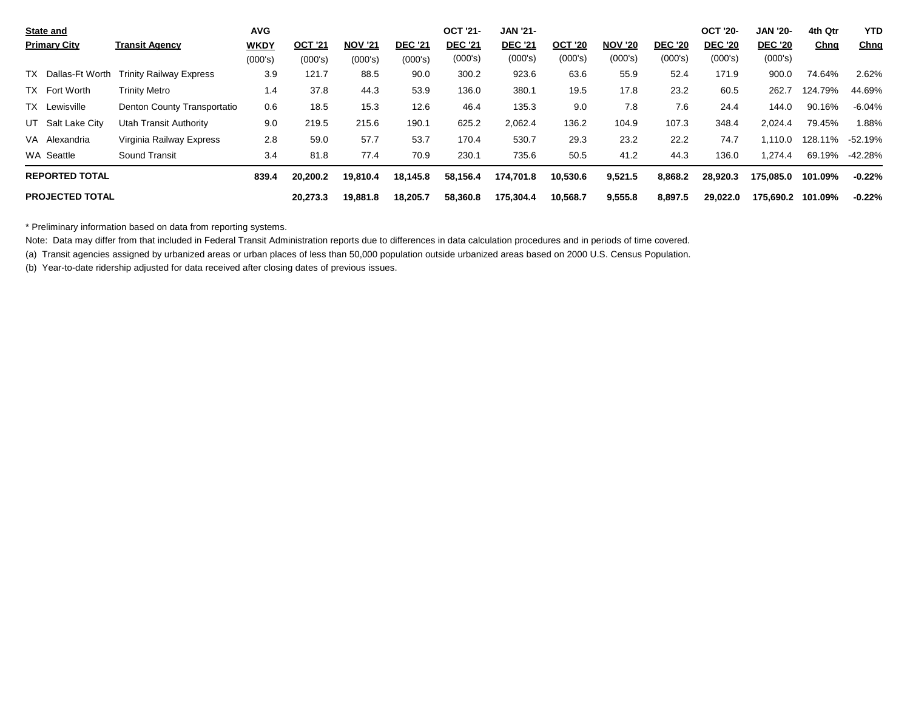| <b>State and</b>       |                                | <b>AVG</b>  |                |                |                | <b>OCT '21-</b> | <b>JAN '21-</b> |                |                |                | <b>OCT '20-</b> | <b>JAN '20-</b> | 4th Qtr | <b>YTD</b>  |
|------------------------|--------------------------------|-------------|----------------|----------------|----------------|-----------------|-----------------|----------------|----------------|----------------|-----------------|-----------------|---------|-------------|
| <b>Primary City</b>    | <b>Transit Agency</b>          | <b>WKDY</b> | <b>OCT '21</b> | <b>NOV '21</b> | <b>DEC '21</b> | <b>DEC '21</b>  | <b>DEC '21</b>  | <b>OCT '20</b> | <b>NOV '20</b> | <b>DEC '20</b> | <b>DEC '20</b>  | <b>DEC '20</b>  | Chng    | <u>Chnq</u> |
|                        |                                | (000's)     | (000's)        | (000's)        | (000's)        | (000's)         | (000's)         | (000's)        | (000's)        | (000's)        | (000's)         | (000's)         |         |             |
| TX Dallas-Ft Worth     | <b>Trinity Railway Express</b> | 3.9         | 121.7          | 88.5           | 90.0           | 300.2           | 923.6           | 63.6           | 55.9           | 52.4           | 171.9           | 900.0           | 74.64%  | 2.62%       |
| TX Fort Worth          | Trinity Metro                  | 1.4         | 37.8           | 44.3           | 53.9           | 136.0           | 380.1           | 19.5           | 17.8           | 23.2           | 60.5            | 262.7           | 124.79% | 44.69%      |
| TX Lewisville          | Denton County Transportatio    | 0.6         | 18.5           | 15.3           | 12.6           | 46.4            | 135.3           | 9.0            | 7.8            | 7.6            | 24.4            | 144.0           | 90.16%  | $-6.04\%$   |
| UT Salt Lake City      | Utah Transit Authority         | 9.0         | 219.5          | 215.6          | 190.1          | 625.2           | 2,062.4         | 136.2          | 104.9          | 107.3          | 348.4           | 2,024.4         | 79.45%  | .88%        |
| VA Alexandria          | Virginia Railway Express       | 2.8         | 59.0           | 57.7           | 53.7           | 170.4           | 530.7           | 29.3           | 23.2           | 22.2           | 74.7            | 1.110.0         | 128.11% | -52.19%     |
| WA Seattle             | Sound Transit                  | 3.4         | 81.8           | 77.4           | 70.9           | 230.1           | 735.6           | 50.5           | 41.2           | 44.3           | 136.0           | 1.274.4         | 69.19%  | -42.28%     |
| <b>REPORTED TOTAL</b>  |                                | 839.4       | 20,200.2       | 19,810.4       | 18,145.8       | 58,156.4        | 174,701.8       | 10,530.6       | 9,521.5        | 8,868.2        | 28,920.3        | 175,085.0       | 101.09% | $-0.22%$    |
| <b>PROJECTED TOTAL</b> |                                |             | 20.273.3       | 19,881.8       | 18.205.7       | 58,360.8        | 175.304.4       | 10,568.7       | 9,555.8        | 8,897.5        | 29.022.0        | 175.690.2       | 101.09% | $-0.22%$    |

\* Preliminary information based on data from reporting systems.

Note: Data may differ from that included in Federal Transit Administration reports due to differences in data calculation procedures and in periods of time covered.

(a) Transit agencies assigned by urbanized areas or urban places of less than 50,000 population outside urbanized areas based on 2000 U.S. Census Population.

(b) Year-to-date ridership adjusted for data received after closing dates of previous issues.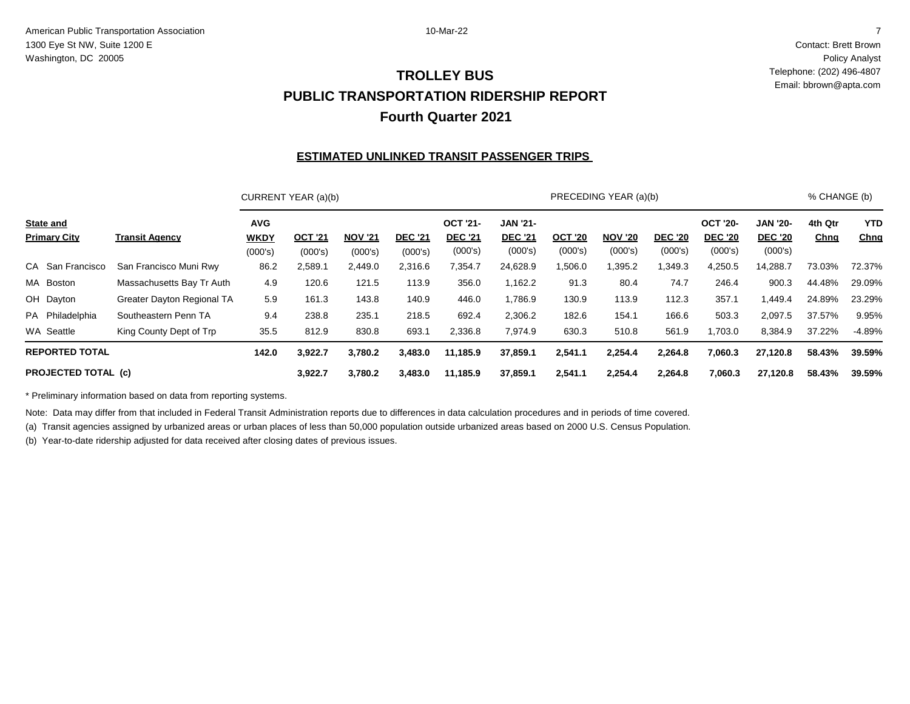Contact: Brett Brown Policy Analyst Telephone: (202) 496-4807 Email: bbrown@apta.com

## **PUBLIC TRANSPORTATION RIDERSHIP REPORT Fourth Quarter 2021 TROLLEY BUS**

### **ESTIMATED UNLINKED TRANSIT PASSENGER TRIPS**

|                                         |                            |                                      | CURRENT YEAR (a)(b)       |                           |                           |                                              |                                              |                           | PRECEDING YEAR (a)(b)     |                           |                                              |                                              | % CHANGE (b)    |                    |
|-----------------------------------------|----------------------------|--------------------------------------|---------------------------|---------------------------|---------------------------|----------------------------------------------|----------------------------------------------|---------------------------|---------------------------|---------------------------|----------------------------------------------|----------------------------------------------|-----------------|--------------------|
| <b>State and</b><br><b>Primary City</b> | <b>Transit Agency</b>      | <b>AVG</b><br><b>WKDY</b><br>(000's) | <b>OCT '21</b><br>(000's) | <b>NOV '21</b><br>(000's) | <b>DEC '21</b><br>(000's) | <b>OCT '21-</b><br><b>DEC '21</b><br>(000's) | <b>JAN '21-</b><br><b>DEC '21</b><br>(000's) | <b>OCT '20</b><br>(000's) | <b>NOV '20</b><br>(000's) | <b>DEC '20</b><br>(000's) | <b>OCT '20-</b><br><b>DEC '20</b><br>(000's) | <b>JAN '20-</b><br><b>DEC '20</b><br>(000's) | 4th Qtr<br>Chng | <b>YTD</b><br>Chng |
| CA San Francisco                        | San Francisco Muni Rwy     | 86.2                                 | 2,589.1                   | 2,449.0                   | 2,316.6                   | 7,354.7                                      | 24,628.9                                     | ,506.0                    | 395.2                     | ,349.3                    | 4,250.5                                      | 14,288.7                                     | 73.03%          | 72.37%             |
| MA Boston                               | Massachusetts Bay Tr Auth  | 4.9                                  | 120.6                     | 121.5                     | 113.9                     | 356.0                                        | 1,162.2                                      | 91.3                      | 80.4                      | 74.7                      | 246.4                                        | 900.3                                        | 44.48%          | 29.09%             |
| OH Dayton                               | Greater Dayton Regional TA | 5.9                                  | 161.3                     | 143.8                     | 140.9                     | 446.0                                        | 1,786.9                                      | 130.9                     | 113.9                     | 112.3                     | 357.1                                        | 449.4                                        | 24.89%          | 23.29%             |
| PA Philadelphia                         | Southeastern Penn TA       | 9.4                                  | 238.8                     | 235.1                     | 218.5                     | 692.4                                        | 2,306.2                                      | 182.6                     | 154.1                     | 166.6                     | 503.3                                        | 2,097.5                                      | 37.57%          | 9.95%              |
| WA Seattle                              | King County Dept of Trp    | 35.5                                 | 812.9                     | 830.8                     | 693.1                     | 2,336.8                                      | 7,974.9                                      | 630.3                     | 510.8                     | 561.9                     | 1,703.0                                      | 8,384.9                                      | 37.22%          | -4.89%             |
| <b>REPORTED TOTAL</b>                   |                            | 142.0                                | 3,922.7                   | 3,780.2                   | 3,483.0                   | 11.185.9                                     | 37,859.1                                     | 2,541.1                   | 2,254.4                   | 2,264.8                   | 7,060.3                                      | 27,120.8                                     | 58.43%          | 39.59%             |
| <b>PROJECTED TOTAL (c)</b>              |                            |                                      | 3,922.7                   | 3,780.2                   | 3,483.0                   | 11.185.9                                     | 37,859.1                                     | 2,541.1                   | 2,254.4                   | 2,264.8                   | 7,060.3                                      | 27,120.8                                     | 58.43%          | 39.59%             |

\* Preliminary information based on data from reporting systems.

Note: Data may differ from that included in Federal Transit Administration reports due to differences in data calculation procedures and in periods of time covered.

(a) Transit agencies assigned by urbanized areas or urban places of less than 50,000 population outside urbanized areas based on 2000 U.S. Census Population.

(b) Year-to-date ridership adjusted for data received after closing dates of previous issues.

7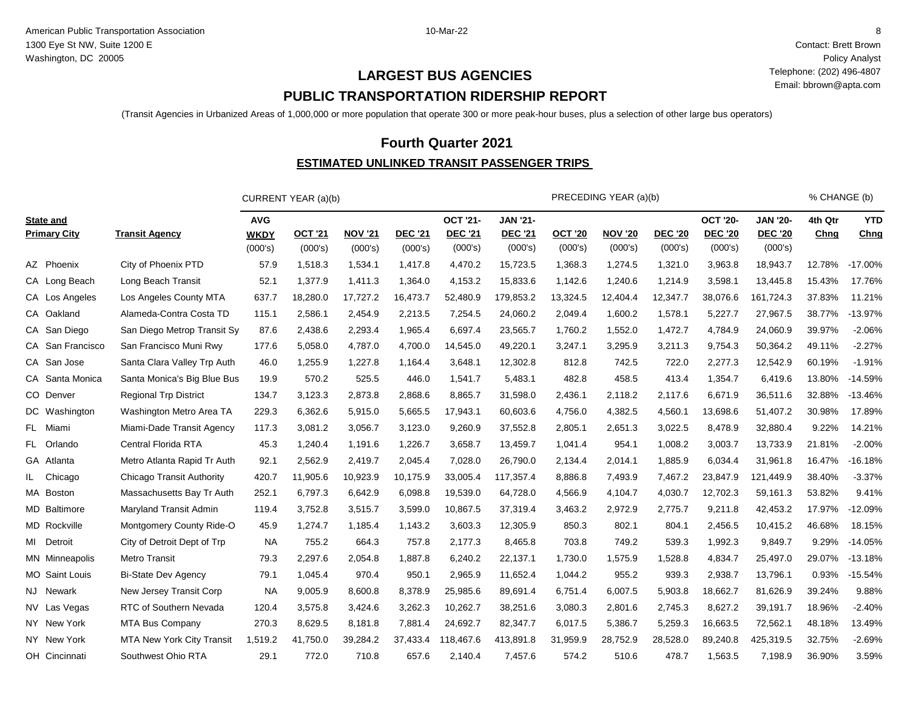Contact: Brett Brown Policy Analyst Telephone: (202) 496-4807 Email: bbrown@apta.com

# **PUBLIC TRANSPORTATION RIDERSHIP REPORT LARGEST BUS AGENCIES**

(Transit Agencies in Urbanized Areas of 1,000,000 or more population that operate 300 or more peak-hour buses, plus a selection of other large bus operators)

## **Fourth Quarter 2021**

## **ESTIMATED UNLINKED TRANSIT PASSENGER TRIPS**

|                                         |                                  |                                      | CURRENT YEAR (a)(b) |                           |                           |                                              |                                              |                           | PRECEDING YEAR (a)(b)     |                           |                                              |                                              | % CHANGE (b)    |                    |
|-----------------------------------------|----------------------------------|--------------------------------------|---------------------|---------------------------|---------------------------|----------------------------------------------|----------------------------------------------|---------------------------|---------------------------|---------------------------|----------------------------------------------|----------------------------------------------|-----------------|--------------------|
| <b>State and</b><br><b>Primary City</b> | <b>Transit Agency</b>            | <b>AVG</b><br><b>WKDY</b><br>(000's) | OCT '21<br>(000's)  | <b>NOV '21</b><br>(000's) | <b>DEC '21</b><br>(000's) | <b>OCT '21-</b><br><b>DEC '21</b><br>(000's) | <b>JAN '21-</b><br><b>DEC '21</b><br>(000's) | <b>OCT '20</b><br>(000's) | <b>NOV '20</b><br>(000's) | <b>DEC '20</b><br>(000's) | <b>OCT '20-</b><br><b>DEC '20</b><br>(000's) | <b>JAN '20-</b><br><b>DEC '20</b><br>(000's) | 4th Qtr<br>Chng | <b>YTD</b><br>Chng |
| AZ Phoenix                              | City of Phoenix PTD              | 57.9                                 | 1,518.3             | 1,534.1                   | 1,417.8                   | 4,470.2                                      | 15,723.5                                     | 1,368.3                   | 1,274.5                   | 1,321.0                   | 3,963.8                                      | 18,943.7                                     | 12.78%          | $-17.00\%$         |
| CA Long Beach                           | Long Beach Transit               | 52.1                                 | 1,377.9             | 1,411.3                   | 1,364.0                   | 4,153.2                                      | 15,833.6                                     | 1,142.6                   | 1,240.6                   | 1,214.9                   | 3,598.1                                      | 13,445.8                                     | 15.43%          | 17.76%             |
| CA Los Angeles                          | Los Angeles County MTA           | 637.7                                | 18,280.0            | 17,727.2                  | 16,473.7                  | 52,480.9                                     | 179,853.2                                    | 13,324.5                  | 12,404.4                  | 12,347.7                  | 38,076.6                                     | 161,724.3                                    | 37.83%          | 11.21%             |
| CA Oakland                              | Alameda-Contra Costa TD          | 115.1                                | 2,586.1             | 2,454.9                   | 2,213.5                   | 7,254.5                                      | 24,060.2                                     | 2,049.4                   | 1,600.2                   | 1,578.1                   | 5,227.7                                      | 27,967.5                                     | 38.77%          | $-13.97%$          |
| CA San Diego                            | San Diego Metrop Transit Sy      | 87.6                                 | 2,438.6             | 2,293.4                   | 1,965.4                   | 6,697.4                                      | 23,565.7                                     | 1,760.2                   | 1,552.0                   | 1,472.7                   | 4,784.9                                      | 24,060.9                                     | 39.97%          | $-2.06%$           |
| CA San Francisco                        | San Francisco Muni Rwy           | 177.6                                | 5,058.0             | 4,787.0                   | 4,700.0                   | 14,545.0                                     | 49,220.1                                     | 3,247.1                   | 3,295.9                   | 3,211.3                   | 9,754.3                                      | 50,364.2                                     | 49.11%          | $-2.27%$           |
| CA San Jose                             | Santa Clara Valley Trp Auth      | 46.0                                 | 1,255.9             | 1,227.8                   | 1,164.4                   | 3,648.1                                      | 12,302.8                                     | 812.8                     | 742.5                     | 722.0                     | 2,277.3                                      | 12,542.9                                     | 60.19%          | $-1.91%$           |
| CA Santa Monica                         | Santa Monica's Big Blue Bus      | 19.9                                 | 570.2               | 525.5                     | 446.0                     | 1,541.7                                      | 5,483.1                                      | 482.8                     | 458.5                     | 413.4                     | 1,354.7                                      | 6,419.6                                      | 13.80%          | $-14.59%$          |
| CO Denver                               | <b>Regional Trp District</b>     | 134.7                                | 3,123.3             | 2,873.8                   | 2,868.6                   | 8,865.7                                      | 31,598.0                                     | 2,436.1                   | 2,118.2                   | 2,117.6                   | 6,671.9                                      | 36,511.6                                     | 32.88%          | $-13.46%$          |
| DC Washington                           | Washington Metro Area TA         | 229.3                                | 6,362.6             | 5,915.0                   | 5,665.5                   | 17,943.1                                     | 60,603.6                                     | 4,756.0                   | 4,382.5                   | 4,560.1                   | 13,698.6                                     | 51,407.2                                     | 30.98%          | 17.89%             |
| FL Miami                                | Miami-Dade Transit Agency        | 117.3                                | 3,081.2             | 3,056.7                   | 3,123.0                   | 9,260.9                                      | 37,552.8                                     | 2,805.1                   | 2,651.3                   | 3,022.5                   | 8,478.9                                      | 32,880.4                                     | 9.22%           | 14.21%             |
| FL Orlando                              | Central Florida RTA              | 45.3                                 | 1,240.4             | 1,191.6                   | 1,226.7                   | 3,658.7                                      | 13,459.7                                     | 1,041.4                   | 954.1                     | 1,008.2                   | 3,003.7                                      | 13,733.9                                     | 21.81%          | $-2.00%$           |
| GA Atlanta                              | Metro Atlanta Rapid Tr Auth      | 92.1                                 | 2,562.9             | 2,419.7                   | 2,045.4                   | 7,028.0                                      | 26,790.0                                     | 2,134.4                   | 2,014.1                   | 1,885.9                   | 6,034.4                                      | 31,961.8                                     | 16.47%          | $-16.18%$          |
| IL Chicago                              | Chicago Transit Authority        | 420.7                                | 11,905.6            | 10,923.9                  | 10,175.9                  | 33,005.4                                     | 117,357.4                                    | 8,886.8                   | 7,493.9                   | 7,467.2                   | 23,847.9                                     | 121,449.9                                    | 38.40%          | $-3.37%$           |
| MA Boston                               | Massachusetts Bay Tr Auth        | 252.1                                | 6,797.3             | 6,642.9                   | 6,098.8                   | 19,539.0                                     | 64,728.0                                     | 4,566.9                   | 4,104.7                   | 4,030.7                   | 12,702.3                                     | 59,161.3                                     | 53.82%          | 9.41%              |
| <b>MD</b> Baltimore                     | Maryland Transit Admin           | 119.4                                | 3,752.8             | 3,515.7                   | 3,599.0                   | 10,867.5                                     | 37,319.4                                     | 3,463.2                   | 2,972.9                   | 2,775.7                   | 9,211.8                                      | 42,453.2                                     | 17.97%          | $-12.09%$          |
| MD Rockville                            | Montgomery County Ride-O         | 45.9                                 | 1,274.7             | 1,185.4                   | 1,143.2                   | 3,603.3                                      | 12,305.9                                     | 850.3                     | 802.1                     | 804.1                     | 2,456.5                                      | 10,415.2                                     | 46.68%          | 18.15%             |
| MI Detroit                              | City of Detroit Dept of Trp      | <b>NA</b>                            | 755.2               | 664.3                     | 757.8                     | 2,177.3                                      | 8,465.8                                      | 703.8                     | 749.2                     | 539.3                     | 1,992.3                                      | 9,849.7                                      | 9.29%           | $-14.05%$          |
| <b>MN</b> Minneapolis                   | <b>Metro Transit</b>             | 79.3                                 | 2,297.6             | 2,054.8                   | 1,887.8                   | 6,240.2                                      | 22,137.1                                     | 1,730.0                   | 1,575.9                   | 1,528.8                   | 4,834.7                                      | 25,497.0                                     | 29.07%          | $-13.18%$          |
| <b>MO</b> Saint Louis                   | <b>Bi-State Dev Agency</b>       | 79.1                                 | 1,045.4             | 970.4                     | 950.1                     | 2,965.9                                      | 11,652.4                                     | 1,044.2                   | 955.2                     | 939.3                     | 2,938.7                                      | 13,796.1                                     | 0.93%           | $-15.54%$          |
| NJ Newark                               | New Jersey Transit Corp          | <b>NA</b>                            | 9,005.9             | 8,600.8                   | 8,378.9                   | 25,985.6                                     | 89,691.4                                     | 6,751.4                   | 6,007.5                   | 5,903.8                   | 18,662.7                                     | 81,626.9                                     | 39.24%          | 9.88%              |
| NV Las Vegas                            | RTC of Southern Nevada           | 120.4                                | 3,575.8             | 3,424.6                   | 3,262.3                   | 10,262.7                                     | 38,251.6                                     | 3,080.3                   | 2,801.6                   | 2,745.3                   | 8,627.2                                      | 39,191.7                                     | 18.96%          | $-2.40%$           |
| NY New York                             | MTA Bus Company                  | 270.3                                | 8,629.5             | 8,181.8                   | 7,881.4                   | 24,692.7                                     | 82,347.7                                     | 6,017.5                   | 5,386.7                   | 5,259.3                   | 16,663.5                                     | 72,562.1                                     | 48.18%          | 13.49%             |
| NY New York                             | <b>MTA New York City Transit</b> | 1,519.2                              | 41,750.0            | 39,284.2                  | 37,433.4                  | 118,467.6                                    | 413,891.8                                    | 31,959.9                  | 28,752.9                  | 28,528.0                  | 89,240.8                                     | 425,319.5                                    | 32.75%          | $-2.69%$           |
| OH Cincinnati                           | Southwest Ohio RTA               | 29.1                                 | 772.0               | 710.8                     | 657.6                     | 2,140.4                                      | 7,457.6                                      | 574.2                     | 510.6                     | 478.7                     | 1,563.5                                      | 7,198.9                                      | 36.90%          | 3.59%              |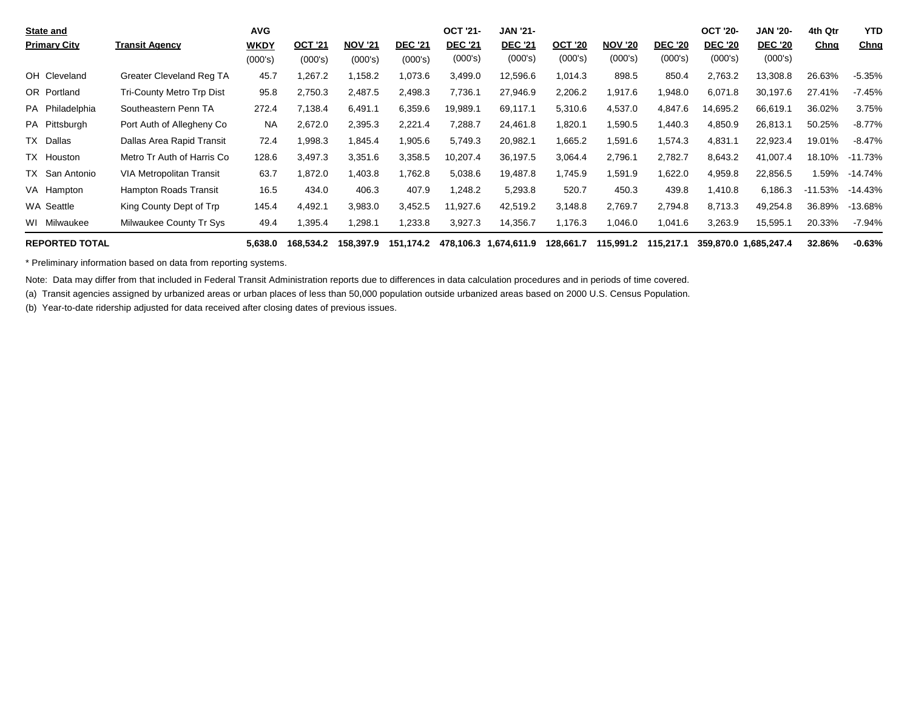| <b>State and</b>      |                                  | <b>AVG</b>  |                |                |                | <b>OCT '21-</b> | <b>JAN '21-</b> |                |                |                | <b>OCT '20-</b> | JAN '20-              | 4th Qtr     | <b>YTD</b> |
|-----------------------|----------------------------------|-------------|----------------|----------------|----------------|-----------------|-----------------|----------------|----------------|----------------|-----------------|-----------------------|-------------|------------|
| <b>Primary City</b>   | <b>Transit Agency</b>            | <b>WKDY</b> | <b>OCT '21</b> | <b>NOV '21</b> | <b>DEC '21</b> | <b>DEC '21</b>  | <b>DEC '21</b>  | <b>OCT '20</b> | <b>NOV '20</b> | <b>DEC '20</b> | <b>DEC '20</b>  | <b>DEC '20</b>        | <u>Chnq</u> | Chng       |
|                       |                                  | (000's)     | (000's)        | (000's)        | (000's)        | (000's)         | (000's)         | (000's)        | (000's)        | (000's)        | (000's)         | (000's)               |             |            |
| OH Cleveland          | Greater Cleveland Reg TA         | 45.7        | 1,267.2        | 1,158.2        | 1,073.6        | 3,499.0         | 12,596.6        | 1,014.3        | 898.5          | 850.4          | 2,763.2         | 13,308.8              | 26.63%      | $-5.35%$   |
| OR Portland           | <b>Tri-County Metro Trp Dist</b> | 95.8        | 2,750.3        | 2,487.5        | 2,498.3        | 7,736.1         | 27,946.9        | 2,206.2        | 1,917.6        | 1,948.0        | 6,071.8         | 30,197.6              | 27.41%      | $-7.45%$   |
| PA Philadelphia       | Southeastern Penn TA             | 272.4       | 7,138.4        | 6,491.1        | 6,359.6        | 19,989.1        | 69,117.1        | 5,310.6        | 4,537.0        | 4,847.6        | 14,695.2        | 66,619.1              | 36.02%      | 3.75%      |
| PA Pittsburgh         | Port Auth of Allegheny Co.       | <b>NA</b>   | 2,672.0        | 2,395.3        | 2,221.4        | 7,288.7         | 24,461.8        | 1,820.1        | 1,590.5        | 1.440.3        | 4,850.9         | 26,813.1              | 50.25%      | $-8.77%$   |
| TX Dallas             | Dallas Area Rapid Transit        | 72.4        | 1,998.3        | 1,845.4        | 1,905.6        | 5,749.3         | 20,982.1        | 1,665.2        | 1,591.6        | 1,574.3        | 4,831.1         | 22,923.4              | 19.01%      | $-8.47%$   |
| TX Houston            | Metro Tr Auth of Harris Co       | 128.6       | 3,497.3        | 3,351.6        | 3,358.5        | 10,207.4        | 36,197.5        | 3,064.4        | 2,796.1        | 2,782.7        | 8,643.2         | 41,007.4              | 18.10%      | $-11.73%$  |
| TX San Antonio        | VIA Metropolitan Transit         | 63.7        | 1,872.0        | .403.8         | 1,762.8        | 5,038.6         | 19,487.8        | 1,745.9        | 1,591.9        | 1,622.0        | 4,959.8         | 22,856.5              | 1.59%       | $-14.74\%$ |
| VA Hampton            | <b>Hampton Roads Transit</b>     | 16.5        | 434.0          | 406.3          | 407.9          | 1,248.2         | 5,293.8         | 520.7          | 450.3          | 439.8          | 410.8.          | 6,186.3               | -11.53%     | $-14.43%$  |
| WA Seattle            | King County Dept of Trp          | 145.4       | 4,492.1        | 3,983.0        | 3,452.5        | 11,927.6        | 42,519.2        | 3,148.8        | 2,769.7        | 2,794.8        | 8,713.3         | 49,254.8              | 36.89%      | $-13.68%$  |
| WI Milwaukee          | Milwaukee County Tr Sys          | 49.4        | 1,395.4        | ,298.1         | 1,233.8        | 3,927.3         | 14,356.7        | 1,176.3        | 1,046.0        | 1,041.6        | 3,263.9         | 15,595.1              | 20.33%      | $-7.94%$   |
| <b>REPORTED TOTAL</b> |                                  | 5,638.0     | 168,534.2      | 158,397.9      | 151,174.2      | 478,106.3       | 1,674,611.9     | 128,661.7      | 115,991.2      | 115,217.1      |                 | 359,870.0 1,685,247.4 | 32.86%      | $-0.63%$   |

\* Preliminary information based on data from reporting systems.

Note: Data may differ from that included in Federal Transit Administration reports due to differences in data calculation procedures and in periods of time covered.

(a) Transit agencies assigned by urbanized areas or urban places of less than 50,000 population outside urbanized areas based on 2000 U.S. Census Population.

(b) Year-to-date ridership adjusted for data received after closing dates of previous issues.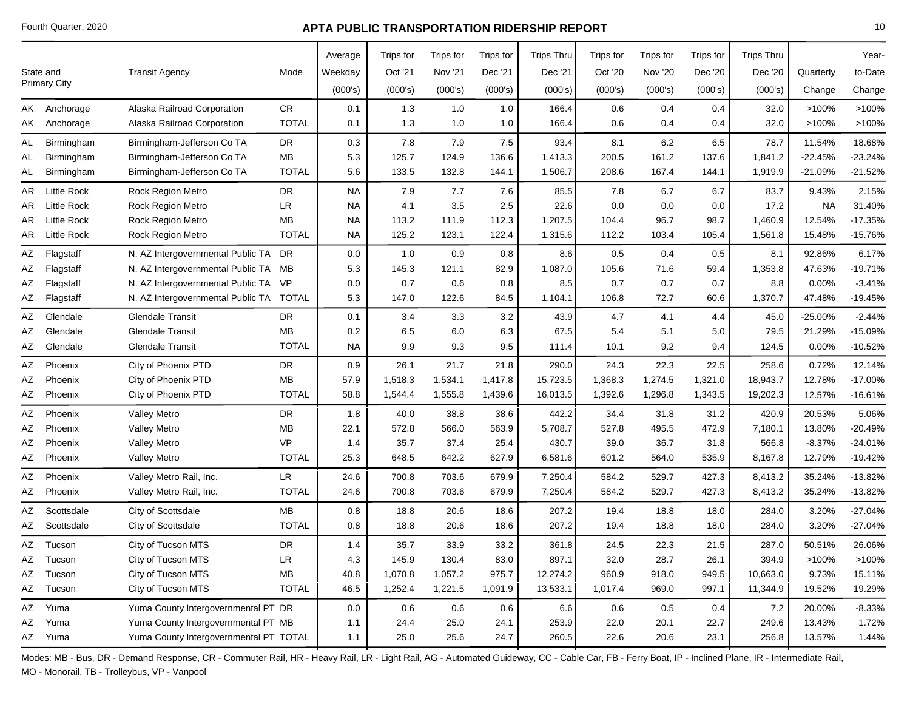|    |                     |                                         |              | Average   | Trips for | Trips for      | Trips for | <b>Trips Thru</b> | Trips for | Trips for      | Trips for | <b>Trips Thru</b> |           | Year-     |
|----|---------------------|-----------------------------------------|--------------|-----------|-----------|----------------|-----------|-------------------|-----------|----------------|-----------|-------------------|-----------|-----------|
|    | State and           | <b>Transit Agency</b>                   | Mode         | Weekday   | Oct '21   | <b>Nov '21</b> | Dec '21   | Dec '21           | Oct '20   | <b>Nov '20</b> | Dec '20   | Dec '20           | Quarterly | to-Date   |
|    | <b>Primary City</b> |                                         |              | (000's)   | (000's)   | (000's)        | (000's)   | (000's)           | (000's)   | (000's)        | (000's)   | (000's)           | Change    | Change    |
|    | AK Anchorage        | Alaska Railroad Corporation             | <b>CR</b>    | 0.1       | 1.3       | 1.0            | 1.0       | 166.4             | 0.6       | 0.4            | 0.4       | 32.0              | >100%     | >100%     |
|    | AK Anchorage        | Alaska Railroad Corporation             | <b>TOTAL</b> | 0.1       | 1.3       | 1.0            | 1.0       | 166.4             | 0.6       | 0.4            | 0.4       | 32.0              | >100%     | >100%     |
| AL | Birmingham          | Birmingham-Jefferson Co TA              | DR           | 0.3       | 7.8       | 7.9            | 7.5       | 93.4              | 8.1       | 6.2            | 6.5       | 78.7              | 11.54%    | 18.68%    |
| AL | Birmingham          | Birmingham-Jefferson Co TA              | MB           | 5.3       | 125.7     | 124.9          | 136.6     | 1,413.3           | 200.5     | 161.2          | 137.6     | 1,841.2           | $-22.45%$ | $-23.24%$ |
| AL | Birmingham          | Birmingham-Jefferson Co TA              | <b>TOTAL</b> | 5.6       | 133.5     | 132.8          | 144.1     | 1,506.7           | 208.6     | 167.4          | 144.1     | 1,919.9           | $-21.09%$ | $-21.52%$ |
| AR | <b>Little Rock</b>  | <b>Rock Region Metro</b>                | <b>DR</b>    | <b>NA</b> | 7.9       | 7.7            | 7.6       | 85.5              | 7.8       | 6.7            | 6.7       | 83.7              | 9.43%     | 2.15%     |
| AR | <b>Little Rock</b>  | <b>Rock Region Metro</b>                | LR.          | <b>NA</b> | 4.1       | 3.5            | 2.5       | 22.6              | 0.0       | 0.0            | 0.0       | 17.2              | <b>NA</b> | 31.40%    |
| AR | Little Rock         | <b>Rock Region Metro</b>                | MB           | NA        | 113.2     | 111.9          | 112.3     | 1,207.5           | 104.4     | 96.7           | 98.7      | 1,460.9           | 12.54%    | $-17.35%$ |
| AR | <b>Little Rock</b>  | Rock Region Metro                       | <b>TOTAL</b> | <b>NA</b> | 125.2     | 123.1          | 122.4     | 1,315.6           | 112.2     | 103.4          | 105.4     | 1,561.8           | 15.48%    | $-15.76%$ |
| AZ | Flagstaff           | N. AZ Intergovernmental Public TA       | <b>DR</b>    | 0.0       | 1.0       | 0.9            | 0.8       | 8.6               | 0.5       | 0.4            | 0.5       | 8.1               | 92.86%    | 6.17%     |
| AΖ | Flagstaff           | N. AZ Intergovernmental Public TA MB    |              | 5.3       | 145.3     | 121.1          | 82.9      | 1,087.0           | 105.6     | 71.6           | 59.4      | 1,353.8           | 47.63%    | $-19.71%$ |
| ΑZ | Flagstaff           | N. AZ Intergovernmental Public TA VP    |              | 0.0       | 0.7       | 0.6            | 0.8       | 8.5               | 0.7       | 0.7            | 0.7       | 8.8               | 0.00%     | $-3.41%$  |
| AΖ | Flagstaff           | N. AZ Intergovernmental Public TA TOTAL |              | 5.3       | 147.0     | 122.6          | 84.5      | 1,104.1           | 106.8     | 72.7           | 60.6      | 1,370.7           | 47.48%    | $-19.45%$ |
| ΑZ | Glendale            | <b>Glendale Transit</b>                 | DR           | 0.1       | 3.4       | 3.3            | 3.2       | 43.9              | 4.7       | 4.1            | 4.4       | 45.0              | $-25.00%$ | $-2.44%$  |
| ΑZ | Glendale            | <b>Glendale Transit</b>                 | <b>MB</b>    | 0.2       | 6.5       | 6.0            | 6.3       | 67.5              | 5.4       | 5.1            | 5.0       | 79.5              | 21.29%    | $-15.09%$ |
| AZ | Glendale            | <b>Glendale Transit</b>                 | <b>TOTAL</b> | <b>NA</b> | 9.9       | 9.3            | 9.5       | 111.4             | 10.1      | 9.2            | 9.4       | 124.5             | 0.00%     | $-10.52%$ |
| ΑZ | Phoenix             | City of Phoenix PTD                     | DR           | 0.9       | 26.1      | 21.7           | 21.8      | 290.0             | 24.3      | 22.3           | 22.5      | 258.6             | 0.72%     | 12.14%    |
| ΑZ | Phoenix             | City of Phoenix PTD                     | MB           | 57.9      | 1,518.3   | 1,534.1        | 1,417.8   | 15,723.5          | 1,368.3   | 1,274.5        | 1,321.0   | 18,943.7          | 12.78%    | $-17.00%$ |
| AZ | Phoenix             | City of Phoenix PTD                     | <b>TOTAL</b> | 58.8      | 1,544.4   | 1,555.8        | 1,439.6   | 16,013.5          | 1,392.6   | 1,296.8        | 1,343.5   | 19,202.3          | 12.57%    | $-16.61%$ |
| AZ | Phoenix             | <b>Valley Metro</b>                     | DR           | 1.8       | 40.0      | 38.8           | 38.6      | 442.2             | 34.4      | 31.8           | 31.2      | 420.9             | 20.53%    | 5.06%     |
| ΑZ | Phoenix             | <b>Valley Metro</b>                     | MВ           | 22.1      | 572.8     | 566.0          | 563.9     | 5,708.7           | 527.8     | 495.5          | 472.9     | 7,180.1           | 13.80%    | $-20.49%$ |
| ΑZ | Phoenix             | <b>Valley Metro</b>                     | <b>VP</b>    | 1.4       | 35.7      | 37.4           | 25.4      | 430.7             | 39.0      | 36.7           | 31.8      | 566.8             | $-8.37%$  | $-24.01%$ |
| AΖ | Phoenix             | <b>Valley Metro</b>                     | <b>TOTAL</b> | 25.3      | 648.5     | 642.2          | 627.9     | 6,581.6           | 601.2     | 564.0          | 535.9     | 8,167.8           | 12.79%    | $-19.42%$ |
| ΑZ | Phoenix             | Valley Metro Rail, Inc.                 | LR.          | 24.6      | 700.8     | 703.6          | 679.9     | 7,250.4           | 584.2     | 529.7          | 427.3     | 8,413.2           | 35.24%    | $-13.82%$ |
| AZ | Phoenix             | Valley Metro Rail, Inc.                 | <b>TOTAL</b> | 24.6      | 700.8     | 703.6          | 679.9     | 7,250.4           | 584.2     | 529.7          | 427.3     | 8,413.2           | 35.24%    | $-13.82%$ |
| ΑZ | Scottsdale          | City of Scottsdale                      | <b>MB</b>    | 0.8       | 18.8      | 20.6           | 18.6      | 207.2             | 19.4      | 18.8           | 18.0      | 284.0             | 3.20%     | $-27.04%$ |
| ΑZ | Scottsdale          | City of Scottsdale                      | <b>TOTAL</b> | 0.8       | 18.8      | 20.6           | 18.6      | 207.2             | 19.4      | 18.8           | 18.0      | 284.0             | 3.20%     | $-27.04%$ |
| ΑZ | Tucson              | City of Tucson MTS                      | <b>DR</b>    | 1.4       | 35.7      | 33.9           | 33.2      | 361.8             | 24.5      | 22.3           | 21.5      | 287.0             | 50.51%    | 26.06%    |
| AΖ | Tucson              | City of Tucson MTS                      | LR           | 4.3       | 145.9     | 130.4          | 83.0      | 897.1             | 32.0      | 28.7           | 26.1      | 394.9             | >100%     | >100%     |
| ΑZ | Tucson              | City of Tucson MTS                      | MB           | 40.8      | 1,070.8   | 1,057.2        | 975.7     | 12,274.2          | 960.9     | 918.0          | 949.5     | 10,663.0          | 9.73%     | 15.11%    |
|    | AZ Tucson           | City of Tucson MTS                      | <b>TOTAL</b> | 46.5      | 1,252.4   | 1,221.5        | 1,091.9   | 13,533.1          | 1,017.4   | 969.0          | 997.1     | 11,344.9          | 19.52%    | 19.29%    |
| AΖ | Yuma                | Yuma County Intergovernmental PT DR     |              | 0.0       | 0.6       | 0.6            | 0.6       | 6.6               | 0.6       | 0.5            | 0.4       | 7.2               | 20.00%    | $-8.33%$  |
| ΑZ | Yuma                | Yuma County Intergovernmental PT MB     |              | 1.1       | 24.4      | 25.0           | 24.1      | 253.9             | 22.0      | 20.1           | 22.7      | 249.6             | 13.43%    | 1.72%     |
|    | AZ Yuma             | Yuma County Intergovernmental PT TOTAL  |              | 1.1       | 25.0      | 25.6           | 24.7      | 260.5             | 22.6      | 20.6           | 23.1      | 256.8             | 13.57%    | 1.44%     |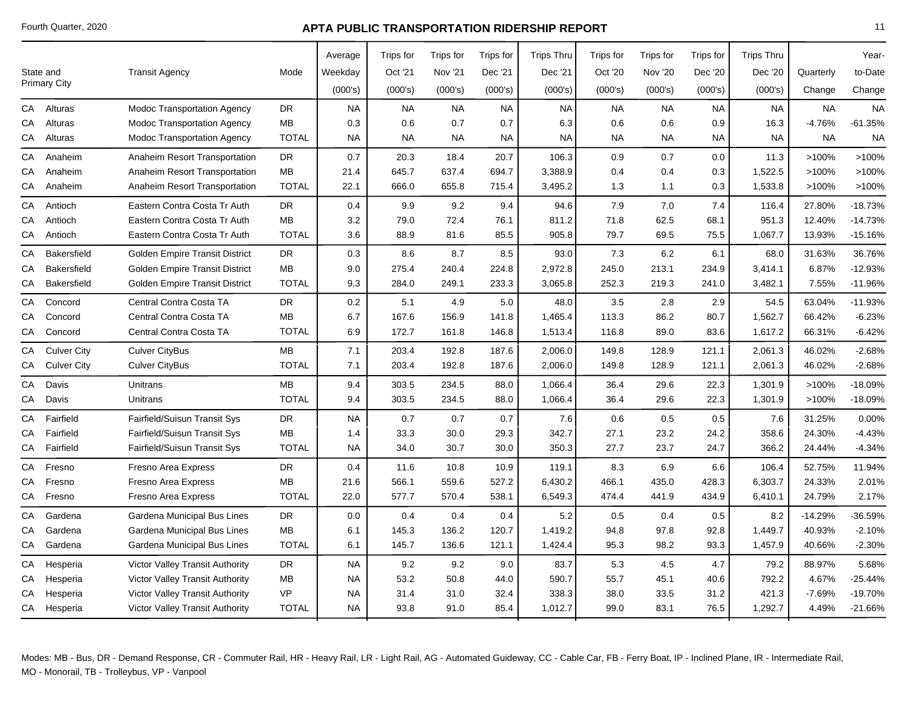|    |                     |                                        |              | Average   | <b>Trips for</b> | Trips for      | Trips for | <b>Trips Thru</b> | Trips for | Trips for | Trips for | <b>Trips Thru</b> |           | Year-     |
|----|---------------------|----------------------------------------|--------------|-----------|------------------|----------------|-----------|-------------------|-----------|-----------|-----------|-------------------|-----------|-----------|
|    | State and           | <b>Transit Agency</b>                  | Mode         | Weekday   | Oct '21          | <b>Nov '21</b> | Dec '21   | Dec '21           | Oct '20   | Nov '20   | Dec '20   | Dec '20           | Quarterly | to-Date   |
|    | <b>Primary City</b> |                                        |              | (000's)   | (000's)          | (000's)        | (000's)   | (000's)           | (000's)   | (000's)   | (000's)   | (000's)           | Change    | Change    |
| CА | Alturas             | <b>Modoc Transportation Agency</b>     | DR           | <b>NA</b> | <b>NA</b>        | <b>NA</b>      | <b>NA</b> | <b>NA</b>         | <b>NA</b> | <b>NA</b> | <b>NA</b> | <b>NA</b>         | <b>NA</b> | <b>NA</b> |
| СA | Alturas             | Modoc Transportation Agency            | <b>MB</b>    | 0.3       | 0.6              | 0.7            | 0.7       | 6.3               | 0.6       | 0.6       | 0.9       | 16.3              | -4.76%    | $-61.35%$ |
| CA | Alturas             | <b>Modoc Transportation Agency</b>     | <b>TOTAL</b> | <b>NA</b> | <b>NA</b>        | <b>NA</b>      | <b>NA</b> | <b>NA</b>         | <b>NA</b> | <b>NA</b> | <b>NA</b> | <b>NA</b>         | <b>NA</b> | <b>NA</b> |
| CА | Anaheim             | Anaheim Resort Transportation          | <b>DR</b>    | 0.7       | 20.3             | 18.4           | 20.7      | 106.3             | 0.9       | 0.7       | 0.0       | 11.3              | >100%     | >100%     |
| CА | Anaheim             | Anaheim Resort Transportation          | MВ           | 21.4      | 645.7            | 637.4          | 694.7     | 3,388.9           | 0.4       | 0.4       | 0.3       | 1,522.5           | $>100\%$  | >100%     |
| СA | Anaheim             | Anaheim Resort Transportation          | <b>TOTAL</b> | 22.1      | 666.0            | 655.8          | 715.4     | 3,495.2           | 1.3       | 1.1       | 0.3       | 1,533.8           | >100%     | >100%     |
| СA | Antioch             | Eastern Contra Costa Tr Auth           | <b>DR</b>    | 0.4       | 9.9              | 9.2            | 9.4       | 94.6              | 7.9       | 7.0       | 7.4       | 116.4             | 27.80%    | $-18.73%$ |
| СA | Antioch             | Eastern Contra Costa Tr Auth           | <b>MB</b>    | 3.2       | 79.0             | 72.4           | 76.1      | 811.2             | 71.8      | 62.5      | 68.1      | 951.3             | 12.40%    | $-14.73%$ |
| CA | Antioch             | Eastern Contra Costa Tr Auth           | <b>TOTAL</b> | 3.6       | 88.9             | 81.6           | 85.5      | 905.8             | 79.7      | 69.5      | 75.5      | 1,067.7           | 13.93%    | $-15.16%$ |
| СA | Bakersfield         | <b>Golden Empire Transit District</b>  | <b>DR</b>    | 0.3       | 8.6              | 8.7            | 8.5       | 93.0              | 7.3       | 6.2       | 6.1       | 68.0              | 31.63%    | 36.76%    |
| СA | Bakersfield         | <b>Golden Empire Transit District</b>  | <b>MB</b>    | 9.0       | 275.4            | 240.4          | 224.8     | 2,972.8           | 245.0     | 213.1     | 234.9     | 3,414.1           | 6.87%     | $-12.93%$ |
| СA | <b>Bakersfield</b>  | <b>Golden Empire Transit District</b>  | <b>TOTAL</b> | 9.3       | 284.0            | 249.1          | 233.3     | 3,065.8           | 252.3     | 219.3     | 241.0     | 3,482.1           | 7.55%     | $-11.96%$ |
| CА | Concord             | Central Contra Costa TA                | <b>DR</b>    | $0.2\,$   | 5.1              | 4.9            | 5.0       | 48.0              | 3.5       | 2.8       | 2.9       | 54.5              | 63.04%    | $-11.93%$ |
| CА | Concord             | Central Contra Costa TA                | MВ           | 6.7       | 167.6            | 156.9          | 141.8     | 1,465.4           | 113.3     | 86.2      | 80.7      | 1,562.7           | 66.42%    | $-6.23%$  |
| CA | Concord             | Central Contra Costa TA                | <b>TOTAL</b> | 6.9       | 172.7            | 161.8          | 146.8     | 1,513.4           | 116.8     | 89.0      | 83.6      | 1,617.2           | 66.31%    | $-6.42%$  |
| CA | <b>Culver City</b>  | <b>Culver CityBus</b>                  | MB           | 7.1       | 203.4            | 192.8          | 187.6     | 2,006.0           | 149.8     | 128.9     | 121.1     | 2,061.3           | 46.02%    | $-2.68%$  |
|    | CA Culver City      | <b>Culver CityBus</b>                  | <b>TOTAL</b> | 7.1       | 203.4            | 192.8          | 187.6     | 2,006.0           | 149.8     | 128.9     | 121.1     | 2,061.3           | 46.02%    | $-2.68%$  |
| СA | Davis               | Unitrans                               | MB           | 9.4       | 303.5            | 234.5          | 88.0      | 1,066.4           | 36.4      | 29.6      | 22.3      | 1,301.9           | >100%     | $-18.09%$ |
| CA | Davis               | Unitrans                               | <b>TOTAL</b> | 9.4       | 303.5            | 234.5          | 88.0      | 1,066.4           | 36.4      | 29.6      | 22.3      | 1,301.9           | >100%     | $-18.09%$ |
| СA | Fairfield           | Fairfield/Suisun Transit Sys           | <b>DR</b>    | <b>NA</b> | 0.7              | 0.7            | 0.7       | 7.6               | 0.6       | 0.5       | 0.5       | 7.6               | 31.25%    | 0.00%     |
| CА | Fairfield           | Fairfield/Suisun Transit Sys           | <b>MB</b>    | 1.4       | 33.3             | 30.0           | 29.3      | 342.7             | 27.1      | 23.2      | 24.2      | 358.6             | 24.30%    | -4.43%    |
| CA | Fairfield           | Fairfield/Suisun Transit Sys           | <b>TOTAL</b> | <b>NA</b> | 34.0             | 30.7           | 30.0      | 350.3             | 27.7      | 23.7      | 24.7      | 366.2             | 24.44%    | $-4.34%$  |
| CА | Fresno              | Fresno Area Express                    | <b>DR</b>    | 0.4       | 11.6             | 10.8           | 10.9      | 119.1             | 8.3       | 6.9       | 6.6       | 106.4             | 52.75%    | 11.94%    |
| СA | Fresno              | Fresno Area Express                    | MВ           | 21.6      | 566.1            | 559.6          | 527.2     | 6,430.2           | 466.1     | 435.0     | 428.3     | 6,303.7           | 24.33%    | 2.01%     |
| СA | Fresno              | <b>Fresno Area Express</b>             | <b>TOTAL</b> | 22.0      | 577.7            | 570.4          | 538.1     | 6,549.3           | 474.4     | 441.9     | 434.9     | 6,410.1           | 24.79%    | 2.17%     |
| СA | Gardena             | Gardena Municipal Bus Lines            | DR           | 0.0       | 0.4              | 0.4            | 0.4       | 5.2               | 0.5       | 0.4       | 0.5       | 8.2               | $-14.29%$ | -36.59%   |
| CА | Gardena             | Gardena Municipal Bus Lines            | MВ           | 6.1       | 145.3            | 136.2          | 120.7     | 1,419.2           | 94.8      | 97.8      | 92.8      | 1,449.7           | 40.93%    | $-2.10%$  |
| CA | Gardena             | Gardena Municipal Bus Lines            | <b>TOTAL</b> | 6.1       | 145.7            | 136.6          | 121.1     | 1,424.4           | 95.3      | 98.2      | 93.3      | 1,457.9           | 40.66%    | $-2.30%$  |
| СA | Hesperia            | Victor Valley Transit Authority        | <b>DR</b>    | <b>NA</b> | 9.2              | 9.2            | 9.0       | 83.7              | 5.3       | 4.5       | 4.7       | 79.2              | 88.97%    | 5.68%     |
| СA | Hesperia            | Victor Valley Transit Authority        | MВ           | <b>NA</b> | 53.2             | 50.8           | 44.0      | 590.7             | 55.7      | 45.1      | 40.6      | 792.2             | 4.67%     | $-25.44%$ |
| CА | Hesperia            | <b>Victor Valley Transit Authority</b> | VP           | <b>NA</b> | 31.4             | 31.0           | 32.4      | 338.3             | 38.0      | 33.5      | 31.2      | 421.3             | $-7.69%$  | -19.70%   |
|    | CA Hesperia         | <b>Victor Valley Transit Authority</b> | <b>TOTAL</b> | <b>NA</b> | 93.8             | 91.0           | 85.4      | 1,012.7           | 99.0      | 83.1      | 76.5      | 1,292.7           | 4.49%     | $-21.66%$ |
|    |                     |                                        |              |           |                  |                |           |                   |           |           |           |                   |           |           |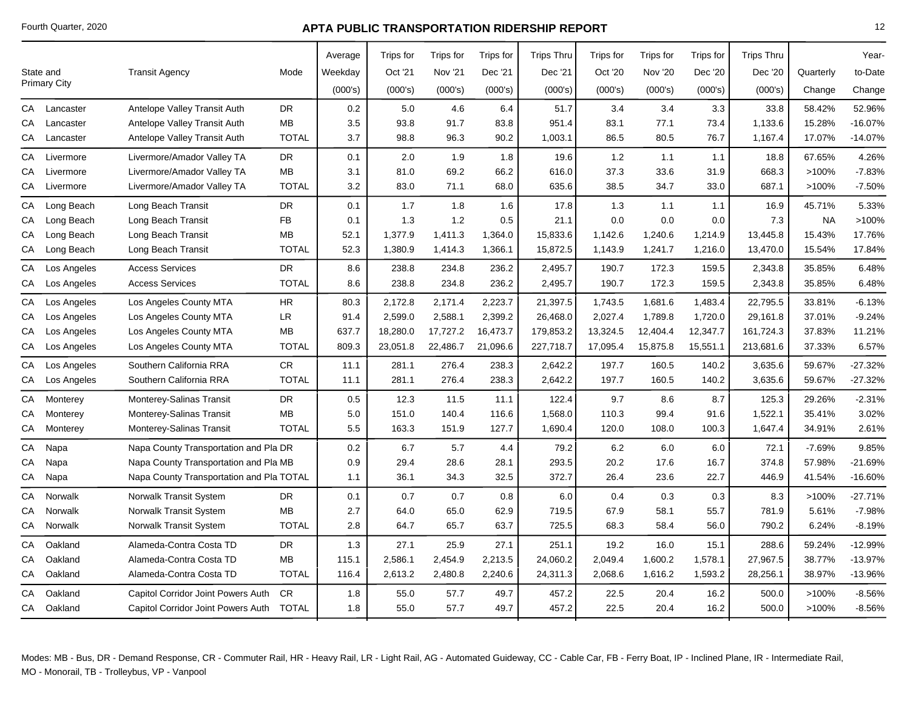|            |                     |                                          |              | Average | Trips for | Trips for      | Trips for | <b>Trips Thru</b> | Trips for | <b>Trips for</b> | Trips for | <b>Trips Thru</b> |           | Year-     |
|------------|---------------------|------------------------------------------|--------------|---------|-----------|----------------|-----------|-------------------|-----------|------------------|-----------|-------------------|-----------|-----------|
|            | State and           | <b>Transit Agency</b>                    | Mode         | Weekday | Oct '21   | <b>Nov '21</b> | Dec '21   | Dec '21           | Oct '20   | Nov '20          | Dec '20   | Dec '20           | Quarterly | to-Date   |
|            | <b>Primary City</b> |                                          |              | (000's) | (000's)   | (000's)        | (000's)   | (000's)           | (000's)   | (000's)          | (000's)   | (000's)           | Change    | Change    |
| СA         | Lancaster           | Antelope Valley Transit Auth             | <b>DR</b>    | 0.2     | 5.0       | 4.6            | 6.4       | 51.7              | 3.4       | 3.4              | 3.3       | 33.8              | 58.42%    | 52.96%    |
| CA         | Lancaster           | Antelope Valley Transit Auth             | MB           | 3.5     | 93.8      | 91.7           | 83.8      | 951.4             | 83.1      | 77.1             | 73.4      | 1,133.6           | 15.28%    | $-16.07%$ |
| CA         | Lancaster           | Antelope Valley Transit Auth             | <b>TOTAL</b> | 3.7     | 98.8      | 96.3           | 90.2      | 1,003.1           | 86.5      | 80.5             | 76.7      | 1,167.4           | 17.07%    | $-14.07%$ |
| CA         | Livermore           | Livermore/Amador Valley TA               | <b>DR</b>    | 0.1     | 2.0       | 1.9            | 1.8       | 19.6              | 1.2       | 1.1              | 1.1       | 18.8              | 67.65%    | 4.26%     |
| CA         | Livermore           | Livermore/Amador Valley TA               | MB           | 3.1     | 81.0      | 69.2           | 66.2      | 616.0             | 37.3      | 33.6             | 31.9      | 668.3             | >100%     | $-7.83%$  |
| CA         | Livermore           | Livermore/Amador Valley TA               | <b>TOTAL</b> | 3.2     | 83.0      | 71.1           | 68.0      | 635.6             | 38.5      | 34.7             | 33.0      | 687.1             | >100%     | $-7.50%$  |
| ${\sf CA}$ | Long Beach          | Long Beach Transit                       | <b>DR</b>    | 0.1     | 1.7       | 1.8            | 1.6       | 17.8              | 1.3       | 1.1              | 1.1       | 16.9              | 45.71%    | 5.33%     |
| ${\sf CA}$ | Long Beach          | Long Beach Transit                       | <b>FB</b>    | 0.1     | 1.3       | 1.2            | 0.5       | 21.1              | 0.0       | 0.0              | 0.0       | 7.3               | <b>NA</b> | >100%     |
| CA         | Long Beach          | Long Beach Transit                       | <b>MB</b>    | 52.1    | 1,377.9   | 1,411.3        | 1,364.0   | 15,833.6          | 1,142.6   | 1,240.6          | 1,214.9   | 13,445.8          | 15.43%    | 17.76%    |
| ${\sf CA}$ | Long Beach          | Long Beach Transit                       | <b>TOTAL</b> | 52.3    | 1,380.9   | 1,414.3        | 1,366.1   | 15,872.5          | 1,143.9   | 1,241.7          | 1,216.0   | 13,470.0          | 15.54%    | 17.84%    |
| ${\sf CA}$ | Los Angeles         | <b>Access Services</b>                   | <b>DR</b>    | 8.6     | 238.8     | 234.8          | 236.2     | 2,495.7           | 190.7     | 172.3            | 159.5     | 2,343.8           | 35.85%    | 6.48%     |
| СA         | Los Angeles         | <b>Access Services</b>                   | <b>TOTAL</b> | 8.6     | 238.8     | 234.8          | 236.2     | 2,495.7           | 190.7     | 172.3            | 159.5     | 2,343.8           | 35.85%    | 6.48%     |
| CA         | Los Angeles         | Los Angeles County MTA                   | <b>HR</b>    | 80.3    | 2,172.8   | 2,171.4        | 2,223.7   | 21,397.5          | 1,743.5   | 1,681.6          | 1,483.4   | 22,795.5          | 33.81%    | $-6.13%$  |
| CA         | Los Angeles         | Los Angeles County MTA                   | <b>LR</b>    | 91.4    | 2,599.0   | 2,588.1        | 2,399.2   | 26,468.0          | 2,027.4   | 1,789.8          | 1,720.0   | 29,161.8          | 37.01%    | $-9.24%$  |
| CA         | Los Angeles         | Los Angeles County MTA                   | <b>MB</b>    | 637.7   | 18,280.0  | 17,727.2       | 16,473.7  | 179,853.2         | 13,324.5  | 12,404.4         | 12,347.7  | 161,724.3         | 37.83%    | 11.21%    |
| СA         | Los Angeles         | Los Angeles County MTA                   | <b>TOTAL</b> | 809.3   | 23,051.8  | 22,486.7       | 21,096.6  | 227,718.7         | 17,095.4  | 15,875.8         | 15,551.1  | 213,681.6         | 37.33%    | 6.57%     |
| CA         | Los Angeles         | Southern California RRA                  | <b>CR</b>    | 11.1    | 281.1     | 276.4          | 238.3     | 2,642.2           | 197.7     | 160.5            | 140.2     | 3,635.6           | 59.67%    | $-27.32%$ |
| CA         | Los Angeles         | Southern California RRA                  | <b>TOTAL</b> | 11.1    | 281.1     | 276.4          | 238.3     | 2,642.2           | 197.7     | 160.5            | 140.2     | 3,635.6           | 59.67%    | $-27.32%$ |
| CA         | Monterey            | Monterey-Salinas Transit                 | DR           | 0.5     | 12.3      | 11.5           | 11.1      | 122.4             | 9.7       | 8.6              | 8.7       | 125.3             | 29.26%    | $-2.31%$  |
| ${\sf CA}$ | Monterey            | Monterey-Salinas Transit                 | MB           | 5.0     | 151.0     | 140.4          | 116.6     | 1,568.0           | 110.3     | 99.4             | 91.6      | 1,522.1           | 35.41%    | 3.02%     |
| CA         | Monterey            | Monterey-Salinas Transit                 | <b>TOTAL</b> | 5.5     | 163.3     | 151.9          | 127.7     | 1,690.4           | 120.0     | 108.0            | 100.3     | 1,647.4           | 34.91%    | 2.61%     |
| CA         | Napa                | Napa County Transportation and Pla DR    |              | 0.2     | 6.7       | 5.7            | 4.4       | 79.2              | 6.2       | 6.0              | 6.0       | 72.1              | $-7.69%$  | 9.85%     |
| CA         | Napa                | Napa County Transportation and Pla MB    |              | 0.9     | 29.4      | 28.6           | 28.1      | 293.5             | 20.2      | 17.6             | 16.7      | 374.8             | 57.98%    | $-21.69%$ |
| СA         | Napa                | Napa County Transportation and Pla TOTAL |              | 1.1     | 36.1      | 34.3           | 32.5      | 372.7             | 26.4      | 23.6             | 22.7      | 446.9             | 41.54%    | $-16.60%$ |
| CA         | Norwalk             | Norwalk Transit System                   | DR           | 0.1     | 0.7       | 0.7            | 0.8       | 6.0               | 0.4       | 0.3              | 0.3       | 8.3               | >100%     | $-27.71%$ |
| CA         | Norwalk             | Norwalk Transit System                   | <b>MB</b>    | 2.7     | 64.0      | 65.0           | 62.9      | 719.5             | 67.9      | 58.1             | 55.7      | 781.9             | 5.61%     | $-7.98%$  |
| CA         | Norwalk             | Norwalk Transit System                   | <b>TOTAL</b> | 2.8     | 64.7      | 65.7           | 63.7      | 725.5             | 68.3      | 58.4             | 56.0      | 790.2             | 6.24%     | $-8.19%$  |
| CA         | Oakland             | Alameda-Contra Costa TD                  | DR           | 1.3     | 27.1      | 25.9           | 27.1      | 251.1             | 19.2      | 16.0             | 15.1      | 288.6             | 59.24%    | $-12.99%$ |
| CA         | Oakland             | Alameda-Contra Costa TD                  | <b>MB</b>    | 115.1   | 2,586.1   | 2,454.9        | 2,213.5   | 24,060.2          | 2,049.4   | 1,600.2          | 1,578.1   | 27,967.5          | 38.77%    | $-13.97%$ |
| CA         | Oakland             | Alameda-Contra Costa TD                  | <b>TOTAL</b> | 116.4   | 2,613.2   | 2,480.8        | 2,240.6   | 24,311.3          | 2,068.6   | 1,616.2          | 1,593.2   | 28,256.1          | 38.97%    | -13.96%   |
| CA         | Oakland             | Capitol Corridor Joint Powers Auth       | <b>CR</b>    | 1.8     | 55.0      | 57.7           | 49.7      | 457.2             | 22.5      | 20.4             | 16.2      | 500.0             | >100%     | $-8.56%$  |
|            | CA Oakland          | Capitol Corridor Joint Powers Auth TOTAL |              | 1.8     | 55.0      | 57.7           | 49.7      | 457.2             | 22.5      | 20.4             | 16.2      | 500.0             | >100%     | $-8.56%$  |
|            |                     |                                          |              |         |           |                |           |                   |           |                  |           |                   |           |           |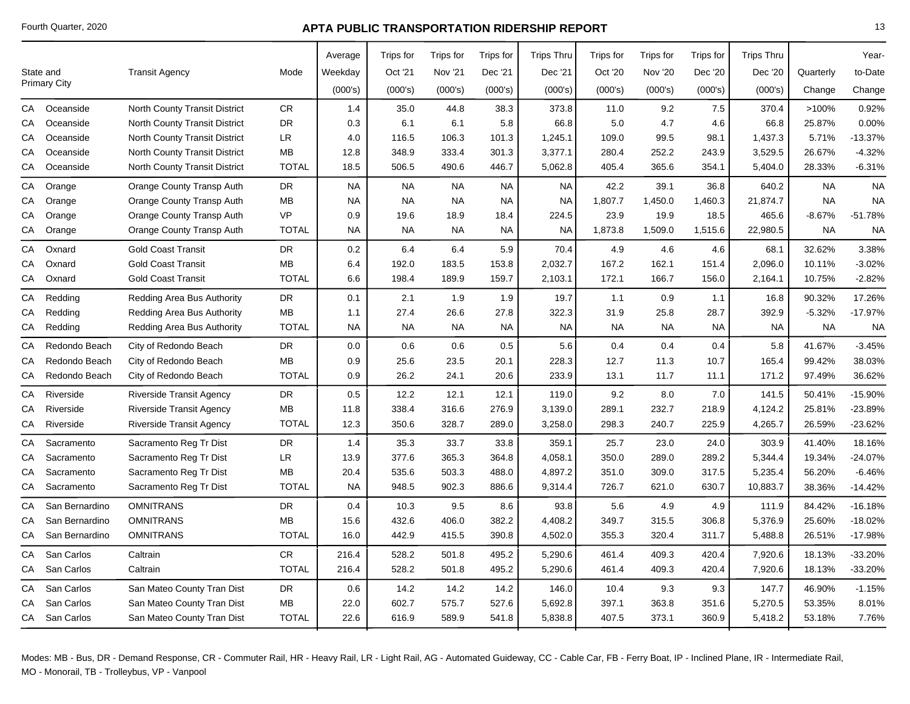|                     |                |                                      |              | Average   | Trips for | Trips for | Trips for | <b>Trips Thru</b> | Trips for | Trips for | <b>Trips for</b> | <b>Trips Thru</b> |           | Year-     |
|---------------------|----------------|--------------------------------------|--------------|-----------|-----------|-----------|-----------|-------------------|-----------|-----------|------------------|-------------------|-----------|-----------|
| State and           |                | <b>Transit Agency</b>                | Mode         | Weekday   | Oct '21   | Nov '21   | Dec '21   | Dec '21           | Oct '20   | Nov '20   | Dec '20          | Dec '20           | Quarterly | to-Date   |
| <b>Primary City</b> |                |                                      |              | (000's)   | (000's)   | (000's)   | (000's)   | (000's)           | (000's)   | (000's)   | (000's)          | (000's)           | Change    | Change    |
| CA                  | Oceanside      | <b>North County Transit District</b> | <b>CR</b>    | 1.4       | 35.0      | 44.8      | 38.3      | 373.8             | 11.0      | 9.2       | $7.5\,$          | 370.4             | >100%     | 0.92%     |
| СA                  | Oceanside      | <b>North County Transit District</b> | <b>DR</b>    | 0.3       | 6.1       | 6.1       | 5.8       | 66.8              | 5.0       | 4.7       | 4.6              | 66.8              | 25.87%    | 0.00%     |
| СA                  | Oceanside      | <b>North County Transit District</b> | LR           | 4.0       | 116.5     | 106.3     | 101.3     | 1,245.1           | 109.0     | 99.5      | 98.1             | 1,437.3           | 5.71%     | $-13.37%$ |
| СA                  | Oceanside      | <b>North County Transit District</b> | <b>MB</b>    | 12.8      | 348.9     | 333.4     | 301.3     | 3,377.1           | 280.4     | 252.2     | 243.9            | 3,529.5           | 26.67%    | $-4.32%$  |
| CA                  | Oceanside      | <b>North County Transit District</b> | <b>TOTAL</b> | 18.5      | 506.5     | 490.6     | 446.7     | 5,062.8           | 405.4     | 365.6     | 354.1            | 5,404.0           | 28.33%    | $-6.31%$  |
| СA                  | Orange         | Orange County Transp Auth            | <b>DR</b>    | <b>NA</b> | <b>NA</b> | <b>NA</b> | <b>NA</b> | <b>NA</b>         | 42.2      | 39.1      | 36.8             | 640.2             | <b>NA</b> | <b>NA</b> |
| СA                  | Orange         | Orange County Transp Auth            | <b>MB</b>    | <b>NA</b> | <b>NA</b> | <b>NA</b> | <b>NA</b> | NA                | 1,807.7   | 1,450.0   | 1,460.3          | 21,874.7          | <b>NA</b> | <b>NA</b> |
| СA                  | Orange         | Orange County Transp Auth            | <b>VP</b>    | 0.9       | 19.6      | 18.9      | 18.4      | 224.5             | 23.9      | 19.9      | 18.5             | 465.6             | $-8.67%$  | $-51.78%$ |
| CA                  | Orange         | Orange County Transp Auth            | <b>TOTAL</b> | <b>NA</b> | <b>NA</b> | <b>NA</b> | <b>NA</b> | <b>NA</b>         | 1,873.8   | 1,509.0   | 1,515.6          | 22,980.5          | <b>NA</b> | <b>NA</b> |
| СA                  | Oxnard         | <b>Gold Coast Transit</b>            | DR           | $0.2\,$   | 6.4       | 6.4       | 5.9       | 70.4              | 4.9       | 4.6       | 4.6              | 68.1              | 32.62%    | 3.38%     |
| СA                  | Oxnard         | <b>Gold Coast Transit</b>            | <b>MB</b>    | 6.4       | 192.0     | 183.5     | 153.8     | 2,032.7           | 167.2     | 162.1     | 151.4            | 2,096.0           | 10.11%    | $-3.02%$  |
| СA                  | Oxnard         | <b>Gold Coast Transit</b>            | <b>TOTAL</b> | 6.6       | 198.4     | 189.9     | 159.7     | 2,103.1           | 172.1     | 166.7     | 156.0            | 2,164.1           | 10.75%    | $-2.82%$  |
| СA                  | Redding        | Redding Area Bus Authority           | <b>DR</b>    | 0.1       | 2.1       | 1.9       | 1.9       | 19.7              | 1.1       | 0.9       | 1.1              | 16.8              | 90.32%    | 17.26%    |
| СA                  | Redding        | Redding Area Bus Authority           | MB           | 1.1       | 27.4      | 26.6      | 27.8      | 322.3             | 31.9      | 25.8      | 28.7             | 392.9             | $-5.32%$  | $-17.97%$ |
| СA                  | Redding        | Redding Area Bus Authority           | <b>TOTAL</b> | <b>NA</b> | <b>NA</b> | <b>NA</b> | <b>NA</b> | <b>NA</b>         | <b>NA</b> | <b>NA</b> | <b>NA</b>        | <b>NA</b>         | <b>NA</b> | <b>NA</b> |
| СA                  | Redondo Beach  | City of Redondo Beach                | <b>DR</b>    | 0.0       | 0.6       | 0.6       | 0.5       | 5.6               | 0.4       | 0.4       | 0.4              | 5.8               | 41.67%    | $-3.45%$  |
| СA                  | Redondo Beach  | City of Redondo Beach                | MB           | 0.9       | 25.6      | 23.5      | 20.1      | 228.3             | 12.7      | 11.3      | 10.7             | 165.4             | 99.42%    | 38.03%    |
| СA                  | Redondo Beach  | City of Redondo Beach                | <b>TOTAL</b> | 0.9       | 26.2      | 24.1      | 20.6      | 233.9             | 13.1      | 11.7      | 11.1             | 171.2             | 97.49%    | 36.62%    |
| СA                  | Riverside      | <b>Riverside Transit Agency</b>      | DR           | 0.5       | 12.2      | 12.1      | 12.1      | 119.0             | 9.2       | 8.0       | 7.0              | 141.5             | 50.41%    | -15.90%   |
| СA                  | Riverside      | <b>Riverside Transit Agency</b>      | MB           | 11.8      | 338.4     | 316.6     | 276.9     | 3,139.0           | 289.1     | 232.7     | 218.9            | 4,124.2           | 25.81%    | -23.89%   |
| CA                  | Riverside      | <b>Riverside Transit Agency</b>      | <b>TOTAL</b> | 12.3      | 350.6     | 328.7     | 289.0     | 3,258.0           | 298.3     | 240.7     | 225.9            | 4,265.7           | 26.59%    | $-23.62%$ |
| СA                  | Sacramento     | Sacramento Reg Tr Dist               | <b>DR</b>    | 1.4       | 35.3      | 33.7      | 33.8      | 359.1             | 25.7      | 23.0      | 24.0             | 303.9             | 41.40%    | 18.16%    |
| СA                  | Sacramento     | Sacramento Reg Tr Dist               | <b>LR</b>    | 13.9      | 377.6     | 365.3     | 364.8     | 4,058.1           | 350.0     | 289.0     | 289.2            | 5,344.4           | 19.34%    | -24.07%   |
| СA                  | Sacramento     | Sacramento Reg Tr Dist               | <b>MB</b>    | 20.4      | 535.6     | 503.3     | 488.0     | 4,897.2           | 351.0     | 309.0     | 317.5            | 5,235.4           | 56.20%    | $-6.46%$  |
| СA                  | Sacramento     | Sacramento Reg Tr Dist               | <b>TOTAL</b> | <b>NA</b> | 948.5     | 902.3     | 886.6     | 9,314.4           | 726.7     | 621.0     | 630.7            | 10,883.7          | 38.36%    | $-14.42%$ |
| СA                  | San Bernardino | <b>OMNITRANS</b>                     | DR           | 0.4       | 10.3      | 9.5       | 8.6       | 93.8              | 5.6       | 4.9       | 4.9              | 111.9             | 84.42%    | $-16.18%$ |
| СA                  | San Bernardino | <b>OMNITRANS</b>                     | <b>MB</b>    | 15.6      | 432.6     | 406.0     | 382.2     | 4,408.2           | 349.7     | 315.5     | 306.8            | 5,376.9           | 25.60%    | $-18.02%$ |
| СA                  | San Bernardino | <b>OMNITRANS</b>                     | <b>TOTAL</b> | 16.0      | 442.9     | 415.5     | 390.8     | 4,502.0           | 355.3     | 320.4     | 311.7            | 5,488.8           | 26.51%    | $-17.98%$ |
| СA                  | San Carlos     | Caltrain                             | CR           | 216.4     | 528.2     | 501.8     | 495.2     | 5,290.6           | 461.4     | 409.3     | 420.4            | 7,920.6           | 18.13%    | -33.20%   |
| CA                  | San Carlos     | Caltrain                             | <b>TOTAL</b> | 216.4     | 528.2     | 501.8     | 495.2     | 5,290.6           | 461.4     | 409.3     | 420.4            | 7,920.6           | 18.13%    | -33.20%   |
| СA                  | San Carlos     | San Mateo County Tran Dist           | DR           | 0.6       | 14.2      | 14.2      | 14.2      | 146.0             | 10.4      | 9.3       | 9.3              | 147.7             | 46.90%    | $-1.15%$  |
| СA                  | San Carlos     | San Mateo County Tran Dist           | MB           | 22.0      | 602.7     | 575.7     | 527.6     | 5,692.8           | 397.1     | 363.8     | 351.6            | 5,270.5           | 53.35%    | 8.01%     |
|                     | CA San Carlos  | San Mateo County Tran Dist           | <b>TOTAL</b> | 22.6      | 616.9     | 589.9     | 541.8     | 5,838.8           | 407.5     | 373.1     | 360.9            | 5,418.2           | 53.18%    | 7.76%     |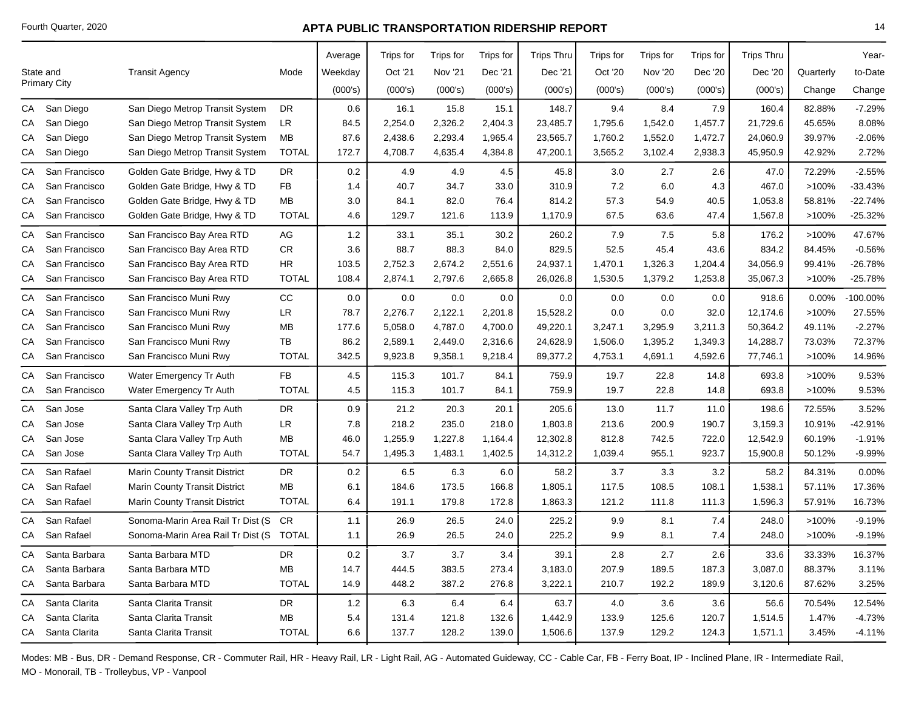|    |                     |                                      |              | Average | Trips for | Trips for | Trips for | <b>Trips Thru</b> | Trips for | Trips for | Trips for | <b>Trips Thru</b> |           | Year-     |
|----|---------------------|--------------------------------------|--------------|---------|-----------|-----------|-----------|-------------------|-----------|-----------|-----------|-------------------|-----------|-----------|
|    | State and           | <b>Transit Agency</b>                | Mode         | Weekday | Oct '21   | Nov '21   | Dec '21   | Dec '21           | Oct '20   | Nov '20   | Dec '20   | Dec '20           | Quarterly | to-Date   |
|    | <b>Primary City</b> |                                      |              | (000's) | (000's)   | (000's)   | (000's)   | (000's)           | (000's)   | (000's)   | (000's)   | (000's)           | Change    | Change    |
| СA | San Diego           | San Diego Metrop Transit System      | <b>DR</b>    | 0.6     | 16.1      | 15.8      | 15.1      | 148.7             | 9.4       | 8.4       | 7.9       | 160.4             | 82.88%    | $-7.29%$  |
| СA | San Diego           | San Diego Metrop Transit System      | LR           | 84.5    | 2,254.0   | 2,326.2   | 2,404.3   | 23,485.7          | 1,795.6   | 1,542.0   | 1,457.7   | 21,729.6          | 45.65%    | 8.08%     |
| СA | San Diego           | San Diego Metrop Transit System      | <b>MB</b>    | 87.6    | 2,438.6   | 2,293.4   | 1,965.4   | 23,565.7          | 1,760.2   | 1,552.0   | 1,472.7   | 24,060.9          | 39.97%    | $-2.06%$  |
| СA | San Diego           | San Diego Metrop Transit System      | <b>TOTAL</b> | 172.7   | 4,708.7   | 4,635.4   | 4,384.8   | 47,200.1          | 3,565.2   | 3,102.4   | 2,938.3   | 45,950.9          | 42.92%    | 2.72%     |
| CA | San Francisco       | Golden Gate Bridge, Hwy & TD         | DR           | 0.2     | 4.9       | 4.9       | 4.5       | 45.8              | 3.0       | 2.7       | 2.6       | 47.0              | 72.29%    | $-2.55%$  |
| CA | San Francisco       | Golden Gate Bridge, Hwy & TD         | <b>FB</b>    | 1.4     | 40.7      | 34.7      | 33.0      | 310.9             | 7.2       | 6.0       | 4.3       | 467.0             | >100%     | $-33.43%$ |
| СA | San Francisco       | Golden Gate Bridge, Hwy & TD         | MВ           | 3.0     | 84.1      | 82.0      | 76.4      | 814.2             | 57.3      | 54.9      | 40.5      | 1,053.8           | 58.81%    | $-22.74%$ |
| СA | San Francisco       | Golden Gate Bridge, Hwy & TD         | <b>TOTAL</b> | 4.6     | 129.7     | 121.6     | 113.9     | 1,170.9           | 67.5      | 63.6      | 47.4      | 1,567.8           | >100%     | $-25.32%$ |
| CA | San Francisco       | San Francisco Bay Area RTD           | AG           | 1.2     | 33.1      | 35.1      | 30.2      | 260.2             | 7.9       | 7.5       | 5.8       | 176.2             | >100%     | 47.67%    |
| CA | San Francisco       | San Francisco Bay Area RTD           | CR           | 3.6     | 88.7      | 88.3      | 84.0      | 829.5             | 52.5      | 45.4      | 43.6      | 834.2             | 84.45%    | $-0.56%$  |
| СA | San Francisco       | San Francisco Bay Area RTD           | HR.          | 103.5   | 2,752.3   | 2,674.2   | 2,551.6   | 24,937.1          | 1,470.1   | 1,326.3   | 1,204.4   | 34,056.9          | 99.41%    | $-26.78%$ |
| CA | San Francisco       | San Francisco Bay Area RTD           | <b>TOTAL</b> | 108.4   | 2,874.1   | 2,797.6   | 2,665.8   | 26,026.8          | 1,530.5   | 1,379.2   | 1,253.8   | 35,067.3          | >100%     | $-25.78%$ |
| CA | San Francisco       | San Francisco Muni Rwy               | CC           | 0.0     | 0.0       | 0.0       | 0.0       | 0.0               | 0.0       | 0.0       | 0.0       | 918.6             | 0.00%     | -100.00%  |
| СA | San Francisco       | San Francisco Muni Rwy               | LR           | 78.7    | 2,276.7   | 2,122.1   | 2,201.8   | 15,528.2          | 0.0       | 0.0       | 32.0      | 12,174.6          | >100%     | 27.55%    |
| CA | San Francisco       | San Francisco Muni Rwy               | MВ           | 177.6   | 5,058.0   | 4,787.0   | 4,700.0   | 49,220.1          | 3,247.1   | 3,295.9   | 3,211.3   | 50,364.2          | 49.11%    | $-2.27%$  |
| СA | San Francisco       | San Francisco Muni Rwy               | TB           | 86.2    | 2,589.1   | 2,449.0   | 2,316.6   | 24,628.9          | 1,506.0   | 1,395.2   | 1,349.3   | 14,288.7          | 73.03%    | 72.37%    |
| СA | San Francisco       | San Francisco Muni Rwy               | <b>TOTAL</b> | 342.5   | 9,923.8   | 9,358.1   | 9,218.4   | 89,377.2          | 4,753.1   | 4,691.1   | 4,592.6   | 77,746.1          | >100%     | 14.96%    |
| CA | San Francisco       | Water Emergency Tr Auth              | FB           | 4.5     | 115.3     | 101.7     | 84.1      | 759.9             | 19.7      | 22.8      | 14.8      | 693.8             | >100%     | 9.53%     |
| СA | San Francisco       | Water Emergency Tr Auth              | <b>TOTAL</b> | 4.5     | 115.3     | 101.7     | 84.1      | 759.9             | 19.7      | 22.8      | 14.8      | 693.8             | >100%     | 9.53%     |
| CA | San Jose            | Santa Clara Valley Trp Auth          | DR           | 0.9     | 21.2      | 20.3      | 20.1      | 205.6             | 13.0      | 11.7      | 11.0      | 198.6             | 72.55%    | 3.52%     |
| CA | San Jose            | Santa Clara Valley Trp Auth          | ${\sf LR}$   | 7.8     | 218.2     | 235.0     | 218.0     | 1,803.8           | 213.6     | 200.9     | 190.7     | 3,159.3           | 10.91%    | -42.91%   |
| СA | San Jose            | Santa Clara Valley Trp Auth          | <b>MB</b>    | 46.0    | 1,255.9   | 1,227.8   | 1,164.4   | 12,302.8          | 812.8     | 742.5     | 722.0     | 12,542.9          | 60.19%    | $-1.91%$  |
| СA | San Jose            | Santa Clara Valley Trp Auth          | <b>TOTAL</b> | 54.7    | 1,495.3   | 1,483.1   | 1,402.5   | 14,312.2          | 1,039.4   | 955.1     | 923.7     | 15,900.8          | 50.12%    | $-9.99%$  |
| CA | San Rafael          | <b>Marin County Transit District</b> | DR           | 0.2     | 6.5       | 6.3       | 6.0       | 58.2              | 3.7       | 3.3       | 3.2       | 58.2              | 84.31%    | 0.00%     |
| CA | San Rafael          | <b>Marin County Transit District</b> | <b>MB</b>    | 6.1     | 184.6     | 173.5     | 166.8     | 1,805.1           | 117.5     | 108.5     | 108.1     | 1,538.1           | 57.11%    | 17.36%    |
| CA | San Rafael          | <b>Marin County Transit District</b> | <b>TOTAL</b> | 6.4     | 191.1     | 179.8     | 172.8     | 1,863.3           | 121.2     | 111.8     | 111.3     | 1,596.3           | 57.91%    | 16.73%    |
| CA | San Rafael          | Sonoma-Marin Area Rail Tr Dist (S    | <b>CR</b>    | 1.1     | 26.9      | 26.5      | 24.0      | 225.2             | 9.9       | 8.1       | 7.4       | 248.0             | >100%     | $-9.19%$  |
| CA | San Rafael          | Sonoma-Marin Area Rail Tr Dist (S    | TOTAL        | 1.1     | 26.9      | 26.5      | 24.0      | 225.2             | 9.9       | 8.1       | 7.4       | 248.0             | >100%     | $-9.19%$  |
| CA | Santa Barbara       | Santa Barbara MTD                    | <b>DR</b>    | 0.2     | 3.7       | 3.7       | 3.4       | 39.1              | $2.8\,$   | 2.7       | 2.6       | 33.6              | 33.33%    | 16.37%    |
| CA | Santa Barbara       | Santa Barbara MTD                    | MB           | 14.7    | 444.5     | 383.5     | 273.4     | 3,183.0           | 207.9     | 189.5     | 187.3     | 3,087.0           | 88.37%    | 3.11%     |
| CA | Santa Barbara       | Santa Barbara MTD                    | <b>TOTAL</b> | 14.9    | 448.2     | 387.2     | 276.8     | 3,222.1           | 210.7     | 192.2     | 189.9     | 3,120.6           | 87.62%    | 3.25%     |
| CA | Santa Clarita       | Santa Clarita Transit                | DR           | 1.2     | 6.3       | 6.4       | 6.4       | 63.7              | 4.0       | 3.6       | 3.6       | 56.6              | 70.54%    | 12.54%    |
| СA | Santa Clarita       | Santa Clarita Transit                | ΜВ           | 5.4     | 131.4     | 121.8     | 132.6     | 1,442.9           | 133.9     | 125.6     | 120.7     | 1,514.5           | 1.47%     | $-4.73%$  |
|    | CA Santa Clarita    | Santa Clarita Transit                | <b>TOTAL</b> | 6.6     | 137.7     | 128.2     | 139.0     | 1,506.6           | 137.9     | 129.2     | 124.3     | 1,571.1           | 3.45%     | $-4.11%$  |
|    |                     |                                      |              |         |           |           |           |                   |           |           |           |                   |           |           |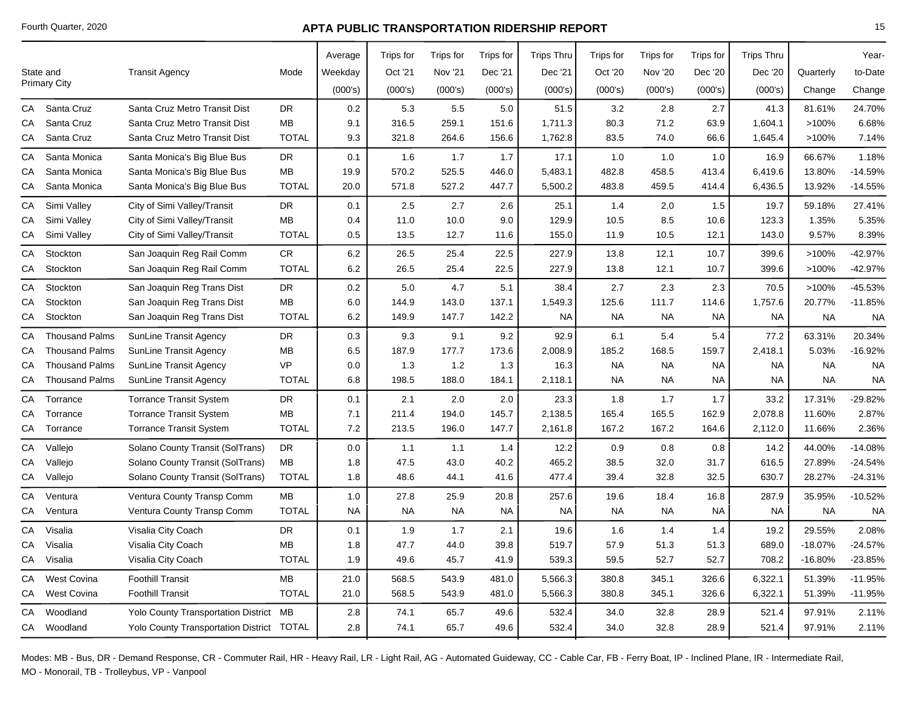|    |                       |                                                  |              | Average   | Trips for | Trips for      | Trips for | <b>Trips Thru</b> | Trips for | Trips for      | Trips for | <b>Trips Thru</b> |           | Year-     |
|----|-----------------------|--------------------------------------------------|--------------|-----------|-----------|----------------|-----------|-------------------|-----------|----------------|-----------|-------------------|-----------|-----------|
|    | State and             | <b>Transit Agency</b>                            | Mode         | Weekday   | Oct '21   | <b>Nov '21</b> | Dec '21   | Dec '21           | Oct '20   | <b>Nov '20</b> | Dec '20   | Dec '20           | Quarterly | to-Date   |
|    | <b>Primary City</b>   |                                                  |              | (000's)   | (000's)   | (000's)        | (000's)   | (000's)           | (000's)   | (000's)        | (000's)   | (000's)           | Change    | Change    |
| CA | Santa Cruz            | Santa Cruz Metro Transit Dist                    | DR           | 0.2       | 5.3       | 5.5            | 5.0       | 51.5              | 3.2       | 2.8            | 2.7       | 41.3              | 81.61%    | 24.70%    |
| СA | Santa Cruz            | Santa Cruz Metro Transit Dist                    | МB           | 9.1       | 316.5     | 259.1          | 151.6     | 1,711.3           | 80.3      | 71.2           | 63.9      | 1,604.1           | >100%     | 6.68%     |
| CA | Santa Cruz            | Santa Cruz Metro Transit Dist                    | <b>TOTAL</b> | 9.3       | 321.8     | 264.6          | 156.6     | 1,762.8           | 83.5      | 74.0           | 66.6      | 1,645.4           | >100%     | 7.14%     |
| CA | Santa Monica          | Santa Monica's Big Blue Bus                      | DR           | 0.1       | 1.6       | 1.7            | 1.7       | 17.1              | 1.0       | 1.0            | 1.0       | 16.9              | 66.67%    | 1.18%     |
| СA | Santa Monica          | Santa Monica's Big Blue Bus                      | <b>MB</b>    | 19.9      | 570.2     | 525.5          | 446.0     | 5,483.1           | 482.8     | 458.5          | 413.4     | 6,419.6           | 13.80%    | $-14.59%$ |
| CA | Santa Monica          | Santa Monica's Big Blue Bus                      | <b>TOTAL</b> | 20.0      | 571.8     | 527.2          | 447.7     | 5,500.2           | 483.8     | 459.5          | 414.4     | 6,436.5           | 13.92%    | $-14.55%$ |
| CA | Simi Valley           | City of Simi Valley/Transit                      | <b>DR</b>    | 0.1       | 2.5       | 2.7            | 2.6       | 25.1              | 1.4       | 2.0            | 1.5       | 19.7              | 59.18%    | 27.41%    |
| СA | Simi Valley           | City of Simi Valley/Transit                      | MB           | 0.4       | 11.0      | 10.0           | 9.0       | 129.9             | 10.5      | 8.5            | 10.6      | 123.3             | 1.35%     | 5.35%     |
| CA | Simi Valley           | City of Simi Valley/Transit                      | <b>TOTAL</b> | 0.5       | 13.5      | 12.7           | 11.6      | 155.0             | 11.9      | 10.5           | 12.1      | 143.0             | 9.57%     | 8.39%     |
| CA | Stockton              | San Joaquin Reg Rail Comm                        | CR           | 6.2       | 26.5      | 25.4           | 22.5      | 227.9             | 13.8      | 12.1           | 10.7      | 399.6             | >100%     | $-42.97%$ |
| СA | Stockton              | San Joaquin Reg Rail Comm                        | <b>TOTAL</b> | $6.2\,$   | 26.5      | 25.4           | 22.5      | 227.9             | 13.8      | 12.1           | 10.7      | 399.6             | >100%     | $-42.97%$ |
| CA | Stockton              | San Joaquin Reg Trans Dist                       | <b>DR</b>    | 0.2       | 5.0       | 4.7            | 5.1       | 38.4              | 2.7       | 2.3            | 2.3       | 70.5              | >100%     | $-45.53%$ |
| CA | Stockton              | San Joaquin Reg Trans Dist                       | MB           | 6.0       | 144.9     | 143.0          | 137.1     | 1,549.3           | 125.6     | 111.7          | 114.6     | 1,757.6           | 20.77%    | $-11.85%$ |
| СA | Stockton              | San Joaquin Reg Trans Dist                       | <b>TOTAL</b> | 6.2       | 149.9     | 147.7          | 142.2     | NA                | <b>NA</b> | <b>NA</b>      | <b>NA</b> | NA.               | <b>NA</b> | <b>NA</b> |
| CA | <b>Thousand Palms</b> | <b>SunLine Transit Agency</b>                    | <b>DR</b>    | 0.3       | 9.3       | 9.1            | 9.2       | 92.9              | 6.1       | 5.4            | 5.4       | 77.2              | 63.31%    | 20.34%    |
| СA | <b>Thousand Palms</b> | <b>SunLine Transit Agency</b>                    | МB           | 6.5       | 187.9     | 177.7          | 173.6     | 2,008.9           | 185.2     | 168.5          | 159.7     | 2,418.1           | 5.03%     | $-16.92%$ |
| СA | <b>Thousand Palms</b> | SunLine Transit Agency                           | VP           | 0.0       | 1.3       | 1.2            | 1.3       | 16.3              | <b>NA</b> | <b>NA</b>      | <b>NA</b> | <b>NA</b>         | <b>NA</b> | <b>NA</b> |
| СA | <b>Thousand Palms</b> | <b>SunLine Transit Agency</b>                    | <b>TOTAL</b> | 6.8       | 198.5     | 188.0          | 184.1     | 2,118.1           | <b>NA</b> | <b>NA</b>      | <b>NA</b> | NA.               | <b>NA</b> | <b>NA</b> |
| СA | Torrance              | <b>Torrance Transit System</b>                   | <b>DR</b>    | 0.1       | 2.1       | 2.0            | 2.0       | 23.3              | 1.8       | 1.7            | 1.7       | 33.2              | 17.31%    | $-29.82%$ |
| CA | Torrance              | <b>Torrance Transit System</b>                   | МB           | 7.1       | 211.4     | 194.0          | 145.7     | 2,138.5           | 165.4     | 165.5          | 162.9     | 2,078.8           | 11.60%    | 2.87%     |
| СA | Torrance              | <b>Torrance Transit System</b>                   | <b>TOTAL</b> | 7.2       | 213.5     | 196.0          | 147.7     | 2,161.8           | 167.2     | 167.2          | 164.6     | 2,112.0           | 11.66%    | 2.36%     |
| CA | Vallejo               | Solano County Transit (SolTrans)                 | DR           | 0.0       | 1.1       | 1.1            | 1.4       | 12.2              | 0.9       | 0.8            | 0.8       | 14.2              | 44.00%    | $-14.08%$ |
| СA | Vallejo               | Solano County Transit (SolTrans)                 | МB           | 1.8       | 47.5      | 43.0           | 40.2      | 465.2             | 38.5      | 32.0           | 31.7      | 616.5             | 27.89%    | $-24.54%$ |
| CA | Vallejo               | Solano County Transit (SolTrans)                 | <b>TOTAL</b> | 1.8       | 48.6      | 44.1           | 41.6      | 477.4             | 39.4      | 32.8           | 32.5      | 630.7             | 28.27%    | $-24.31%$ |
| CA | Ventura               | Ventura County Transp Comm                       | <b>MB</b>    | 1.0       | 27.8      | 25.9           | 20.8      | 257.6             | 19.6      | 18.4           | 16.8      | 287.9             | 35.95%    | $-10.52%$ |
| СA | Ventura               | Ventura County Transp Comm                       | <b>TOTAL</b> | <b>NA</b> | <b>NA</b> | <b>NA</b>      | NA.       | <b>NA</b>         | <b>NA</b> | <b>NA</b>      | <b>NA</b> | <b>NA</b>         | <b>NA</b> | <b>NA</b> |
| CA | Visalia               | Visalia City Coach                               | <b>DR</b>    | 0.1       | 1.9       | 1.7            | 2.1       | 19.6              | 1.6       | 1.4            | 1.4       | 19.2              | 29.55%    | 2.08%     |
| СA | Visalia               | Visalia City Coach                               | MВ           | 1.8       | 47.7      | 44.0           | 39.8      | 519.7             | 57.9      | 51.3           | 51.3      | 689.0             | $-18.07%$ | $-24.57%$ |
| СA | Visalia               | Visalia City Coach                               | <b>TOTAL</b> | 1.9       | 49.6      | 45.7           | 41.9      | 539.3             | 59.5      | 52.7           | 52.7      | 708.2             | -16.80%   | $-23.85%$ |
| CA | <b>West Covina</b>    | <b>Foothill Transit</b>                          | МB           | 21.0      | 568.5     | 543.9          | 481.0     | 5,566.3           | 380.8     | 345.1          | 326.6     | 6,322.1           | 51.39%    | $-11.95%$ |
| CA | <b>West Covina</b>    | <b>Foothill Transit</b>                          | <b>TOTAL</b> | 21.0      | 568.5     | 543.9          | 481.0     | 5,566.3           | 380.8     | 345.1          | 326.6     | 6,322.1           | 51.39%    | $-11.95%$ |
| CA | Woodland              | Yolo County Transportation District MB           |              | 2.8       | 74.1      | 65.7           | 49.6      | 532.4             | 34.0      | 32.8           | 28.9      | 521.4             | 97.91%    | 2.11%     |
|    | CA Woodland           | <b>Yolo County Transportation District TOTAL</b> |              | 2.8       | 74.1      | 65.7           | 49.6      | 532.4             | 34.0      | 32.8           | 28.9      | 521.4             | 97.91%    | 2.11%     |
|    |                       |                                                  |              |           |           |                |           |                   |           |                |           |                   |           |           |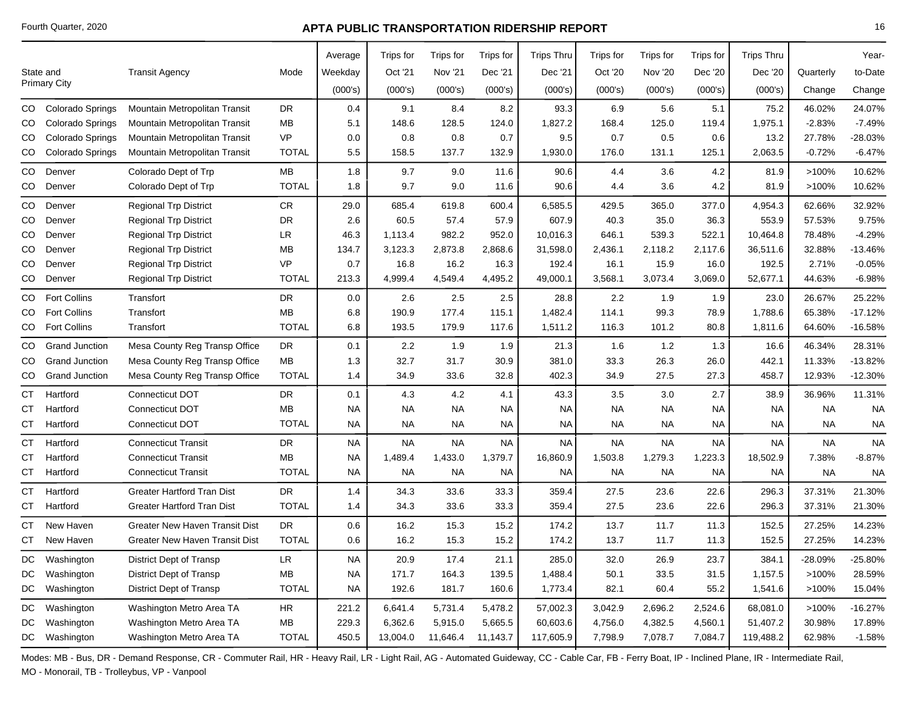|    |                       |                                       |              | Average   | Trips for | Trips for      | Trips for | <b>Trips Thru</b> | Trips for | Trips for      | Trips for | <b>Trips Thru</b> |           | Year-     |
|----|-----------------------|---------------------------------------|--------------|-----------|-----------|----------------|-----------|-------------------|-----------|----------------|-----------|-------------------|-----------|-----------|
|    | State and             | <b>Transit Agency</b>                 | Mode         | Weekday   | Oct '21   | <b>Nov '21</b> | Dec '21   | Dec '21           | Oct '20   | <b>Nov '20</b> | Dec '20   | Dec '20           | Quarterly | to-Date   |
|    | <b>Primary City</b>   |                                       |              | (000's)   | (000's)   | (000's)        | (000's)   | (000's)           | (000's)   | (000's)        | (000's)   | (000's)           | Change    | Change    |
| CO | Colorado Springs      | Mountain Metropolitan Transit         | <b>DR</b>    | 0.4       | 9.1       | 8.4            | 8.2       | 93.3              | 6.9       | 5.6            | 5.1       | 75.2              | 46.02%    | 24.07%    |
| CO | Colorado Springs      | Mountain Metropolitan Transit         | MB           | 5.1       | 148.6     | 128.5          | 124.0     | 1,827.2           | 168.4     | 125.0          | 119.4     | 1,975.1           | $-2.83%$  | $-7.49%$  |
| CO | Colorado Springs      | Mountain Metropolitan Transit         | <b>VP</b>    | 0.0       | 0.8       | 0.8            | 0.7       | 9.5               | 0.7       | 0.5            | 0.6       | 13.2              | 27.78%    | 28.03%    |
| CO | Colorado Springs      | Mountain Metropolitan Transit         | <b>TOTAL</b> | 5.5       | 158.5     | 137.7          | 132.9     | 1,930.0           | 176.0     | 131.1          | 125.1     | 2,063.5           | $-0.72%$  | $-6.47%$  |
| CO | Denver                | Colorado Dept of Trp                  | MB           | 1.8       | 9.7       | 9.0            | 11.6      | 90.6              | 4.4       | 3.6            | 4.2       | 81.9              | >100%     | 10.62%    |
| CO | Denver                | Colorado Dept of Trp                  | <b>TOTAL</b> | 1.8       | 9.7       | 9.0            | 11.6      | 90.6              | 4.4       | 3.6            | 4.2       | 81.9              | >100%     | 10.62%    |
| CO | Denver                | <b>Regional Trp District</b>          | CR.          | 29.0      | 685.4     | 619.8          | 600.4     | 6,585.5           | 429.5     | 365.0          | 377.0     | 4,954.3           | 62.66%    | 32.92%    |
| CO | Denver                | <b>Regional Trp District</b>          | <b>DR</b>    | 2.6       | 60.5      | 57.4           | 57.9      | 607.9             | 40.3      | 35.0           | 36.3      | 553.9             | 57.53%    | 9.75%     |
| CO | Denver                | Regional Trp District                 | <b>LR</b>    | 46.3      | 1,113.4   | 982.2          | 952.0     | 10,016.3          | 646.1     | 539.3          | 522.1     | 10,464.8          | 78.48%    | $-4.29%$  |
| CO | Denver                | <b>Regional Trp District</b>          | MB           | 134.7     | 3,123.3   | 2,873.8        | 2,868.6   | 31,598.0          | 2,436.1   | 2,118.2        | 2,117.6   | 36,511.6          | 32.88%    | $-13.46%$ |
| CO | Denver                | <b>Regional Trp District</b>          | <b>VP</b>    | 0.7       | 16.8      | 16.2           | 16.3      | 192.4             | 16.1      | 15.9           | 16.0      | 192.5             | 2.71%     | $-0.05%$  |
| CO | Denver                | <b>Regional Trp District</b>          | <b>TOTAL</b> | 213.3     | 4,999.4   | 4,549.4        | 4,495.2   | 49,000.1          | 3,568.1   | 3,073.4        | 3,069.0   | 52,677.1          | 44.63%    | $-6.98%$  |
| CO | <b>Fort Collins</b>   | Transfort                             | <b>DR</b>    | 0.0       | 2.6       | 2.5            | 2.5       | 28.8              | 2.2       | 1.9            | 1.9       | 23.0              | 26.67%    | 25.22%    |
| CO | <b>Fort Collins</b>   | Transfort                             | <b>MB</b>    | 6.8       | 190.9     | 177.4          | 115.1     | 1,482.4           | 114.1     | 99.3           | 78.9      | 1,788.6           | 65.38%    | $-17.12%$ |
| CO | <b>Fort Collins</b>   | Transfort                             | <b>TOTAL</b> | 6.8       | 193.5     | 179.9          | 117.6     | 1,511.2           | 116.3     | 101.2          | 80.8      | 1,811.6           | 64.60%    | $-16.58%$ |
| CO | <b>Grand Junction</b> | Mesa County Reg Transp Office         | <b>DR</b>    | 0.1       | 2.2       | 1.9            | 1.9       | 21.3              | 1.6       | 1.2            | 1.3       | 16.6              | 46.34%    | 28.31%    |
| CO | <b>Grand Junction</b> | Mesa County Reg Transp Office         | MB           | 1.3       | 32.7      | 31.7           | 30.9      | 381.0             | 33.3      | 26.3           | 26.0      | 442.1             | 11.33%    | $-13.82%$ |
| CO | <b>Grand Junction</b> | Mesa County Reg Transp Office         | <b>TOTAL</b> | 1.4       | 34.9      | 33.6           | 32.8      | 402.3             | 34.9      | 27.5           | 27.3      | 458.7             | 12.93%    | $-12.30%$ |
| СT | Hartford              | Connecticut DOT                       | <b>DR</b>    | 0.1       | 4.3       | 4.2            | 4.1       | 43.3              | 3.5       | 3.0            | 2.7       | 38.9              | 36.96%    | 11.31%    |
| СT | Hartford              | Connecticut DOT                       | MВ           | <b>NA</b> | <b>NA</b> | <b>NA</b>      | <b>NA</b> | <b>NA</b>         | <b>NA</b> | <b>NA</b>      | NA        | <b>NA</b>         | NA.       | <b>NA</b> |
| СT | Hartford              | Connecticut DOT                       | <b>TOTAL</b> | <b>NA</b> | <b>NA</b> | <b>NA</b>      | <b>NA</b> | <b>NA</b>         | <b>NA</b> | <b>NA</b>      | <b>NA</b> | <b>NA</b>         | <b>NA</b> | <b>NA</b> |
| СT | Hartford              | <b>Connecticut Transit</b>            | <b>DR</b>    | <b>NA</b> | <b>NA</b> | <b>NA</b>      | <b>NA</b> | <b>NA</b>         | <b>NA</b> | <b>NA</b>      | <b>NA</b> | <b>NA</b>         | <b>NA</b> | <b>NA</b> |
| CТ | Hartford              | <b>Connecticut Transit</b>            | МB           | <b>NA</b> | 1,489.4   | 1,433.0        | 1,379.7   | 16,860.9          | 1,503.8   | 1,279.3        | 1,223.3   | 18,502.9          | 7.38%     | $-8.87%$  |
| СT | Hartford              | <b>Connecticut Transit</b>            | <b>TOTAL</b> | <b>NA</b> | <b>NA</b> | <b>NA</b>      | <b>NA</b> | <b>NA</b>         | <b>NA</b> | <b>NA</b>      | <b>NA</b> | <b>NA</b>         | <b>NA</b> | <b>NA</b> |
| СT | Hartford              | <b>Greater Hartford Tran Dist</b>     | <b>DR</b>    | 1.4       | 34.3      | 33.6           | 33.3      | 359.4             | 27.5      | 23.6           | 22.6      | 296.3             | 37.31%    | 21.30%    |
| СT | Hartford              | <b>Greater Hartford Tran Dist</b>     | <b>TOTAL</b> | 1.4       | 34.3      | 33.6           | 33.3      | 359.4             | 27.5      | 23.6           | 22.6      | 296.3             | 37.31%    | 21.30%    |
| CТ | New Haven             | <b>Greater New Haven Transit Dist</b> | <b>DR</b>    | 0.6       | 16.2      | 15.3           | 15.2      | 174.2             | 13.7      | 11.7           | 11.3      | 152.5             | 27.25%    | 14.23%    |
| CT | New Haven             | <b>Greater New Haven Transit Dist</b> | <b>TOTAL</b> | 0.6       | 16.2      | 15.3           | 15.2      | 174.2             | 13.7      | 11.7           | 11.3      | 152.5             | 27.25%    | 14.23%    |
| DC | Washington            | <b>District Dept of Transp</b>        | <b>LR</b>    | <b>NA</b> | 20.9      | 17.4           | 21.1      | 285.0             | 32.0      | 26.9           | 23.7      | 384.1             | -28.09%   | -25.80%   |
| DC | Washington            | District Dept of Transp               | МB           | <b>NA</b> | 171.7     | 164.3          | 139.5     | 1,488.4           | 50.1      | 33.5           | 31.5      | 1,157.5           | >100%     | 28.59%    |
| DC | Washington            | District Dept of Transp               | <b>TOTAL</b> | <b>NA</b> | 192.6     | 181.7          | 160.6     | 1,773.4           | 82.1      | 60.4           | 55.2      | 1,541.6           | >100%     | 15.04%    |
| DC | Washington            | Washington Metro Area TA              | HR           | 221.2     | 6,641.4   | 5,731.4        | 5,478.2   | 57,002.3          | 3,042.9   | 2,696.2        | 2,524.6   | 68,081.0          | >100%     | $-16.27%$ |
| DC | Washington            | Washington Metro Area TA              | MВ           | 229.3     | 6,362.6   | 5,915.0        | 5,665.5   | 60,603.6          | 4,756.0   | 4,382.5        | 4,560.1   | 51,407.2          | 30.98%    | 17.89%    |
|    | DC Washington         | Washington Metro Area TA              | <b>TOTAL</b> | 450.5     | 13,004.0  | 11,646.4       | 11,143.7  | 117,605.9         | 7,798.9   | 7,078.7        | 7,084.7   | 119,488.2         | 62.98%    | $-1.58%$  |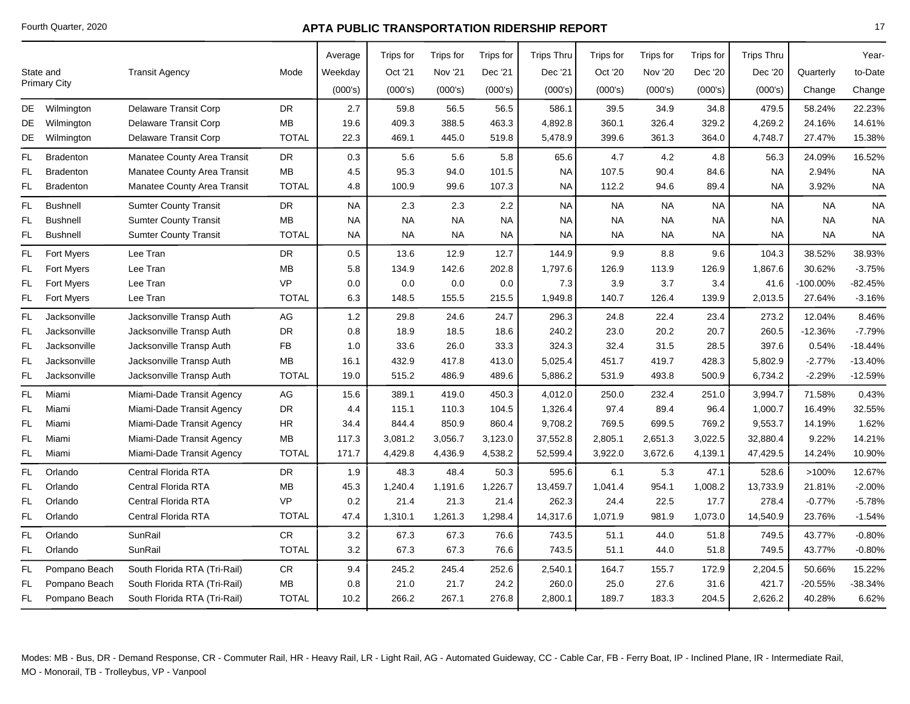|           |                                  |                              |              | Average   | <b>Trips for</b> | Trips for      | Trips for | <b>Trips Thru</b> | Trips for | Trips for      | Trips for | <b>Trips Thru</b> |           | Year-     |
|-----------|----------------------------------|------------------------------|--------------|-----------|------------------|----------------|-----------|-------------------|-----------|----------------|-----------|-------------------|-----------|-----------|
|           |                                  |                              |              |           |                  |                |           |                   |           |                |           |                   |           |           |
|           | State and<br><b>Primary City</b> | <b>Transit Agency</b>        | Mode         | Weekday   | Oct '21          | <b>Nov '21</b> | Dec '21   | Dec '21           | Oct '20   | <b>Nov '20</b> | Dec '20   | Dec '20           | Quarterly | to-Date   |
|           |                                  |                              |              | (000's)   | (000's)          | (000's)        | (000's)   | (000's)           | (000's)   | (000's)        | (000's)   | (000's)           | Change    | Change    |
|           | DE Wilmington                    | Delaware Transit Corp        | DR           | 2.7       | 59.8             | 56.5           | 56.5      | 586.1             | 39.5      | 34.9           | 34.8      | 479.5             | 58.24%    | 22.23%    |
| DE.       | Wilmington                       | Delaware Transit Corp        | <b>MB</b>    | 19.6      | 409.3            | 388.5          | 463.3     | 4,892.8           | 360.1     | 326.4          | 329.2     | 4,269.2           | 24.16%    | 14.61%    |
| DE        | Wilmington                       | Delaware Transit Corp        | <b>TOTAL</b> | 22.3      | 469.1            | 445.0          | 519.8     | 5,478.9           | 399.6     | 361.3          | 364.0     | 4,748.7           | 27.47%    | 15.38%    |
| FL        | <b>Bradenton</b>                 | Manatee County Area Transit  | DR           | 0.3       | 5.6              | 5.6            | 5.8       | 65.6              | 4.7       | 4.2            | 4.8       | 56.3              | 24.09%    | 16.52%    |
| FL.       | <b>Bradenton</b>                 | Manatee County Area Transit  | MВ           | 4.5       | 95.3             | 94.0           | 101.5     | NA                | 107.5     | 90.4           | 84.6      | NA.               | 2.94%     | <b>NA</b> |
| FL        | <b>Bradenton</b>                 | Manatee County Area Transit  | <b>TOTAL</b> | 4.8       | 100.9            | 99.6           | 107.3     | <b>NA</b>         | 112.2     | 94.6           | 89.4      | NA.               | 3.92%     | <b>NA</b> |
| FL.       | <b>Bushnell</b>                  | <b>Sumter County Transit</b> | DR           | <b>NA</b> | 2.3              | 2.3            | 2.2       | <b>NA</b>         | <b>NA</b> | <b>NA</b>      | <b>NA</b> | <b>NA</b>         | <b>NA</b> | <b>NA</b> |
| FL        | <b>Bushnell</b>                  | <b>Sumter County Transit</b> | MВ           | NA        | <b>NA</b>        | <b>NA</b>      | <b>NA</b> | NA                | <b>NA</b> | <b>NA</b>      | <b>NA</b> | NA.               | <b>NA</b> | <b>NA</b> |
| FL.       | <b>Bushnell</b>                  | <b>Sumter County Transit</b> | <b>TOTAL</b> | NA        | <b>NA</b>        | <b>NA</b>      | <b>NA</b> | <b>NA</b>         | <b>NA</b> | <b>NA</b>      | <b>NA</b> | <b>NA</b>         | <b>NA</b> | <b>NA</b> |
| FL.       | <b>Fort Myers</b>                | Lee Tran                     | DR           | 0.5       | 13.6             | 12.9           | 12.7      | 144.9             | 9.9       | 8.8            | 9.6       | 104.3             | 38.52%    | 38.93%    |
| FL        | <b>Fort Myers</b>                | Lee Tran                     | <b>MB</b>    | 5.8       | 134.9            | 142.6          | 202.8     | 1,797.6           | 126.9     | 113.9          | 126.9     | 1,867.6           | 30.62%    | $-3.75%$  |
| FL        | <b>Fort Myers</b>                | Lee Tran                     | <b>VP</b>    | 0.0       | 0.0              | 0.0            | 0.0       | 7.3               | 3.9       | 3.7            | 3.4       | 41.6              | -100.00%  | $-82.45%$ |
| FL.       | <b>Fort Myers</b>                | Lee Tran                     | <b>TOTAL</b> | 6.3       | 148.5            | 155.5          | 215.5     | 1,949.8           | 140.7     | 126.4          | 139.9     | 2,013.5           | 27.64%    | $-3.16%$  |
| FL        | Jacksonville                     | Jacksonville Transp Auth     | AG           | 1.2       | 29.8             | 24.6           | 24.7      | 296.3             | 24.8      | 22.4           | 23.4      | 273.2             | 12.04%    | 8.46%     |
| FL.       | Jacksonville                     | Jacksonville Transp Auth     | DR           | 0.8       | 18.9             | 18.5           | 18.6      | 240.2             | 23.0      | 20.2           | 20.7      | 260.5             | $-12.36%$ | $-7.79%$  |
| FL.       | Jacksonville                     | Jacksonville Transp Auth     | <b>FB</b>    | 1.0       | 33.6             | 26.0           | 33.3      | 324.3             | 32.4      | 31.5           | 28.5      | 397.6             | 0.54%     | $-18.44%$ |
| FL        | Jacksonville                     | Jacksonville Transp Auth     | MВ           | 16.1      | 432.9            | 417.8          | 413.0     | 5,025.4           | 451.7     | 419.7          | 428.3     | 5,802.9           | $-2.77%$  | $-13.40%$ |
| FL.       | Jacksonville                     | Jacksonville Transp Auth     | <b>TOTAL</b> | 19.0      | 515.2            | 486.9          | 489.6     | 5,886.2           | 531.9     | 493.8          | 500.9     | 6,734.2           | $-2.29%$  | $-12.59%$ |
| <b>FL</b> | Miami                            | Miami-Dade Transit Agency    | AG           | 15.6      | 389.1            | 419.0          | 450.3     | 4,012.0           | 250.0     | 232.4          | 251.0     | 3,994.7           | 71.58%    | 0.43%     |
| <b>FL</b> | Miami                            | Miami-Dade Transit Agency    | <b>DR</b>    | 4.4       | 115.1            | 110.3          | 104.5     | 1,326.4           | 97.4      | 89.4           | 96.4      | 1,000.7           | 16.49%    | 32.55%    |
| <b>FL</b> | Miami                            | Miami-Dade Transit Agency    | HR.          | 34.4      | 844.4            | 850.9          | 860.4     | 9,708.2           | 769.5     | 699.5          | 769.2     | 9,553.7           | 14.19%    | 1.62%     |
| FL.       | Miami                            | Miami-Dade Transit Agency    | MВ           | 117.3     | 3,081.2          | 3,056.7        | 3,123.0   | 37,552.8          | 2,805.1   | 2,651.3        | 3,022.5   | 32,880.4          | 9.22%     | 14.21%    |
| FL.       | Miami                            | Miami-Dade Transit Agency    | <b>TOTAL</b> | 171.7     | 4,429.8          | 4,436.9        | 4,538.2   | 52,599.4          | 3,922.0   | 3,672.6        | 4,139.1   | 47,429.5          | 14.24%    | 10.90%    |
| <b>FL</b> | Orlando                          | Central Florida RTA          | <b>DR</b>    | 1.9       | 48.3             | 48.4           | 50.3      | 595.6             | 6.1       | 5.3            | 47.1      | 528.6             | >100%     | 12.67%    |
| FL.       | Orlando                          | Central Florida RTA          | MВ           | 45.3      | 1,240.4          | 1,191.6        | 1,226.7   | 13,459.7          | 1,041.4   | 954.1          | 1,008.2   | 13,733.9          | 21.81%    | $-2.00%$  |
| FL        | Orlando                          | Central Florida RTA          | <b>VP</b>    | 0.2       | 21.4             | 21.3           | 21.4      | 262.3             | 24.4      | 22.5           | 17.7      | 278.4             | $-0.77%$  | $-5.78%$  |
| FL.       | Orlando                          | Central Florida RTA          | <b>TOTAL</b> | 47.4      | 1,310.1          | 1,261.3        | 1,298.4   | 14,317.6          | 1,071.9   | 981.9          | 1,073.0   | 14,540.9          | 23.76%    | $-1.54%$  |
| FL.       | Orlando                          | SunRail                      | ${\sf CR}$   | $3.2\,$   | 67.3             | 67.3           | 76.6      | 743.5             | 51.1      | 44.0           | 51.8      | 749.5             | 43.77%    | $-0.80%$  |
| FL.       | Orlando                          | SunRail                      | <b>TOTAL</b> | 3.2       | 67.3             | 67.3           | 76.6      | 743.5             | 51.1      | 44.0           | 51.8      | 749.5             | 43.77%    | $-0.80%$  |
| FL.       | Pompano Beach                    | South Florida RTA (Tri-Rail) | CR.          | 9.4       | 245.2            | 245.4          | 252.6     | 2,540.1           | 164.7     | 155.7          | 172.9     | 2,204.5           | 50.66%    | 15.22%    |
| FL        | Pompano Beach                    | South Florida RTA (Tri-Rail) | MВ           | 0.8       | 21.0             | 21.7           | 24.2      | 260.0             | 25.0      | 27.6           | 31.6      | 421.7             | $-20.55%$ | $-38.34%$ |
| FL.       | Pompano Beach                    | South Florida RTA (Tri-Rail) | <b>TOTAL</b> | 10.2      | 266.2            | 267.1          | 276.8     | 2,800.1           | 189.7     | 183.3          | 204.5     | 2,626.2           | 40.28%    | 6.62%     |
|           |                                  |                              |              |           |                  |                |           |                   |           |                |           |                   |           |           |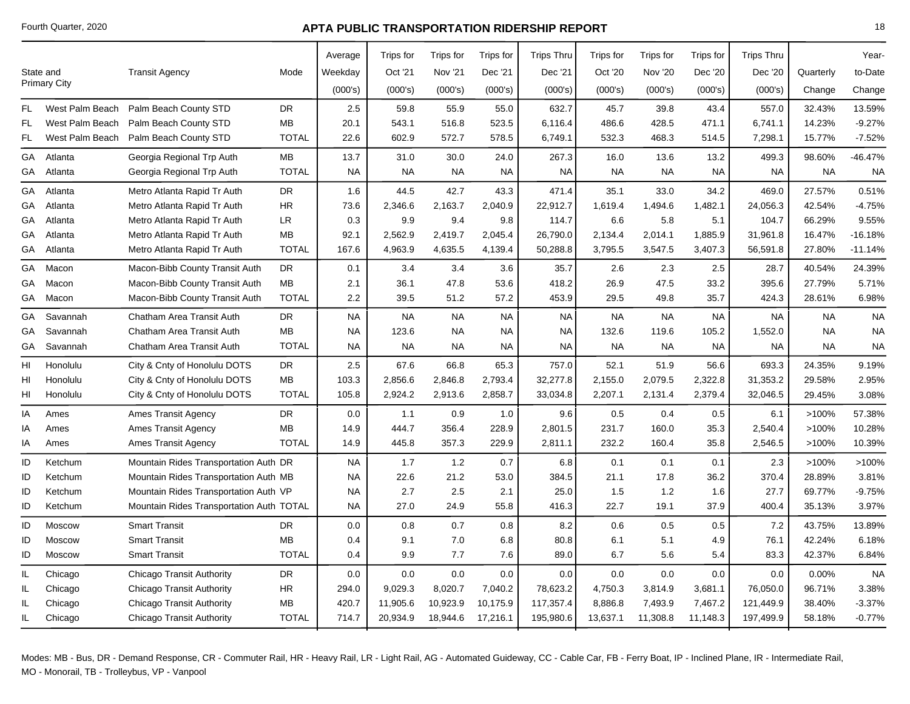|     |                     |                                          |              | Average   | Trips for | Trips for | Trips for | <b>Trips Thru</b> | Trips for | Trips for      | <b>Trips</b> for | <b>Trips Thru</b> |           | Year-     |
|-----|---------------------|------------------------------------------|--------------|-----------|-----------|-----------|-----------|-------------------|-----------|----------------|------------------|-------------------|-----------|-----------|
|     | State and           | <b>Transit Agency</b>                    | Mode         | Weekday   | Oct '21   | Nov '21   | Dec '21   | Dec '21           | Oct '20   | <b>Nov '20</b> | Dec '20          | Dec '20           | Quarterly | to-Date   |
|     | <b>Primary City</b> |                                          |              | (000's)   | (000's)   | (000's)   | (000's)   | (000's)           | (000's)   | (000's)        | (000's)          | (000's)           | Change    | Change    |
| FL  | West Palm Beach     | Palm Beach County STD                    | <b>DR</b>    | 2.5       | 59.8      | 55.9      | 55.0      | 632.7             | 45.7      | 39.8           | 43.4             | 557.0             | 32.43%    | 13.59%    |
| FL  | West Palm Beach     | Palm Beach County STD                    | <b>MB</b>    | 20.1      | 543.1     | 516.8     | 523.5     | 6,116.4           | 486.6     | 428.5          | 471.1            | 6,741.1           | 14.23%    | $-9.27%$  |
| FL  | West Palm Beach     | Palm Beach County STD                    | <b>TOTAL</b> | 22.6      | 602.9     | 572.7     | 578.5     | 6,749.1           | 532.3     | 468.3          | 514.5            | 7,298.1           | 15.77%    | $-7.52%$  |
| GA  | Atlanta             | Georgia Regional Trp Auth                | MB           | 13.7      | 31.0      | 30.0      | 24.0      | 267.3             | 16.0      | 13.6           | 13.2             | 499.3             | 98.60%    | -46.47%   |
| GA  | Atlanta             | Georgia Regional Trp Auth                | <b>TOTAL</b> | <b>NA</b> | <b>NA</b> | <b>NA</b> | <b>NA</b> | <b>NA</b>         | <b>NA</b> | <b>NA</b>      | <b>NA</b>        | <b>NA</b>         | <b>NA</b> | <b>NA</b> |
| GA  | Atlanta             | Metro Atlanta Rapid Tr Auth              | <b>DR</b>    | 1.6       | 44.5      | 42.7      | 43.3      | 471.4             | 35.1      | 33.0           | 34.2             | 469.0             | 27.57%    | 0.51%     |
| GA  | Atlanta             | Metro Atlanta Rapid Tr Auth              | <b>HR</b>    | 73.6      | 2,346.6   | 2,163.7   | 2,040.9   | 22,912.7          | 1,619.4   | 1,494.6        | 1,482.1          | 24,056.3          | 42.54%    | -4.75%    |
| GA  | Atlanta             | Metro Atlanta Rapid Tr Auth              | LR.          | 0.3       | 9.9       | 9.4       | 9.8       | 114.7             | 6.6       | 5.8            | 5.1              | 104.7             | 66.29%    | 9.55%     |
| GА  | Atlanta             | Metro Atlanta Rapid Tr Auth              | MB           | 92.1      | 2,562.9   | 2,419.7   | 2,045.4   | 26,790.0          | 2,134.4   | 2,014.1        | 1,885.9          | 31,961.8          | 16.47%    | $-16.18%$ |
| GA  | Atlanta             | Metro Atlanta Rapid Tr Auth              | <b>TOTAL</b> | 167.6     | 4,963.9   | 4,635.5   | 4,139.4   | 50,288.8          | 3,795.5   | 3,547.5        | 3,407.3          | 56,591.8          | 27.80%    | $-11.14%$ |
| GA  | Macon               | Macon-Bibb County Transit Auth           | DR           | 0.1       | 3.4       | 3.4       | 3.6       | 35.7              | 2.6       | 2.3            | 2.5              | 28.7              | 40.54%    | 24.39%    |
| GA  | Macon               | Macon-Bibb County Transit Auth           | MB           | 2.1       | 36.1      | 47.8      | 53.6      | 418.2             | 26.9      | 47.5           | 33.2             | 395.6             | 27.79%    | 5.71%     |
| GA  | Macon               | Macon-Bibb County Transit Auth           | <b>TOTAL</b> | 2.2       | 39.5      | 51.2      | 57.2      | 453.9             | 29.5      | 49.8           | 35.7             | 424.3             | 28.61%    | 6.98%     |
| GА  | Savannah            | Chatham Area Transit Auth                | <b>DR</b>    | <b>NA</b> | <b>NA</b> | <b>NA</b> | <b>NA</b> | <b>NA</b>         | <b>NA</b> | <b>NA</b>      | <b>NA</b>        | <b>NA</b>         | <b>NA</b> | <b>NA</b> |
| GA  | Savannah            | Chatham Area Transit Auth                | MB           | <b>NA</b> | 123.6     | <b>NA</b> | <b>NA</b> | NA                | 132.6     | 119.6          | 105.2            | 1,552.0           | <b>NA</b> | <b>NA</b> |
| GA  | Savannah            | Chatham Area Transit Auth                | <b>TOTAL</b> | <b>NA</b> | <b>NA</b> | <b>NA</b> | <b>NA</b> | <b>NA</b>         | <b>NA</b> | <b>NA</b>      | <b>NA</b>        | <b>NA</b>         | <b>NA</b> | <b>NA</b> |
| HI  | Honolulu            | City & Cnty of Honolulu DOTS             | <b>DR</b>    | 2.5       | 67.6      | 66.8      | 65.3      | 757.0             | 52.1      | 51.9           | 56.6             | 693.3             | 24.35%    | 9.19%     |
| HI  | Honolulu            | City & Cnty of Honolulu DOTS             | <b>MB</b>    | 103.3     | 2,856.6   | 2,846.8   | 2,793.4   | 32,277.8          | 2,155.0   | 2,079.5        | 2,322.8          | 31,353.2          | 29.58%    | 2.95%     |
| HI  | Honolulu            | City & Cnty of Honolulu DOTS             | <b>TOTAL</b> | 105.8     | 2,924.2   | 2,913.6   | 2,858.7   | 33,034.8          | 2,207.1   | 2,131.4        | 2,379.4          | 32,046.5          | 29.45%    | 3.08%     |
| ΙA  | Ames                | <b>Ames Transit Agency</b>               | <b>DR</b>    | 0.0       | 1.1       | 0.9       | 1.0       | 9.6               | 0.5       | 0.4            | 0.5              | 6.1               | >100%     | 57.38%    |
| IA  | Ames                | <b>Ames Transit Agency</b>               | MB           | 14.9      | 444.7     | 356.4     | 228.9     | 2,801.5           | 231.7     | 160.0          | 35.3             | 2,540.4           | >100%     | 10.28%    |
| ΙA  | Ames                | <b>Ames Transit Agency</b>               | <b>TOTAL</b> | 14.9      | 445.8     | 357.3     | 229.9     | 2,811.1           | 232.2     | 160.4          | 35.8             | 2,546.5           | >100%     | 10.39%    |
| ID  | Ketchum             | Mountain Rides Transportation Auth DR    |              | <b>NA</b> | 1.7       | 1.2       | 0.7       | 6.8               | 0.1       | 0.1            | 0.1              | 2.3               | >100%     | >100%     |
| ID  | Ketchum             | Mountain Rides Transportation Auth MB    |              | <b>NA</b> | 22.6      | 21.2      | 53.0      | 384.5             | 21.1      | 17.8           | 36.2             | 370.4             | 28.89%    | 3.81%     |
| ID  | Ketchum             | Mountain Rides Transportation Auth VP    |              | <b>NA</b> | 2.7       | 2.5       | 2.1       | 25.0              | 1.5       | 1.2            | 1.6              | 27.7              | 69.77%    | $-9.75%$  |
| ID  | Ketchum             | Mountain Rides Transportation Auth TOTAL |              | <b>NA</b> | 27.0      | 24.9      | 55.8      | 416.3             | 22.7      | 19.1           | 37.9             | 400.4             | 35.13%    | 3.97%     |
| ID  | Moscow              | <b>Smart Transit</b>                     | <b>DR</b>    | 0.0       | 0.8       | 0.7       | 0.8       | 8.2               | 0.6       | 0.5            | 0.5              | 7.2               | 43.75%    | 13.89%    |
| ID  | Moscow              | <b>Smart Transit</b>                     | MB           | 0.4       | 9.1       | 7.0       | 6.8       | 80.8              | 6.1       | 5.1            | 4.9              | 76.1              | 42.24%    | 6.18%     |
| ID  | Moscow              | <b>Smart Transit</b>                     | <b>TOTAL</b> | 0.4       | 9.9       | 7.7       | 7.6       | 89.0              | 6.7       | 5.6            | 5.4              | 83.3              | 42.37%    | 6.84%     |
| IL. | Chicago             | Chicago Transit Authority                | DR.          | 0.0       | 0.0       | 0.0       | 0.0       | 0.0               | 0.0       | 0.0            | 0.0              | 0.0               | 0.00%     | <b>NA</b> |
| IL. | Chicago             | <b>Chicago Transit Authority</b>         | HR           | 294.0     | 9,029.3   | 8,020.7   | 7,040.2   | 78,623.2          | 4,750.3   | 3,814.9        | 3,681.1          | 76,050.0          | 96.71%    | 3.38%     |
| IL. | Chicago             | Chicago Transit Authority                | MB           | 420.7     | 11,905.6  | 10,923.9  | 10,175.9  | 117,357.4         | 8,886.8   | 7,493.9        | 7,467.2          | 121,449.9         | 38.40%    | $-3.37%$  |
| IL. | Chicago             | Chicago Transit Authority                | <b>TOTAL</b> | 714.7     | 20,934.9  | 18,944.6  | 17,216.1  | 195,980.6         | 13,637.1  | 11,308.8       | 11,148.3         | 197,499.9         | 58.18%    | $-0.77%$  |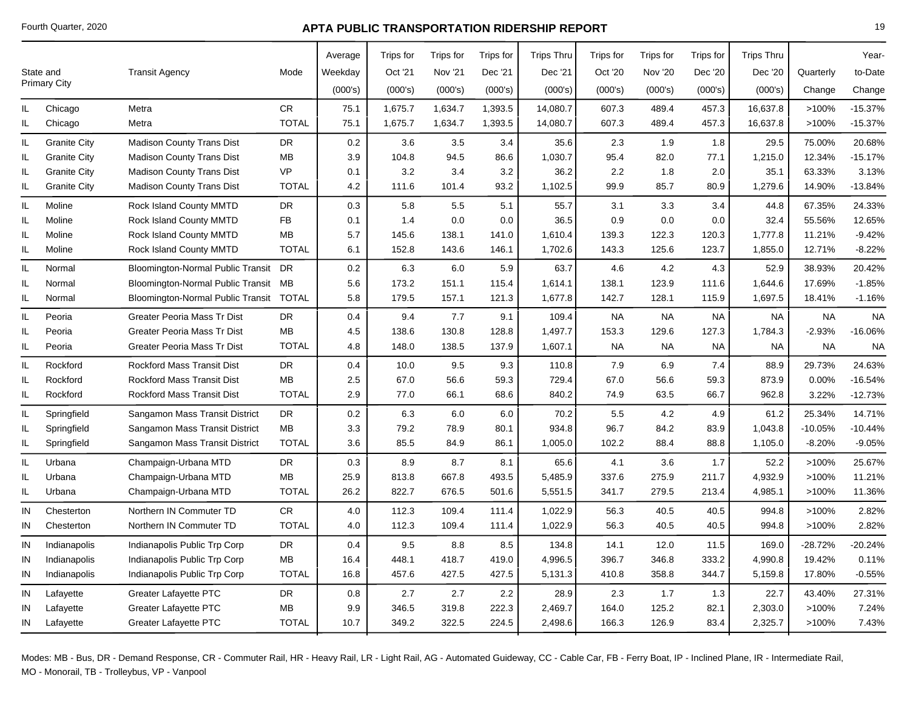|     |                     |                                      |              | Average | Trips for | Trips for      | Trips for | <b>Trips Thru</b> | Trips for | Trips for      | <b>Trips</b> for | <b>Trips Thru</b> |           | Year-     |
|-----|---------------------|--------------------------------------|--------------|---------|-----------|----------------|-----------|-------------------|-----------|----------------|------------------|-------------------|-----------|-----------|
|     | State and           | <b>Transit Agency</b>                | Mode         | Weekday | Oct '21   | <b>Nov '21</b> | Dec '21   | Dec '21           | Oct '20   | <b>Nov '20</b> | Dec '20          | Dec '20           | Quarterly | to-Date   |
|     | <b>Primary City</b> |                                      |              | (000's) | (000's)   | (000's)        | (000's)   | (000's)           | (000's)   | (000's)        | (000's)          | (000's)           | Change    | Change    |
| IL  | Chicago             | Metra                                | <b>CR</b>    | 75.1    | 1,675.7   | 1,634.7        | 1,393.5   | 14,080.7          | 607.3     | 489.4          | 457.3            | 16,637.8          | >100%     | $-15.37%$ |
| IL  | Chicago             | Metra                                | <b>TOTAL</b> | 75.1    | 1,675.7   | 1,634.7        | 1,393.5   | 14,080.7          | 607.3     | 489.4          | 457.3            | 16,637.8          | >100%     | $-15.37%$ |
| IL. | <b>Granite City</b> | <b>Madison County Trans Dist</b>     | <b>DR</b>    | 0.2     | 3.6       | 3.5            | 3.4       | 35.6              | 2.3       | 1.9            | 1.8              | 29.5              | 75.00%    | 20.68%    |
| IL. | <b>Granite City</b> | <b>Madison County Trans Dist</b>     | MB           | 3.9     | 104.8     | 94.5           | 86.6      | 1,030.7           | 95.4      | 82.0           | 77.1             | 1,215.0           | 12.34%    | $-15.17%$ |
| IL  | <b>Granite City</b> | <b>Madison County Trans Dist</b>     | <b>VP</b>    | 0.1     | 3.2       | 3.4            | 3.2       | 36.2              | 2.2       | 1.8            | 2.0              | 35.1              | 63.33%    | 3.13%     |
| IL  | <b>Granite City</b> | <b>Madison County Trans Dist</b>     | <b>TOTAL</b> | 4.2     | 111.6     | 101.4          | 93.2      | 1,102.5           | 99.9      | 85.7           | 80.9             | 1,279.6           | 14.90%    | $-13.84%$ |
| IL. | Moline              | Rock Island County MMTD              | <b>DR</b>    | 0.3     | 5.8       | 5.5            | 5.1       | 55.7              | 3.1       | 3.3            | 3.4              | 44.8              | 67.35%    | 24.33%    |
| IL  | Moline              | Rock Island County MMTD              | <b>FB</b>    | 0.1     | 1.4       | 0.0            | 0.0       | 36.5              | 0.9       | 0.0            | 0.0              | 32.4              | 55.56%    | 12.65%    |
| IL  | Moline              | Rock Island County MMTD              | MB           | 5.7     | 145.6     | 138.1          | 141.0     | 1,610.4           | 139.3     | 122.3          | 120.3            | 1,777.8           | 11.21%    | $-9.42%$  |
| IL  | Moline              | Rock Island County MMTD              | <b>TOTAL</b> | 6.1     | 152.8     | 143.6          | 146.1     | 1,702.6           | 143.3     | 125.6          | 123.7            | 1,855.0           | 12.71%    | $-8.22%$  |
| IL  | Normal              | Bloomington-Normal Public Transit DR |              | 0.2     | 6.3       | 6.0            | 5.9       | 63.7              | 4.6       | 4.2            | 4.3              | 52.9              | 38.93%    | 20.42%    |
| IL  | Normal              | Bloomington-Normal Public Transit    | MB           | 5.6     | 173.2     | 151.1          | 115.4     | 1,614.1           | 138.1     | 123.9          | 111.6            | 1,644.6           | 17.69%    | $-1.85%$  |
| IL. | Normal              | Bloomington-Normal Public Transit    | <b>TOTAL</b> | 5.8     | 179.5     | 157.1          | 121.3     | 1,677.8           | 142.7     | 128.1          | 115.9            | 1,697.5           | 18.41%    | $-1.16%$  |
| IL  | Peoria              | Greater Peoria Mass Tr Dist          | <b>DR</b>    | 0.4     | 9.4       | 7.7            | 9.1       | 109.4             | <b>NA</b> | <b>NA</b>      | <b>NA</b>        | <b>NA</b>         | <b>NA</b> | <b>NA</b> |
| IL  | Peoria              | Greater Peoria Mass Tr Dist          | MB           | 4.5     | 138.6     | 130.8          | 128.8     | 1,497.7           | 153.3     | 129.6          | 127.3            | 1,784.3           | $-2.93%$  | $-16.06%$ |
| IL. | Peoria              | Greater Peoria Mass Tr Dist          | <b>TOTAL</b> | 4.8     | 148.0     | 138.5          | 137.9     | 1,607.1           | <b>NA</b> | <b>NA</b>      | NA               | <b>NA</b>         | <b>NA</b> | <b>NA</b> |
| IL  | Rockford            | <b>Rockford Mass Transit Dist</b>    | <b>DR</b>    | 0.4     | 10.0      | 9.5            | 9.3       | 110.8             | 7.9       | 6.9            | 7.4              | 88.9              | 29.73%    | 24.63%    |
| IL  | Rockford            | <b>Rockford Mass Transit Dist</b>    | <b>MB</b>    | 2.5     | 67.0      | 56.6           | 59.3      | 729.4             | 67.0      | 56.6           | 59.3             | 873.9             | 0.00%     | $-16.54%$ |
| IL. | Rockford            | <b>Rockford Mass Transit Dist</b>    | <b>TOTAL</b> | 2.9     | 77.0      | 66.1           | 68.6      | 840.2             | 74.9      | 63.5           | 66.7             | 962.8             | 3.22%     | $-12.73%$ |
| IL. | Springfield         | Sangamon Mass Transit District       | <b>DR</b>    | 0.2     | 6.3       | 6.0            | 6.0       | 70.2              | 5.5       | 4.2            | 4.9              | 61.2              | 25.34%    | 14.71%    |
| IL  | Springfield         | Sangamon Mass Transit District       | MB           | 3.3     | 79.2      | 78.9           | 80.1      | 934.8             | 96.7      | 84.2           | 83.9             | 1,043.8           | $-10.05%$ | $-10.44%$ |
| IL  | Springfield         | Sangamon Mass Transit District       | <b>TOTAL</b> | 3.6     | 85.5      | 84.9           | 86.1      | 1,005.0           | 102.2     | 88.4           | 88.8             | 1,105.0           | $-8.20%$  | $-9.05%$  |
| IL  | Urbana              | Champaign-Urbana MTD                 | <b>DR</b>    | 0.3     | 8.9       | 8.7            | 8.1       | 65.6              | 4.1       | 3.6            | 1.7              | 52.2              | >100%     | 25.67%    |
| IL. | Urbana              | Champaign-Urbana MTD                 | MВ           | 25.9    | 813.8     | 667.8          | 493.5     | 5,485.9           | 337.6     | 275.9          | 211.7            | 4,932.9           | >100%     | 11.21%    |
| IL  | Urbana              | Champaign-Urbana MTD                 | <b>TOTAL</b> | 26.2    | 822.7     | 676.5          | 501.6     | 5,551.5           | 341.7     | 279.5          | 213.4            | 4,985.1           | >100%     | 11.36%    |
| IN  | Chesterton          | Northern IN Commuter TD              | ${\sf CR}$   | 4.0     | 112.3     | 109.4          | 111.4     | 1,022.9           | 56.3      | 40.5           | 40.5             | 994.8             | >100%     | 2.82%     |
| IN  | Chesterton          | Northern IN Commuter TD              | <b>TOTAL</b> | 4.0     | 112.3     | 109.4          | 111.4     | 1,022.9           | 56.3      | 40.5           | 40.5             | 994.8             | >100%     | 2.82%     |
| IN  | Indianapolis        | Indianapolis Public Trp Corp         | <b>DR</b>    | 0.4     | 9.5       | 8.8            | 8.5       | 134.8             | 14.1      | 12.0           | 11.5             | 169.0             | $-28.72%$ | -20.24%   |
| IN  | Indianapolis        | Indianapolis Public Trp Corp         | <b>MB</b>    | 16.4    | 448.1     | 418.7          | 419.0     | 4,996.5           | 396.7     | 346.8          | 333.2            | 4,990.8           | 19.42%    | 0.11%     |
| IN  | Indianapolis        | Indianapolis Public Trp Corp         | <b>TOTAL</b> | 16.8    | 457.6     | 427.5          | 427.5     | 5,131.3           | 410.8     | 358.8          | 344.7            | 5,159.8           | 17.80%    | $-0.55%$  |
| IN  | Lafayette           | <b>Greater Lafayette PTC</b>         | DR           | 0.8     | 2.7       | 2.7            | 2.2       | 28.9              | 2.3       | 1.7            | 1.3              | 22.7              | 43.40%    | 27.31%    |
| IN  | Lafayette           | <b>Greater Lafayette PTC</b>         | MB           | 9.9     | 346.5     | 319.8          | 222.3     | 2,469.7           | 164.0     | 125.2          | 82.1             | 2,303.0           | >100%     | 7.24%     |
| IN  | Lafayette           | <b>Greater Lafayette PTC</b>         | <b>TOTAL</b> | 10.7    | 349.2     | 322.5          | 224.5     | 2,498.6           | 166.3     | 126.9          | 83.4             | 2,325.7           | >100%     | 7.43%     |
|     |                     |                                      |              |         |           |                |           |                   |           |                |                  |                   |           |           |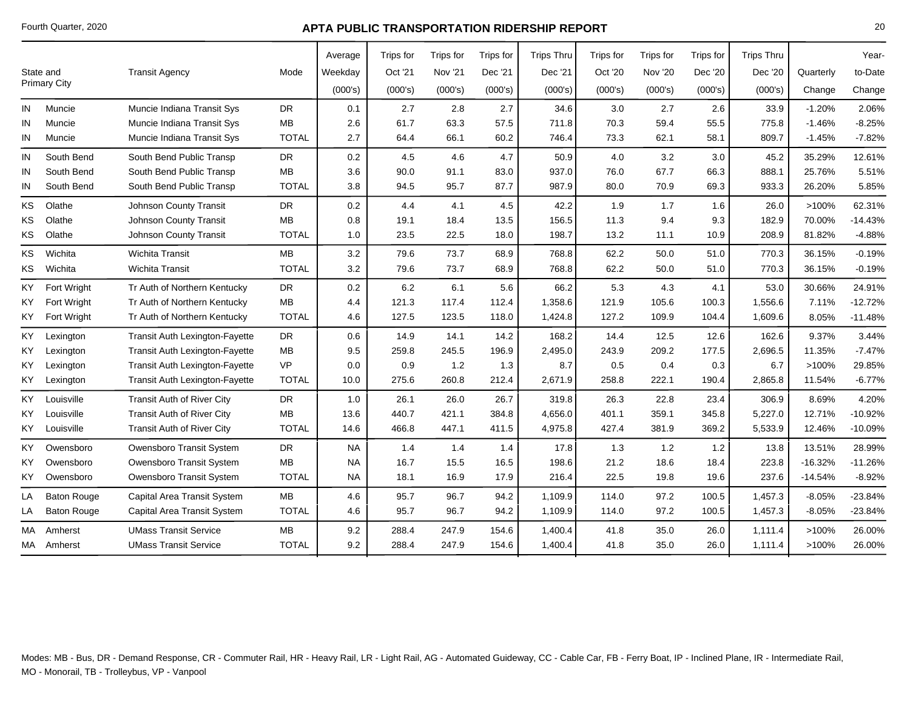|                    |                                       |              |           |         |           |           |           |                   |           |           |           |                   | Year-     |
|--------------------|---------------------------------------|--------------|-----------|---------|-----------|-----------|-----------|-------------------|-----------|-----------|-----------|-------------------|-----------|
| State and          | <b>Transit Agency</b>                 | Mode         | Weekday   | Oct '21 | Nov '21   | Dec '21   | Dec '21   | Oct '20           | Nov '20   | Dec '20   | Dec '20   | Quarterly         | to-Date   |
|                    |                                       |              | (000's)   | (000's) | (000's)   | (000's)   | (000's)   | (000's)           | (000's)   | (000's)   | (000's)   | Change            | Change    |
| Muncie             | Muncie Indiana Transit Sys            | <b>DR</b>    | 0.1       | 2.7     | 2.8       | 2.7       | 34.6      | 3.0               | 2.7       | 2.6       | 33.9      | $-1.20%$          | 2.06%     |
| Muncie             | Muncie Indiana Transit Sys            | <b>MB</b>    | 2.6       | 61.7    | 63.3      | 57.5      | 711.8     | 70.3              | 59.4      | 55.5      | 775.8     | $-1.46%$          | $-8.25%$  |
| Muncie             | Muncie Indiana Transit Sys            | <b>TOTAL</b> | 2.7       | 64.4    | 66.1      | 60.2      | 746.4     | 73.3              | 62.1      | 58.1      | 809.7     | $-1.45%$          | $-7.82%$  |
| South Bend         | South Bend Public Transp              | <b>DR</b>    | 0.2       | 4.5     | 4.6       | 4.7       | 50.9      | 4.0               | 3.2       | 3.0       | 45.2      | 35.29%            | 12.61%    |
| South Bend         | South Bend Public Transp              | <b>MB</b>    | 3.6       | 90.0    | 91.1      | 83.0      | 937.0     | 76.0              | 67.7      | 66.3      | 888.1     | 25.76%            | 5.51%     |
| South Bend         | South Bend Public Transp              | <b>TOTAL</b> | 3.8       | 94.5    | 95.7      | 87.7      | 987.9     | 80.0              | 70.9      | 69.3      | 933.3     | 26.20%            | 5.85%     |
| Olathe             | Johnson County Transit                | <b>DR</b>    | 0.2       | 4.4     | 4.1       | 4.5       | 42.2      | 1.9               | 1.7       | 1.6       | 26.0      | >100%             | 62.31%    |
| Olathe             | Johnson County Transit                | MB           | 0.8       | 19.1    | 18.4      | 13.5      | 156.5     | 11.3              | 9.4       | 9.3       | 182.9     | 70.00%            | $-14.43%$ |
| Olathe             | Johnson County Transit                | <b>TOTAL</b> | 1.0       | 23.5    | 22.5      | 18.0      | 198.7     | 13.2              | 11.1      | 10.9      | 208.9     | 81.82%            | $-4.88%$  |
| Wichita            | <b>Wichita Transit</b>                | MB           | 3.2       | 79.6    | 73.7      | 68.9      | 768.8     | 62.2              | 50.0      | 51.0      | 770.3     | 36.15%            | $-0.19%$  |
| Wichita            | <b>Wichita Transit</b>                | <b>TOTAL</b> | 3.2       | 79.6    | 73.7      | 68.9      | 768.8     | 62.2              | 50.0      | 51.0      | 770.3     | 36.15%            | $-0.19%$  |
| Fort Wright        | Tr Auth of Northern Kentucky          | <b>DR</b>    | 0.2       | 6.2     | 6.1       | 5.6       | 66.2      | 5.3               | 4.3       | 4.1       | 53.0      | 30.66%            | 24.91%    |
| <b>Fort Wright</b> | Tr Auth of Northern Kentucky          | <b>MB</b>    | 4.4       | 121.3   | 117.4     | 112.4     | 1,358.6   | 121.9             | 105.6     | 100.3     | 1,556.6   | 7.11%             | $-12.72%$ |
| Fort Wright        | Tr Auth of Northern Kentucky          | <b>TOTAL</b> | 4.6       | 127.5   | 123.5     | 118.0     | 1,424.8   | 127.2             | 109.9     | 104.4     | 1,609.6   | 8.05%             | $-11.48%$ |
| Lexington          | <b>Transit Auth Lexington-Fayette</b> | <b>DR</b>    | 0.6       | 14.9    | 14.1      | 14.2      | 168.2     | 14.4              | 12.5      | 12.6      | 162.6     | 9.37%             | 3.44%     |
| Lexington          | <b>Transit Auth Lexington-Fayette</b> | <b>MB</b>    | 9.5       | 259.8   | 245.5     | 196.9     | 2,495.0   | 243.9             | 209.2     | 177.5     | 2,696.5   | 11.35%            | $-7.47%$  |
| Lexington          | Transit Auth Lexington-Fayette        | <b>VP</b>    | 0.0       | 0.9     | 1.2       | 1.3       | 8.7       | 0.5               | 0.4       | 0.3       | 6.7       | >100%             | 29.85%    |
| Lexington          | <b>Transit Auth Lexington-Fayette</b> | <b>TOTAL</b> | 10.0      | 275.6   | 260.8     | 212.4     | 2,671.9   | 258.8             | 222.1     | 190.4     | 2,865.8   | 11.54%            | $-6.77%$  |
| Louisville         | Transit Auth of River City            | <b>DR</b>    | 1.0       | 26.1    | 26.0      | 26.7      | 319.8     | 26.3              | 22.8      | 23.4      | 306.9     | 8.69%             | 4.20%     |
| Louisville         | <b>Transit Auth of River City</b>     | MB           | 13.6      | 440.7   | 421.1     | 384.8     | 4,656.0   | 401.1             | 359.1     | 345.8     | 5,227.0   | 12.71%            | $-10.92%$ |
| Louisville         | Transit Auth of River City            | <b>TOTAL</b> | 14.6      | 466.8   | 447.1     | 411.5     | 4,975.8   | 427.4             | 381.9     | 369.2     | 5,533.9   | 12.46%            | $-10.09%$ |
| Owensboro          | Owensboro Transit System              | <b>DR</b>    | <b>NA</b> | 1.4     | 1.4       | 1.4       | 17.8      | 1.3               | 1.2       | 1.2       | 13.8      | 13.51%            | 28.99%    |
| Owensboro          | Owensboro Transit System              | <b>MB</b>    | <b>NA</b> | 16.7    | 15.5      | 16.5      | 198.6     | 21.2              | 18.6      | 18.4      | 223.8     | $-16.32%$         | $-11.26%$ |
| Owensboro          | Owensboro Transit System              | <b>TOTAL</b> | NA.       | 18.1    | 16.9      | 17.9      | 216.4     | 22.5              | 19.8      | 19.6      | 237.6     | $-14.54%$         | $-8.92%$  |
| <b>Baton Rouge</b> | Capital Area Transit System           | <b>MB</b>    | 4.6       | 95.7    | 96.7      | 94.2      | 1,109.9   | 114.0             | 97.2      | 100.5     | 1,457.3   | $-8.05%$          | $-23.84%$ |
| <b>Baton Rouge</b> | Capital Area Transit System           | <b>TOTAL</b> | 4.6       | 95.7    | 96.7      | 94.2      | 1,109.9   | 114.0             | 97.2      | 100.5     | 1,457.3   | $-8.05%$          | $-23.84%$ |
| Amherst            | <b>UMass Transit Service</b>          | МB           | 9.2       | 288.4   | 247.9     | 154.6     | 1,400.4   | 41.8              | 35.0      | 26.0      | 1,111.4   | >100%             | 26.00%    |
| MA Amherst         | <b>UMass Transit Service</b>          | <b>TOTAL</b> | 9.2       | 288.4   | 247.9     | 154.6     | 1,400.4   | 41.8              | 35.0      | 26.0      | 1,111.4   | >100%             | 26.00%    |
|                    | <b>Primary City</b>                   |              |           | Average | Trips for | Trips for | Trips for | <b>Trips Thru</b> | Trips for | Trips for | Trips for | <b>Trips Thru</b> |           |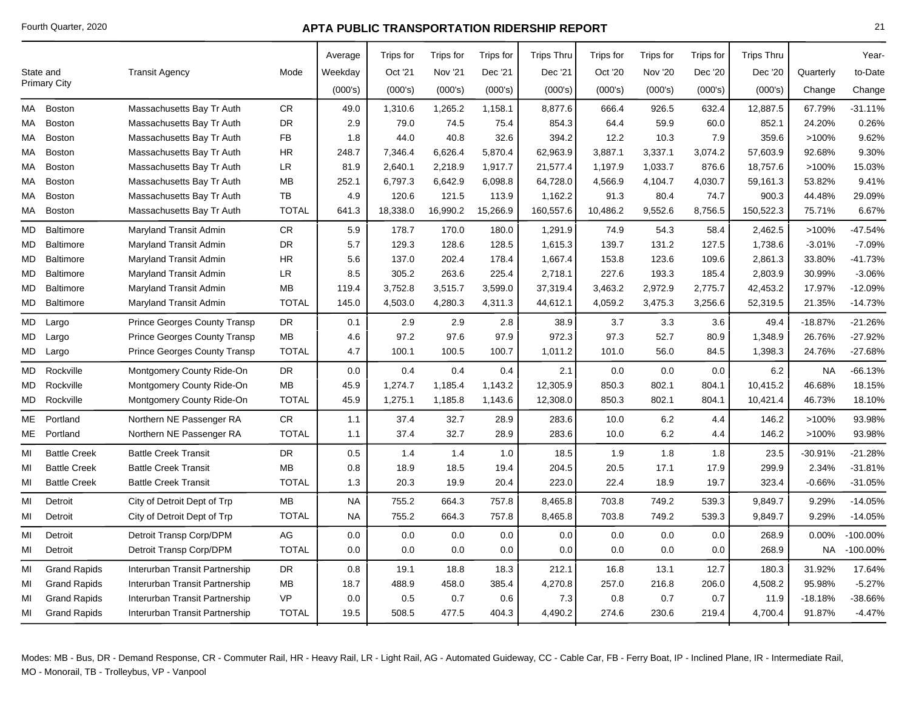|     |                     |                                |              | Average   | Trips for | Trips for      | Trips for | <b>Trips Thru</b> | Trips for | Trips for      | Trips for | <b>Trips Thru</b> |           | Year-       |
|-----|---------------------|--------------------------------|--------------|-----------|-----------|----------------|-----------|-------------------|-----------|----------------|-----------|-------------------|-----------|-------------|
|     | State and           | <b>Transit Agency</b>          | Mode         | Weekday   | Oct '21   | <b>Nov '21</b> | Dec '21   | Dec '21           | Oct '20   | <b>Nov '20</b> | Dec '20   | Dec '20           | Quarterly | to-Date     |
|     | <b>Primary City</b> |                                |              | (000's)   | (000's)   | (000's)        | (000's)   | (000's)           | (000's)   | (000's)        | (000's)   | (000's)           | Change    | Change      |
| MA  | Boston              | Massachusetts Bay Tr Auth      | CR.          | 49.0      | 1,310.6   | 1,265.2        | 1,158.1   | 8,877.6           | 666.4     | 926.5          | 632.4     | 12,887.5          | 67.79%    | $-31.11%$   |
| МA  | Boston              | Massachusetts Bay Tr Auth      | DR           | 2.9       | 79.0      | 74.5           | 75.4      | 854.3             | 64.4      | 59.9           | 60.0      | 852.1             | 24.20%    | 0.26%       |
| МA  | Boston              | Massachusetts Bay Tr Auth      | FB           | 1.8       | 44.0      | 40.8           | 32.6      | 394.2             | 12.2      | 10.3           | 7.9       | 359.6             | $>100\%$  | 9.62%       |
| МA  | <b>Boston</b>       | Massachusetts Bay Tr Auth      | <b>HR</b>    | 248.7     | 7,346.4   | 6,626.4        | 5,870.4   | 62,963.9          | 3,887.1   | 3,337.1        | 3,074.2   | 57,603.9          | 92.68%    | 9.30%       |
| МA  | <b>Boston</b>       | Massachusetts Bay Tr Auth      | LR           | 81.9      | 2,640.1   | 2,218.9        | 1,917.7   | 21,577.4          | 1,197.9   | 1,033.7        | 876.6     | 18,757.6          | >100%     | 15.03%      |
| МA  | <b>Boston</b>       | Massachusetts Bay Tr Auth      | MВ           | 252.1     | 6,797.3   | 6,642.9        | 6,098.8   | 64,728.0          | 4,566.9   | 4,104.7        | 4,030.7   | 59,161.3          | 53.82%    | 9.41%       |
| МA  | <b>Boston</b>       | Massachusetts Bay Tr Auth      | TB           | 4.9       | 120.6     | 121.5          | 113.9     | 1,162.2           | 91.3      | 80.4           | 74.7      | 900.3             | 44.48%    | 29.09%      |
| МA  | <b>Boston</b>       | Massachusetts Bay Tr Auth      | <b>TOTAL</b> | 641.3     | 18,338.0  | 16,990.2       | 15,266.9  | 160,557.6         | 10,486.2  | 9,552.6        | 8,756.5   | 150,522.3         | 75.71%    | 6.67%       |
| MD  | Baltimore           | Maryland Transit Admin         | CR.          | 5.9       | 178.7     | 170.0          | 180.0     | 1,291.9           | 74.9      | 54.3           | 58.4      | 2,462.5           | >100%     | $-47.54%$   |
| MD  | Baltimore           | Maryland Transit Admin         | DR           | 5.7       | 129.3     | 128.6          | 128.5     | 1,615.3           | 139.7     | 131.2          | 127.5     | 1,738.6           | $-3.01%$  | $-7.09%$    |
| MD. | Baltimore           | Maryland Transit Admin         | HR.          | 5.6       | 137.0     | 202.4          | 178.4     | 1,667.4           | 153.8     | 123.6          | 109.6     | 2,861.3           | 33.80%    | -41.73%     |
| MD  | Baltimore           | Maryland Transit Admin         | LR           | 8.5       | 305.2     | 263.6          | 225.4     | 2,718.1           | 227.6     | 193.3          | 185.4     | 2,803.9           | 30.99%    | $-3.06%$    |
| MD  | <b>Baltimore</b>    | Maryland Transit Admin         | MВ           | 119.4     | 3,752.8   | 3,515.7        | 3,599.0   | 37,319.4          | 3,463.2   | 2,972.9        | 2,775.7   | 42,453.2          | 17.97%    | $-12.09%$   |
| MD  | Baltimore           | Maryland Transit Admin         | <b>TOTAL</b> | 145.0     | 4,503.0   | 4,280.3        | 4,311.3   | 44,612.1          | 4,059.2   | 3,475.3        | 3,256.6   | 52,319.5          | 21.35%    | $-14.73%$   |
| MD. | Largo               | Prince Georges County Transp   | <b>DR</b>    | 0.1       | 2.9       | 2.9            | 2.8       | 38.9              | 3.7       | 3.3            | 3.6       | 49.4              | $-18.87%$ | $-21.26%$   |
| MD  | Largo               | Prince Georges County Transp   | <b>MB</b>    | 4.6       | 97.2      | 97.6           | 97.9      | 972.3             | 97.3      | 52.7           | 80.9      | 1,348.9           | 26.76%    | $-27.92%$   |
|     | MD Largo            | Prince Georges County Transp   | <b>TOTAL</b> | 4.7       | 100.1     | 100.5          | 100.7     | 1,011.2           | 101.0     | 56.0           | 84.5      | 1,398.3           | 24.76%    | $-27.68%$   |
| MD  | Rockville           | Montgomery County Ride-On      | DR           | 0.0       | 0.4       | 0.4            | 0.4       | 2.1               | 0.0       | 0.0            | 0.0       | 6.2               | <b>NA</b> | $-66.13%$   |
| MD  | Rockville           | Montgomery County Ride-On      | MB           | 45.9      | 1,274.7   | 1,185.4        | 1,143.2   | 12,305.9          | 850.3     | 802.1          | 804.1     | 10,415.2          | 46.68%    | 18.15%      |
| MD  | Rockville           | Montgomery County Ride-On      | <b>TOTAL</b> | 45.9      | 1,275.1   | 1,185.8        | 1,143.6   | 12,308.0          | 850.3     | 802.1          | 804.1     | 10,421.4          | 46.73%    | 18.10%      |
| ME  | Portland            | Northern NE Passenger RA       | CR.          | 1.1       | 37.4      | 32.7           | 28.9      | 283.6             | 10.0      | 6.2            | 4.4       | 146.2             | >100%     | 93.98%      |
| МE  | Portland            | Northern NE Passenger RA       | <b>TOTAL</b> | 1.1       | 37.4      | 32.7           | 28.9      | 283.6             | 10.0      | 6.2            | 4.4       | 146.2             | >100%     | 93.98%      |
| MI  | <b>Battle Creek</b> | <b>Battle Creek Transit</b>    | DR           | 0.5       | 1.4       | 1.4            | 1.0       | 18.5              | 1.9       | 1.8            | 1.8       | 23.5              | $-30.91%$ | $-21.28%$   |
| MI  | <b>Battle Creek</b> | <b>Battle Creek Transit</b>    | <b>MB</b>    | 0.8       | 18.9      | 18.5           | 19.4      | 204.5             | 20.5      | 17.1           | 17.9      | 299.9             | 2.34%     | $-31.81%$   |
| MI  | <b>Battle Creek</b> | <b>Battle Creek Transit</b>    | <b>TOTAL</b> | 1.3       | 20.3      | 19.9           | 20.4      | 223.0             | 22.4      | 18.9           | 19.7      | 323.4             | $-0.66%$  | $-31.05%$   |
| MI  | Detroit             | City of Detroit Dept of Trp    | MВ           | <b>NA</b> | 755.2     | 664.3          | 757.8     | 8,465.8           | 703.8     | 749.2          | 539.3     | 9,849.7           | 9.29%     | $-14.05%$   |
| MI  | Detroit             | City of Detroit Dept of Trp    | <b>TOTAL</b> | <b>NA</b> | 755.2     | 664.3          | 757.8     | 8,465.8           | 703.8     | 749.2          | 539.3     | 9,849.7           | 9.29%     | $-14.05%$   |
| MI  | Detroit             | Detroit Transp Corp/DPM        | AG           | $0.0\,$   | 0.0       | 0.0            | 0.0       | 0.0               | 0.0       | 0.0            | 0.0       | 268.9             | 0.00%     | $-100.00\%$ |
| MI  | Detroit             | Detroit Transp Corp/DPM        | <b>TOTAL</b> | 0.0       | 0.0       | 0.0            | 0.0       | 0.0               | 0.0       | 0.0            | 0.0       | 268.9             | <b>NA</b> | $-100.00\%$ |
| MI  | <b>Grand Rapids</b> | Interurban Transit Partnership | DR           | 0.8       | 19.1      | 18.8           | 18.3      | 212.1             | 16.8      | 13.1           | 12.7      | 180.3             | 31.92%    | 17.64%      |
| MI  | <b>Grand Rapids</b> | Interurban Transit Partnership | MВ           | 18.7      | 488.9     | 458.0          | 385.4     | 4,270.8           | 257.0     | 216.8          | 206.0     | 4,508.2           | 95.98%    | $-5.27%$    |
| MI  | <b>Grand Rapids</b> | Interurban Transit Partnership | <b>VP</b>    | 0.0       | 0.5       | 0.7            | 0.6       | 7.3               | 0.8       | 0.7            | 0.7       | 11.9              | $-18.18%$ | -38.66%     |
| MI  | <b>Grand Rapids</b> | Interurban Transit Partnership | <b>TOTAL</b> | 19.5      | 508.5     | 477.5          | 404.3     | 4,490.2           | 274.6     | 230.6          | 219.4     | 4,700.4           | 91.87%    | $-4.47%$    |
|     |                     |                                |              |           |           |                |           |                   |           |                |           |                   |           |             |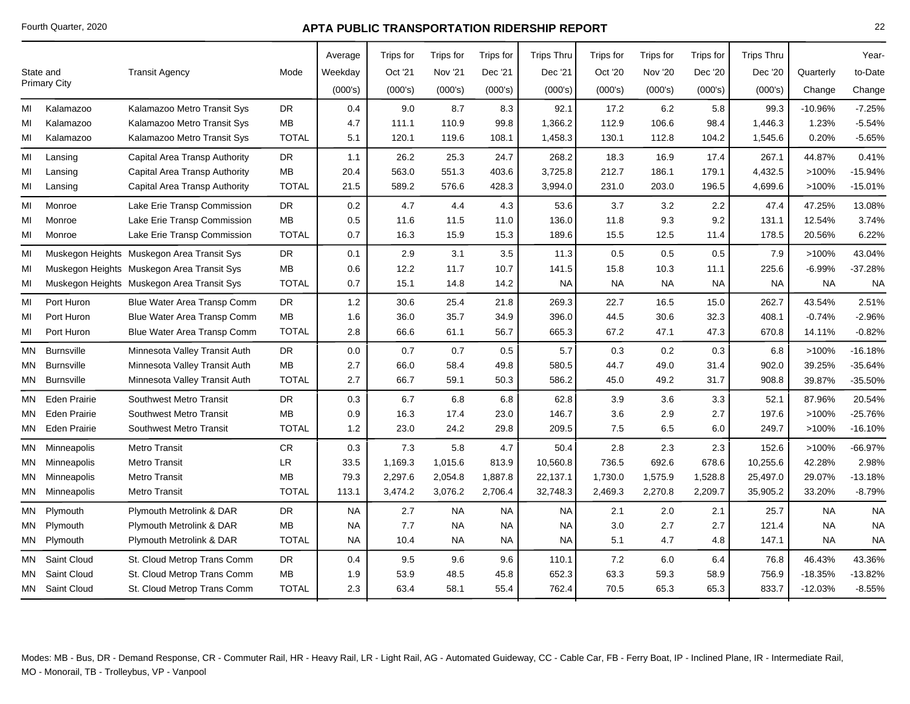|           |                     |                                            |              | Average   | <b>Trips for</b> | Trips for      | Trips for | <b>Trips Thru</b> | Trips for | Trips for      | Trips for | <b>Trips Thru</b> |           | Year-     |
|-----------|---------------------|--------------------------------------------|--------------|-----------|------------------|----------------|-----------|-------------------|-----------|----------------|-----------|-------------------|-----------|-----------|
|           | State and           | <b>Transit Agency</b>                      | Mode         | Weekday   | Oct '21          | <b>Nov '21</b> | Dec '21   | Dec '21           | Oct '20   | <b>Nov '20</b> | Dec '20   | Dec '20           | Quarterly | to-Date   |
|           | <b>Primary City</b> |                                            |              | (000's)   | (000's)          | (000's)        | (000's)   | (000's)           | (000's)   | (000's)        | (000's)   | (000's)           | Change    | Change    |
| MI        | Kalamazoo           | Kalamazoo Metro Transit Sys                | DR.          | 0.4       | 9.0              | 8.7            | 8.3       | 92.1              | 17.2      | 6.2            | 5.8       | 99.3              | $-10.96%$ | $-7.25%$  |
| MI        | Kalamazoo           | Kalamazoo Metro Transit Sys                | <b>MB</b>    | 4.7       | 111.1            | 110.9          | 99.8      | 1,366.2           | 112.9     | 106.6          | 98.4      | 1,446.3           | 1.23%     | $-5.54%$  |
| MI        | Kalamazoo           | Kalamazoo Metro Transit Sys                | <b>TOTAL</b> | 5.1       | 120.1            | 119.6          | 108.1     | 1,458.3           | 130.1     | 112.8          | 104.2     | 1,545.6           | 0.20%     | $-5.65%$  |
| MI        | Lansing             | Capital Area Transp Authority              | <b>DR</b>    | 1.1       | 26.2             | 25.3           | 24.7      | 268.2             | 18.3      | 16.9           | 17.4      | 267.1             | 44.87%    | 0.41%     |
| MI        | Lansing             | Capital Area Transp Authority              | MB           | 20.4      | 563.0            | 551.3          | 403.6     | 3,725.8           | 212.7     | 186.1          | 179.1     | 4,432.5           | >100%     | $-15.94%$ |
| MI        | Lansing             | Capital Area Transp Authority              | <b>TOTAL</b> | 21.5      | 589.2            | 576.6          | 428.3     | 3,994.0           | 231.0     | 203.0          | 196.5     | 4,699.6           | >100%     | $-15.01%$ |
| MI        | Monroe              | Lake Erie Transp Commission                | DR           | 0.2       | 4.7              | 4.4            | 4.3       | 53.6              | 3.7       | 3.2            | 2.2       | 47.4              | 47.25%    | 13.08%    |
| MI        | Monroe              | Lake Erie Transp Commission                | <b>MB</b>    | 0.5       | 11.6             | 11.5           | 11.0      | 136.0             | 11.8      | 9.3            | 9.2       | 131.1             | 12.54%    | 3.74%     |
| MI        | Monroe              | Lake Erie Transp Commission                | <b>TOTAL</b> | 0.7       | 16.3             | 15.9           | 15.3      | 189.6             | 15.5      | 12.5           | 11.4      | 178.5             | 20.56%    | 6.22%     |
| MI        |                     | Muskegon Heights Muskegon Area Transit Sys | DR           | 0.1       | 2.9              | 3.1            | 3.5       | 11.3              | $0.5\,$   | 0.5            | 0.5       | 7.9               | >100%     | 43.04%    |
| MI        |                     | Muskegon Heights Muskegon Area Transit Sys | MB           | 0.6       | 12.2             | 11.7           | 10.7      | 141.5             | 15.8      | 10.3           | 11.1      | 225.6             | $-6.99%$  | $-37.28%$ |
| MI        |                     | Muskegon Heights Muskegon Area Transit Sys | <b>TOTAL</b> | 0.7       | 15.1             | 14.8           | 14.2      | <b>NA</b>         | <b>NA</b> | <b>NA</b>      | <b>NA</b> | <b>NA</b>         | <b>NA</b> | <b>NA</b> |
| MI        | Port Huron          | Blue Water Area Transp Comm                | <b>DR</b>    | $1.2$     | 30.6             | 25.4           | 21.8      | 269.3             | 22.7      | 16.5           | 15.0      | 262.7             | 43.54%    | 2.51%     |
| MI        | Port Huron          | Blue Water Area Transp Comm                | MВ           | 1.6       | 36.0             | 35.7           | 34.9      | 396.0             | 44.5      | 30.6           | 32.3      | 408.1             | $-0.74%$  | $-2.96%$  |
| MI        | Port Huron          | Blue Water Area Transp Comm                | <b>TOTAL</b> | 2.8       | 66.6             | 61.1           | 56.7      | 665.3             | 67.2      | 47.1           | 47.3      | 670.8             | 14.11%    | $-0.82%$  |
| ΜN        | <b>Burnsville</b>   | Minnesota Valley Transit Auth              | DR           | 0.0       | 0.7              | 0.7            | 0.5       | 5.7               | 0.3       | 0.2            | 0.3       | 6.8               | >100%     | $-16.18%$ |
| MN        | <b>Burnsville</b>   | Minnesota Valley Transit Auth              | <b>MB</b>    | 2.7       | 66.0             | 58.4           | 49.8      | 580.5             | 44.7      | 49.0           | 31.4      | 902.0             | 39.25%    | $-35.64%$ |
| ΜN        | <b>Burnsville</b>   | Minnesota Valley Transit Auth              | <b>TOTAL</b> | 2.7       | 66.7             | 59.1           | 50.3      | 586.2             | 45.0      | 49.2           | 31.7      | 908.8             | 39.87%    | $-35.50%$ |
| MN        | <b>Eden Prairie</b> | Southwest Metro Transit                    | DR           | 0.3       | 6.7              | 6.8            | 6.8       | 62.8              | 3.9       | 3.6            | 3.3       | 52.1              | 87.96%    | 20.54%    |
| MN.       | <b>Eden Prairie</b> | Southwest Metro Transit                    | MB           | 0.9       | 16.3             | 17.4           | 23.0      | 146.7             | 3.6       | 2.9            | 2.7       | 197.6             | >100%     | $-25.76%$ |
| MN        | <b>Eden Prairie</b> | Southwest Metro Transit                    | <b>TOTAL</b> | 1.2       | 23.0             | 24.2           | 29.8      | 209.5             | 7.5       | 6.5            | 6.0       | 249.7             | >100%     | $-16.10%$ |
| MN        | Minneapolis         | <b>Metro Transit</b>                       | ${\sf CR}$   | 0.3       | 7.3              | 5.8            | 4.7       | 50.4              | 2.8       | 2.3            | 2.3       | 152.6             | >100%     | $-66.97%$ |
| MN        | Minneapolis         | <b>Metro Transit</b>                       | LR           | 33.5      | 1,169.3          | 1,015.6        | 813.9     | 10,560.8          | 736.5     | 692.6          | 678.6     | 10,255.6          | 42.28%    | 2.98%     |
| MN.       | Minneapolis         | Metro Transit                              | MB           | 79.3      | 2,297.6          | 2,054.8        | 1,887.8   | 22,137.1          | 1,730.0   | 1,575.9        | 1,528.8   | 25,497.0          | 29.07%    | $-13.18%$ |
| MN I      | Minneapolis         | <b>Metro Transit</b>                       | TOTAL        | 113.1     | 3,474.2          | 3,076.2        | 2,706.4   | 32,748.3          | 2,469.3   | 2,270.8        | 2,209.7   | 35,905.2          | 33.20%    | $-8.79%$  |
|           | MN Plymouth         | Plymouth Metrolink & DAR                   | <b>DR</b>    | <b>NA</b> | 2.7              | <b>NA</b>      | NA        | NA                | 2.1       | 2.0            | 2.1       | 25.7              | <b>NA</b> | <b>NA</b> |
|           | MN Plymouth         | Plymouth Metrolink & DAR                   | <b>MB</b>    | <b>NA</b> | 7.7              | <b>NA</b>      | <b>NA</b> | <b>NA</b>         | 3.0       | 2.7            | 2.7       | 121.4             | <b>NA</b> | <b>NA</b> |
|           | MN Plymouth         | Plymouth Metrolink & DAR                   | <b>TOTAL</b> | <b>NA</b> | 10.4             | <b>NA</b>      | <b>NA</b> | <b>NA</b>         | 5.1       | 4.7            | 4.8       | 147.1             | <b>NA</b> | <b>NA</b> |
| <b>MN</b> | Saint Cloud         | St. Cloud Metrop Trans Comm                | DR           | 0.4       | 9.5              | 9.6            | $9.6\,$   | 110.1             | 7.2       | 6.0            | 6.4       | 76.8              | 46.43%    | 43.36%    |
| MN        | <b>Saint Cloud</b>  | St. Cloud Metrop Trans Comm                | MB           | 1.9       | 53.9             | 48.5           | 45.8      | 652.3             | 63.3      | 59.3           | 58.9      | 756.9             | $-18.35%$ | $-13.82%$ |
|           | MN Saint Cloud      | St. Cloud Metrop Trans Comm                | <b>TOTAL</b> | 2.3       | 63.4             | 58.1           | 55.4      | 762.4             | 70.5      | 65.3           | 65.3      | 833.7             | $-12.03%$ | $-8.55%$  |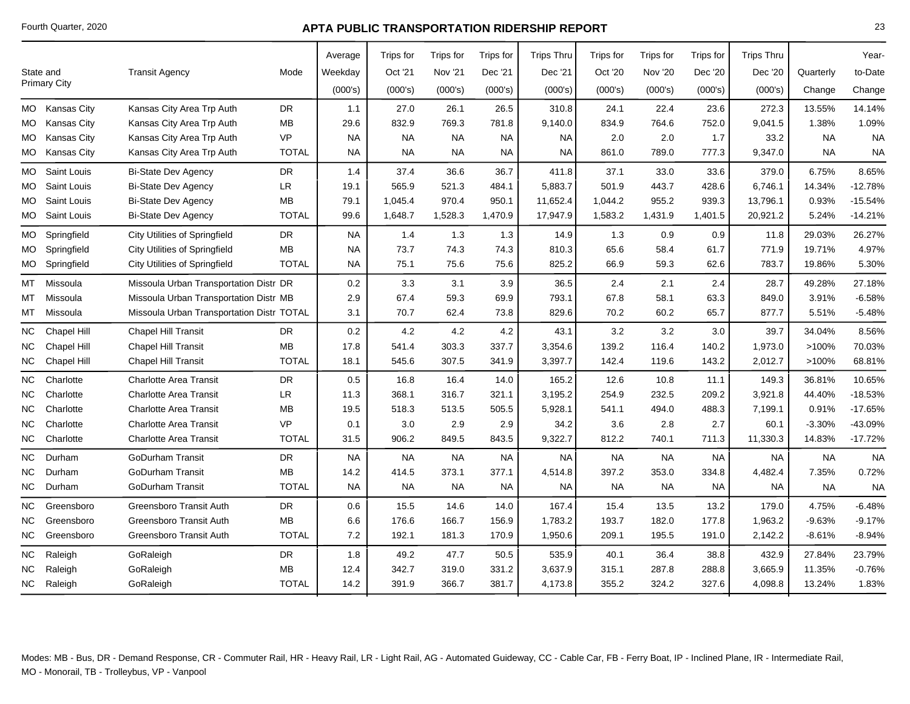|           |                     |                                           |              | Average   | Trips for | Trips for      | <b>Trips for</b> | <b>Trips Thru</b> | Trips for | <b>Trips</b> for | <b>Trips for</b> | <b>Trips Thru</b> |           | Year-     |
|-----------|---------------------|-------------------------------------------|--------------|-----------|-----------|----------------|------------------|-------------------|-----------|------------------|------------------|-------------------|-----------|-----------|
|           | State and           | <b>Transit Agency</b>                     | Mode         | Weekday   | Oct '21   | <b>Nov '21</b> | Dec '21          | Dec '21           | Oct '20   | <b>Nov '20</b>   | Dec '20          | Dec '20           | Quarterly | to-Date   |
|           | <b>Primary City</b> |                                           |              | (000's)   | (000's)   | (000's)        | (000's)          | (000's)           | (000's)   | (000's)          | (000's)          | (000's)           | Change    | Change    |
| МO        | <b>Kansas City</b>  | Kansas City Area Trp Auth                 | DR           | 1.1       | 27.0      | 26.1           | 26.5             | 310.8             | 24.1      | 22.4             | 23.6             | 272.3             | 13.55%    | 14.14%    |
| MO.       | <b>Kansas City</b>  | Kansas City Area Trp Auth                 | MB           | 29.6      | 832.9     | 769.3          | 781.8            | 9,140.0           | 834.9     | 764.6            | 752.0            | 9,041.5           | 1.38%     | 1.09%     |
| МO        | Kansas City         | Kansas City Area Trp Auth                 | <b>VP</b>    | <b>NA</b> | <b>NA</b> | <b>NA</b>      | <b>NA</b>        | <b>NA</b>         | 2.0       | 2.0              | 1.7              | 33.2              | <b>NA</b> | <b>NA</b> |
| MO        | <b>Kansas City</b>  | Kansas City Area Trp Auth                 | <b>TOTAL</b> | <b>NA</b> | <b>NA</b> | NA             | <b>NA</b>        | <b>NA</b>         | 861.0     | 789.0            | 777.3            | 9,347.0           | <b>NA</b> | <b>NA</b> |
| MO.       | Saint Louis         | <b>Bi-State Dev Agency</b>                | DR           | 1.4       | 37.4      | 36.6           | 36.7             | 411.8             | 37.1      | 33.0             | 33.6             | 379.0             | 6.75%     | 8.65%     |
| МO        | Saint Louis         | <b>Bi-State Dev Agency</b>                | LR.          | 19.1      | 565.9     | 521.3          | 484.1            | 5,883.7           | 501.9     | 443.7            | 428.6            | 6,746.1           | 14.34%    | $-12.78%$ |
| MO.       | Saint Louis         | <b>Bi-State Dev Agency</b>                | MВ           | 79.1      | 1,045.4   | 970.4          | 950.1            | 11,652.4          | 1,044.2   | 955.2            | 939.3            | 13,796.1          | 0.93%     | $-15.54%$ |
| МO        | Saint Louis         | <b>Bi-State Dev Agency</b>                | <b>TOTAL</b> | 99.6      | 1,648.7   | 1,528.3        | 1,470.9          | 17,947.9          | 1,583.2   | 1,431.9          | 1,401.5          | 20,921.2          | 5.24%     | $-14.21%$ |
| MO        | Springfield         | <b>City Utilities of Springfield</b>      | DR           | <b>NA</b> | 1.4       | 1.3            | 1.3              | 14.9              | 1.3       | 0.9              | 0.9              | 11.8              | 29.03%    | 26.27%    |
| MO.       | Springfield         | <b>City Utilities of Springfield</b>      | <b>MB</b>    | <b>NA</b> | 73.7      | 74.3           | 74.3             | 810.3             | 65.6      | 58.4             | 61.7             | 771.9             | 19.71%    | 4.97%     |
| MO.       | Springfield         | <b>City Utilities of Springfield</b>      | <b>TOTAL</b> | <b>NA</b> | 75.1      | 75.6           | 75.6             | 825.2             | 66.9      | 59.3             | 62.6             | 783.7             | 19.86%    | 5.30%     |
| MT        | Missoula            | Missoula Urban Transportation Distr DR    |              | 0.2       | 3.3       | 3.1            | 3.9              | 36.5              | 2.4       | 2.1              | 2.4              | 28.7              | 49.28%    | 27.18%    |
| мт        | Missoula            | Missoula Urban Transportation Distr MB    |              | 2.9       | 67.4      | 59.3           | 69.9             | 793.1             | 67.8      | 58.1             | 63.3             | 849.0             | 3.91%     | $-6.58%$  |
| MТ        | Missoula            | Missoula Urban Transportation Distr TOTAL |              | 3.1       | 70.7      | 62.4           | 73.8             | 829.6             | 70.2      | 60.2             | 65.7             | 877.7             | 5.51%     | $-5.48%$  |
| NC.       | <b>Chapel Hill</b>  | <b>Chapel Hill Transit</b>                | <b>DR</b>    | 0.2       | 4.2       | 4.2            | 4.2              | 43.1              | 3.2       | 3.2              | 3.0              | 39.7              | 34.04%    | 8.56%     |
| <b>NC</b> | <b>Chapel Hill</b>  | <b>Chapel Hill Transit</b>                | <b>MB</b>    | 17.8      | 541.4     | 303.3          | 337.7            | 3,354.6           | 139.2     | 116.4            | 140.2            | 1,973.0           | >100%     | 70.03%    |
| NC.       | <b>Chapel Hill</b>  | <b>Chapel Hill Transit</b>                | <b>TOTAL</b> | 18.1      | 545.6     | 307.5          | 341.9            | 3,397.7           | 142.4     | 119.6            | 143.2            | 2,012.7           | >100%     | 68.81%    |
| ΝC        | Charlotte           | <b>Charlotte Area Transit</b>             | <b>DR</b>    | 0.5       | 16.8      | 16.4           | 14.0             | 165.2             | 12.6      | 10.8             | 11.1             | 149.3             | 36.81%    | 10.65%    |
| NC.       | Charlotte           | <b>Charlotte Area Transit</b>             | LR           | 11.3      | 368.1     | 316.7          | 321.1            | 3,195.2           | 254.9     | 232.5            | 209.2            | 3,921.8           | 44.40%    | $-18.53%$ |
| ΝC        | Charlotte           | <b>Charlotte Area Transit</b>             | <b>MB</b>    | 19.5      | 518.3     | 513.5          | 505.5            | 5,928.1           | 541.1     | 494.0            | 488.3            | 7,199.1           | 0.91%     | $-17.65%$ |
| ΝC        | Charlotte           | <b>Charlotte Area Transit</b>             | <b>VP</b>    | 0.1       | 3.0       | 2.9            | 2.9              | 34.2              | 3.6       | 2.8              | 2.7              | 60.1              | $-3.30%$  | -43.09%   |
| NC.       | Charlotte           | <b>Charlotte Area Transit</b>             | <b>TOTAL</b> | 31.5      | 906.2     | 849.5          | 843.5            | 9,322.7           | 812.2     | 740.1            | 711.3            | 11,330.3          | 14.83%    | $-17.72%$ |
| ΝC        | Durham              | <b>GoDurham Transit</b>                   | <b>DR</b>    | <b>NA</b> | <b>NA</b> | <b>NA</b>      | <b>NA</b>        | <b>NA</b>         | <b>NA</b> | <b>NA</b>        | <b>NA</b>        | <b>NA</b>         | <b>NA</b> | <b>NA</b> |
| <b>NC</b> | Durham              | <b>GoDurham Transit</b>                   | MB           | 14.2      | 414.5     | 373.1          | 377.1            | 4,514.8           | 397.2     | 353.0            | 334.8            | 4,482.4           | 7.35%     | 0.72%     |
| ΝC        | Durham              | <b>GoDurham Transit</b>                   | <b>TOTAL</b> | <b>NA</b> | <b>NA</b> | <b>NA</b>      | <b>NA</b>        | <b>NA</b>         | <b>NA</b> | <b>NA</b>        | <b>NA</b>        | <b>NA</b>         | <b>NA</b> | <b>NA</b> |
| <b>NC</b> | Greensboro          | <b>Greensboro Transit Auth</b>            | DR           | 0.6       | 15.5      | 14.6           | 14.0             | 167.4             | 15.4      | 13.5             | 13.2             | 179.0             | 4.75%     | $-6.48%$  |
| ΝC        | Greensboro          | Greensboro Transit Auth                   | MB           | 6.6       | 176.6     | 166.7          | 156.9            | 1,783.2           | 193.7     | 182.0            | 177.8            | 1,963.2           | $-9.63%$  | $-9.17%$  |
| NC        | Greensboro          | Greensboro Transit Auth                   | <b>TOTAL</b> | 7.2       | 192.1     | 181.3          | 170.9            | 1,950.6           | 209.1     | 195.5            | 191.0            | 2,142.2           | $-8.61%$  | $-8.94%$  |
| <b>NC</b> | Raleigh             | GoRaleigh                                 | <b>DR</b>    | 1.8       | 49.2      | 47.7           | 50.5             | 535.9             | 40.1      | 36.4             | 38.8             | 432.9             | 27.84%    | 23.79%    |
| <b>NC</b> | Raleigh             | GoRaleigh                                 | <b>MB</b>    | 12.4      | 342.7     | 319.0          | 331.2            | 3,637.9           | 315.1     | 287.8            | 288.8            | 3,665.9           | 11.35%    | $-0.76%$  |
| NC.       | Raleigh             | GoRaleigh                                 | <b>TOTAL</b> | 14.2      | 391.9     | 366.7          | 381.7            | 4,173.8           | 355.2     | 324.2            | 327.6            | 4,098.8           | 13.24%    | 1.83%     |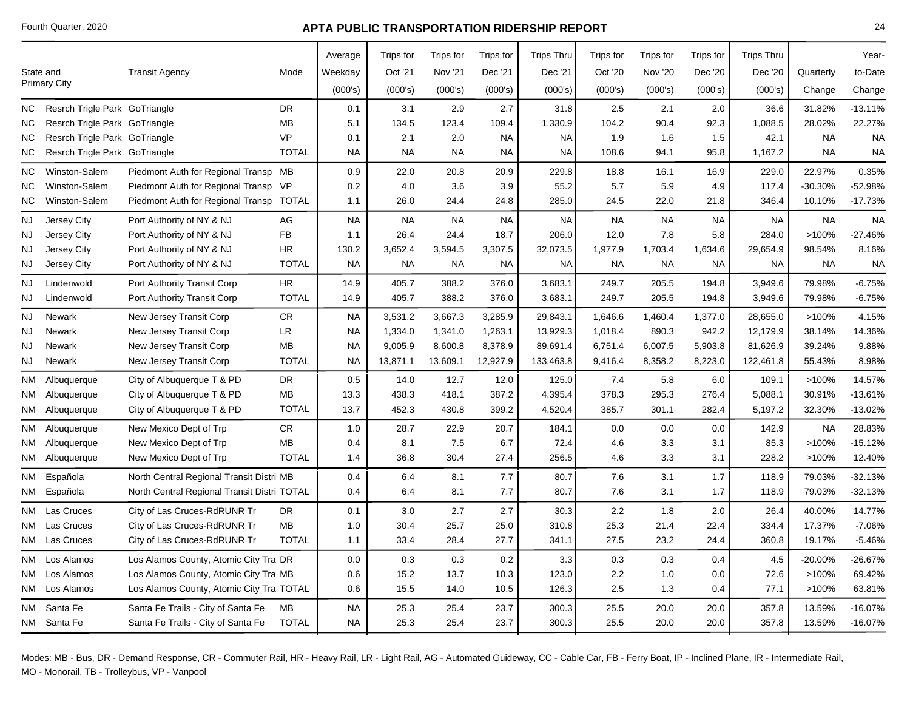|      |                               |                                             |              | Average   | Trips for | Trips for      | <b>Trips for</b> | <b>Trips Thru</b> | <b>Trips</b> for | Trips for      | Trips for | <b>Trips Thru</b> |           | Year-     |
|------|-------------------------------|---------------------------------------------|--------------|-----------|-----------|----------------|------------------|-------------------|------------------|----------------|-----------|-------------------|-----------|-----------|
|      | State and                     | <b>Transit Agency</b>                       | Mode         | Weekday   | Oct '21   | <b>Nov '21</b> | Dec '21          | Dec '21           | Oct '20          | <b>Nov '20</b> | Dec '20   | Dec '20           | Quarterly | to-Date   |
|      | <b>Primary City</b>           |                                             |              | (000's)   | (000's)   | (000's)        | (000's)          | (000's)           | (000's)          | (000's)        | (000's)   | (000's)           | Change    | Change    |
| NC.  | Resrch Trigle Park GoTriangle |                                             | <b>DR</b>    | 0.1       | 3.1       | 2.9            | 2.7              | 31.8              | 2.5              | 2.1            | 2.0       | 36.6              | 31.82%    | $-13.11%$ |
| ΝC   | Resrch Trigle Park GoTriangle |                                             | MB           | 5.1       | 134.5     | 123.4          | 109.4            | 1,330.9           | 104.2            | 90.4           | 92.3      | 1,088.5           | 28.02%    | 22.27%    |
| ΝC   | Resrch Trigle Park GoTriangle |                                             | <b>VP</b>    | 0.1       | 2.1       | 2.0            | <b>NA</b>        | <b>NA</b>         | 1.9              | 1.6            | 1.5       | 42.1              | <b>NA</b> | <b>NA</b> |
| ΝC   | Resrch Trigle Park GoTriangle |                                             | <b>TOTAL</b> | <b>NA</b> | <b>NA</b> | <b>NA</b>      | <b>NA</b>        | <b>NA</b>         | 108.6            | 94.1           | 95.8      | 1,167.2           | <b>NA</b> | <b>NA</b> |
| ΝC   | Winston-Salem                 | Piedmont Auth for Regional Transp MB        |              | 0.9       | 22.0      | 20.8           | 20.9             | 229.8             | 18.8             | 16.1           | 16.9      | 229.0             | 22.97%    | 0.35%     |
| ΝC   | Winston-Salem                 | Piedmont Auth for Regional Transp VP        |              | 0.2       | 4.0       | 3.6            | 3.9              | 55.2              | 5.7              | 5.9            | 4.9       | 117.4             | -30.30%   | $-52.98%$ |
| ΝC   | Winston-Salem                 | Piedmont Auth for Regional Transp           | <b>TOTAL</b> | 1.1       | 26.0      | 24.4           | 24.8             | 285.0             | 24.5             | 22.0           | 21.8      | 346.4             | 10.10%    | $-17.73%$ |
| NJ   | Jersey City                   | Port Authority of NY & NJ                   | AG           | <b>NA</b> | <b>NA</b> | <b>NA</b>      | <b>NA</b>        | <b>NA</b>         | <b>NA</b>        | <b>NA</b>      | <b>NA</b> | <b>NA</b>         | <b>NA</b> | <b>NA</b> |
| NJ   | Jersey City                   | Port Authority of NY & NJ                   | <b>FB</b>    | 1.1       | 26.4      | 24.4           | 18.7             | 206.0             | 12.0             | 7.8            | 5.8       | 284.0             | $>100\%$  | $-27.46%$ |
| NJ   | Jersey City                   | Port Authority of NY & NJ                   | <b>HR</b>    | 130.2     | 3,652.4   | 3,594.5        | 3,307.5          | 32,073.5          | 1,977.9          | 1,703.4        | 1,634.6   | 29,654.9          | 98.54%    | 8.16%     |
| NJ   | Jersey City                   | Port Authority of NY & NJ                   | <b>TOTAL</b> | <b>NA</b> | <b>NA</b> | <b>NA</b>      | <b>NA</b>        | <b>NA</b>         | <b>NA</b>        | <b>NA</b>      | <b>NA</b> | <b>NA</b>         | <b>NA</b> | <b>NA</b> |
| NJ   | Lindenwold                    | Port Authority Transit Corp                 | <b>HR</b>    | 14.9      | 405.7     | 388.2          | 376.0            | 3,683.1           | 249.7            | 205.5          | 194.8     | 3,949.6           | 79.98%    | $-6.75%$  |
| NJ   | Lindenwold                    | Port Authority Transit Corp                 | <b>TOTAL</b> | 14.9      | 405.7     | 388.2          | 376.0            | 3,683.1           | 249.7            | 205.5          | 194.8     | 3,949.6           | 79.98%    | $-6.75%$  |
| NJ   | <b>Newark</b>                 | New Jersey Transit Corp                     | ${\sf CR}$   | <b>NA</b> | 3,531.2   | 3,667.3        | 3,285.9          | 29,843.1          | 1,646.6          | 1,460.4        | 1,377.0   | 28,655.0          | >100%     | 4.15%     |
| NJ   | Newark                        | New Jersey Transit Corp                     | <b>LR</b>    | <b>NA</b> | 1,334.0   | 1,341.0        | 1,263.1          | 13,929.3          | 1,018.4          | 890.3          | 942.2     | 12,179.9          | 38.14%    | 14.36%    |
| NJ   | Newark                        | New Jersey Transit Corp                     | <b>MB</b>    | <b>NA</b> | 9,005.9   | 8,600.8        | 8,378.9          | 89,691.4          | 6,751.4          | 6,007.5        | 5,903.8   | 81,626.9          | 39.24%    | 9.88%     |
| NJ   | Newark                        | New Jersey Transit Corp                     | <b>TOTAL</b> | <b>NA</b> | 13,871.1  | 13,609.1       | 12,927.9         | 133,463.8         | 9,416.4          | 8,358.2        | 8,223.0   | 122,461.8         | 55.43%    | 8.98%     |
| ΝM   | Albuquerque                   | City of Albuquerque T & PD                  | <b>DR</b>    | 0.5       | 14.0      | 12.7           | 12.0             | 125.0             | 7.4              | 5.8            | 6.0       | 109.1             | >100%     | 14.57%    |
| NM - | Albuquerque                   | City of Albuquerque T & PD                  | MB           | 13.3      | 438.3     | 418.1          | 387.2            | 4,395.4           | 378.3            | 295.3          | 276.4     | 5,088.1           | 30.91%    | $-13.61%$ |
|      | NM Albuquerque                | City of Albuquerque T & PD                  | <b>TOTAL</b> | 13.7      | 452.3     | 430.8          | 399.2            | 4,520.4           | 385.7            | 301.1          | 282.4     | 5,197.2           | 32.30%    | -13.02%   |
| NM   | Albuquerque                   | New Mexico Dept of Trp                      | ${\sf CR}$   | 1.0       | 28.7      | 22.9           | 20.7             | 184.1             | 0.0              | 0.0            | 0.0       | 142.9             | <b>NA</b> | 28.83%    |
| NM   | Albuquerque                   | New Mexico Dept of Trp                      | MB           | 0.4       | 8.1       | 7.5            | 6.7              | 72.4              | 4.6              | 3.3            | 3.1       | 85.3              | >100%     | $-15.12%$ |
|      | NM Albuquerque                | New Mexico Dept of Trp                      | <b>TOTAL</b> | 1.4       | 36.8      | 30.4           | 27.4             | 256.5             | 4.6              | 3.3            | 3.1       | 228.2             | >100%     | 12.40%    |
| ΝM   | Española                      | North Central Regional Transit Distri MB    |              | 0.4       | 6.4       | 8.1            | 7.7              | 80.7              | 7.6              | 3.1            | 1.7       | 118.9             | 79.03%    | $-32.13%$ |
|      | NM Española                   | North Central Regional Transit Distri TOTAL |              | 0.4       | 6.4       | 8.1            | 7.7              | 80.7              | 7.6              | 3.1            | 1.7       | 118.9             | 79.03%    | $-32.13%$ |
|      | NM Las Cruces                 | City of Las Cruces-RdRUNR Tr                | <b>DR</b>    | 0.1       | 3.0       | 2.7            | 2.7              | 30.3              | 2.2              | 1.8            | 2.0       | 26.4              | 40.00%    | 14.77%    |
|      | NM Las Cruces                 | City of Las Cruces-RdRUNR Tr                | MB           | 1.0       | 30.4      | 25.7           | 25.0             | 310.8             | 25.3             | 21.4           | 22.4      | 334.4             | 17.37%    | $-7.06%$  |
|      | NM Las Cruces                 | City of Las Cruces-RdRUNR Tr                | <b>TOTAL</b> | 1.1       | 33.4      | 28.4           | 27.7             | 341.1             | 27.5             | 23.2           | 24.4      | 360.8             | 19.17%    | $-5.46%$  |
|      | NM Los Alamos                 | Los Alamos County, Atomic City Tra DR       |              | 0.0       | 0.3       | 0.3            | 0.2              | 3.3               | 0.3              | 0.3            | 0.4       | 4.5               | -20.00%   | $-26.67%$ |
|      | NM Los Alamos                 | Los Alamos County, Atomic City Tra MB       |              | 0.6       | 15.2      | 13.7           | 10.3             | 123.0             | 2.2              | 1.0            | 0.0       | 72.6              | >100%     | 69.42%    |
|      | NM Los Alamos                 | Los Alamos County, Atomic City Tra TOTAL    |              | 0.6       | 15.5      | 14.0           | 10.5             | 126.3             | 2.5              | 1.3            | 0.4       | 77.1              | >100%     | 63.81%    |
|      | NM Santa Fe                   | Santa Fe Trails - City of Santa Fe          | MB           | <b>NA</b> | 25.3      | 25.4           | 23.7             | 300.3             | 25.5             | 20.0           | 20.0      | 357.8             | 13.59%    | $-16.07%$ |
|      | NM Santa Fe                   | Santa Fe Trails - City of Santa Fe          | <b>TOTAL</b> | <b>NA</b> | 25.3      | 25.4           | 23.7             | 300.3             | 25.5             | 20.0           | 20.0      | 357.8             | 13.59%    | $-16.07%$ |
|      |                               |                                             |              |           |           |                |                  |                   |                  |                |           |                   |           |           |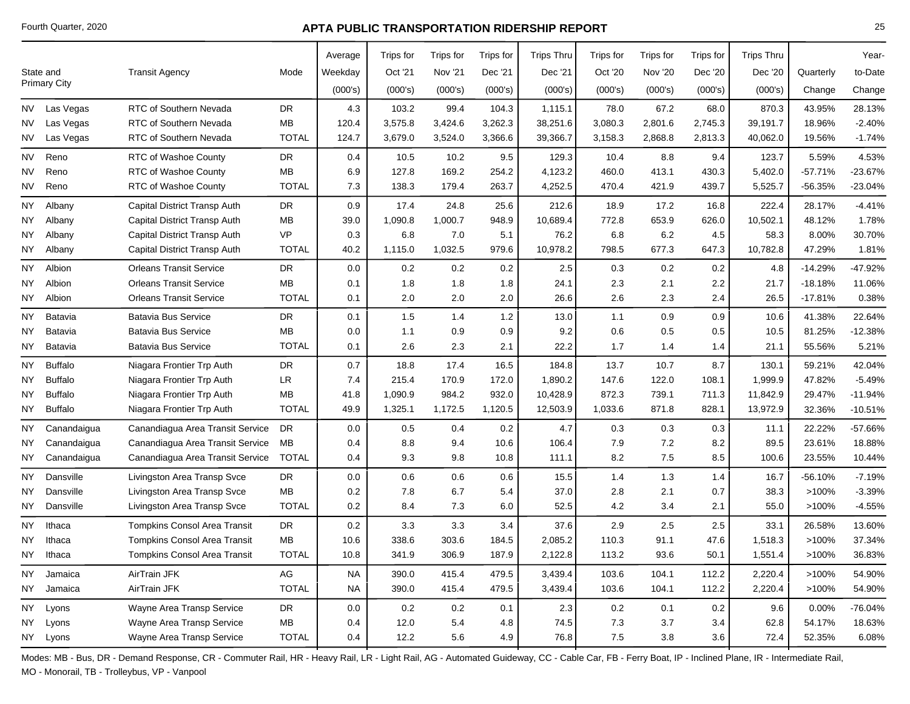|           |                     |                                     |              | Average   | Trips for | Trips for      | Trips for | <b>Trips Thru</b> | Trips for | Trips for      | Trips for | <b>Trips Thru</b> |           | Year-     |
|-----------|---------------------|-------------------------------------|--------------|-----------|-----------|----------------|-----------|-------------------|-----------|----------------|-----------|-------------------|-----------|-----------|
|           | State and           | <b>Transit Agency</b>               | Mode         | Weekday   | Oct '21   | <b>Nov '21</b> | Dec '21   | Dec '21           | Oct '20   | <b>Nov '20</b> | Dec '20   | Dec '20           | Quarterly | to-Date   |
|           | <b>Primary City</b> |                                     |              | (000's)   | (000's)   | (000's)        | (000's)   | (000's)           | (000's)   | (000's)        | (000's)   | (000's)           | Change    | Change    |
| NV.       | Las Vegas           | RTC of Southern Nevada              | <b>DR</b>    | 4.3       | 103.2     | 99.4           | 104.3     | 1,115.1           | 78.0      | 67.2           | 68.0      | 870.3             | 43.95%    | 28.13%    |
| NV        | Las Vegas           | RTC of Southern Nevada              | <b>MB</b>    | 120.4     | 3,575.8   | 3,424.6        | 3,262.3   | 38,251.6          | 3,080.3   | 2,801.6        | 2,745.3   | 39,191.7          | 18.96%    | $-2.40%$  |
| NV I      | Las Vegas           | RTC of Southern Nevada              | <b>TOTAL</b> | 124.7     | 3,679.0   | 3,524.0        | 3,366.6   | 39,366.7          | 3,158.3   | 2,868.8        | 2,813.3   | 40,062.0          | 19.56%    | $-1.74%$  |
| NV        | Reno                | RTC of Washoe County                | <b>DR</b>    | 0.4       | 10.5      | 10.2           | 9.5       | 129.3             | 10.4      | 8.8            | 9.4       | 123.7             | 5.59%     | 4.53%     |
| <b>NV</b> | Reno                | RTC of Washoe County                | MB           | 6.9       | 127.8     | 169.2          | 254.2     | 4,123.2           | 460.0     | 413.1          | 430.3     | 5,402.0           | $-57.71%$ | -23.67%   |
| NV        | Reno                | RTC of Washoe County                | <b>TOTAL</b> | 7.3       | 138.3     | 179.4          | 263.7     | 4,252.5           | 470.4     | 421.9          | 439.7     | 5,525.7           | -56.35%   | $-23.04%$ |
| NY.       | Albany              | Capital District Transp Auth        | <b>DR</b>    | 0.9       | 17.4      | 24.8           | 25.6      | 212.6             | 18.9      | 17.2           | 16.8      | 222.4             | 28.17%    | $-4.41%$  |
| ΝY        | Albany              | Capital District Transp Auth        | MB           | 39.0      | 1,090.8   | 1,000.7        | 948.9     | 10,689.4          | 772.8     | 653.9          | 626.0     | 10,502.1          | 48.12%    | 1.78%     |
| NΥ        | Albany              | Capital District Transp Auth        | <b>VP</b>    | 0.3       | 6.8       | 7.0            | 5.1       | 76.2              | 6.8       | 6.2            | 4.5       | 58.3              | 8.00%     | 30.70%    |
| NY        | Albany              | Capital District Transp Auth        | <b>TOTAL</b> | 40.2      | 1,115.0   | 1,032.5        | 979.6     | 10,978.2          | 798.5     | 677.3          | 647.3     | 10,782.8          | 47.29%    | 1.81%     |
| NY        | Albion              | <b>Orleans Transit Service</b>      | <b>DR</b>    | 0.0       | 0.2       | 0.2            | 0.2       | 2.5               | 0.3       | 0.2            | 0.2       | 4.8               | $-14.29%$ | -47.92%   |
| ΝY        | Albion              | <b>Orleans Transit Service</b>      | MB           | 0.1       | 1.8       | 1.8            | 1.8       | 24.1              | 2.3       | 2.1            | $2.2\,$   | 21.7              | $-18.18%$ | 11.06%    |
| NY        | Albion              | <b>Orleans Transit Service</b>      | <b>TOTAL</b> | 0.1       | 2.0       | 2.0            | 2.0       | 26.6              | 2.6       | 2.3            | 2.4       | 26.5              | $-17.81%$ | 0.38%     |
| ΝY        | Batavia             | <b>Batavia Bus Service</b>          | <b>DR</b>    | 0.1       | 1.5       | 1.4            | 1.2       | 13.0              | 1.1       | 0.9            | 0.9       | 10.6              | 41.38%    | 22.64%    |
| <b>NY</b> | Batavia             | <b>Batavia Bus Service</b>          | <b>MB</b>    | 0.0       | 1.1       | 0.9            | 0.9       | 9.2               | 0.6       | 0.5            | $0.5\,$   | 10.5              | 81.25%    | $-12.38%$ |
| NY        | Batavia             | <b>Batavia Bus Service</b>          | <b>TOTAL</b> | 0.1       | 2.6       | 2.3            | 2.1       | 22.2              | 1.7       | 1.4            | 1.4       | 21.1              | 55.56%    | 5.21%     |
| ΝY        | <b>Buffalo</b>      | Niagara Frontier Trp Auth           | <b>DR</b>    | 0.7       | 18.8      | 17.4           | 16.5      | 184.8             | 13.7      | 10.7           | 8.7       | 130.1             | 59.21%    | 42.04%    |
| NY        | <b>Buffalo</b>      | Niagara Frontier Trp Auth           | <b>LR</b>    | 7.4       | 215.4     | 170.9          | 172.0     | 1,890.2           | 147.6     | 122.0          | 108.1     | 1,999.9           | 47.82%    | $-5.49%$  |
| NΥ        | <b>Buffalo</b>      | Niagara Frontier Trp Auth           | <b>MB</b>    | 41.8      | 1,090.9   | 984.2          | 932.0     | 10,428.9          | 872.3     | 739.1          | 711.3     | 11,842.9          | 29.47%    | $-11.94%$ |
| NY        | <b>Buffalo</b>      | Niagara Frontier Trp Auth           | <b>TOTAL</b> | 49.9      | 1,325.1   | 1,172.5        | 1,120.5   | 12,503.9          | 1,033.6   | 871.8          | 828.1     | 13,972.9          | 32.36%    | $-10.51%$ |
| NΥ        | Canandaigua         | Canandiagua Area Transit Service    | <b>DR</b>    | 0.0       | 0.5       | 0.4            | 0.2       | 4.7               | 0.3       | 0.3            | 0.3       | 11.1              | 22.22%    | -57.66%   |
| ΝY        | Canandaigua         | Canandiagua Area Transit Service    | МB           | 0.4       | 8.8       | 9.4            | 10.6      | 106.4             | 7.9       | 7.2            | 8.2       | 89.5              | 23.61%    | 18.88%    |
| NY        | Canandaigua         | Canandiagua Area Transit Service    | <b>TOTAL</b> | 0.4       | 9.3       | 9.8            | 10.8      | 111.1             | 8.2       | 7.5            | 8.5       | 100.6             | 23.55%    | 10.44%    |
| ΝY        | Dansville           | Livingston Area Transp Svce         | <b>DR</b>    | 0.0       | 0.6       | 0.6            | 0.6       | 15.5              | 1.4       | 1.3            | 1.4       | 16.7              | $-56.10%$ | $-7.19%$  |
| NY        | Dansville           | Livingston Area Transp Svce         | MB           | 0.2       | 7.8       | 6.7            | 5.4       | 37.0              | 2.8       | 2.1            | 0.7       | 38.3              | >100%     | $-3.39%$  |
| NY        | Dansville           | Livingston Area Transp Svce         | <b>TOTAL</b> | 0.2       | 8.4       | 7.3            | 6.0       | 52.5              | 4.2       | 3.4            | 2.1       | 55.0              | >100%     | $-4.55%$  |
| ΝY        | Ithaca              | <b>Tompkins Consol Area Transit</b> | <b>DR</b>    | 0.2       | 3.3       | 3.3            | 3.4       | 37.6              | 2.9       | 2.5            | 2.5       | 33.1              | 26.58%    | 13.60%    |
| ΝY        | Ithaca              | Tompkins Consol Area Transit        | MB           | 10.6      | 338.6     | 303.6          | 184.5     | 2,085.2           | 110.3     | 91.1           | 47.6      | 1,518.3           | >100%     | 37.34%    |
| NY        | Ithaca              | <b>Tompkins Consol Area Transit</b> | <b>TOTAL</b> | 10.8      | 341.9     | 306.9          | 187.9     | 2,122.8           | 113.2     | 93.6           | 50.1      | 1,551.4           | >100%     | 36.83%    |
| ΝY        | Jamaica             | AirTrain JFK                        | AG           | <b>NA</b> | 390.0     | 415.4          | 479.5     | 3,439.4           | 103.6     | 104.1          | 112.2     | 2,220.4           | >100%     | 54.90%    |
| NY        | Jamaica             | AirTrain JFK                        | <b>TOTAL</b> | <b>NA</b> | 390.0     | 415.4          | 479.5     | 3,439.4           | 103.6     | 104.1          | 112.2     | 2,220.4           | >100%     | 54.90%    |
| NY        | Lyons               | Wayne Area Transp Service           | DR           | 0.0       | 0.2       | 0.2            | 0.1       | 2.3               | 0.2       | 0.1            | 0.2       | 9.6               | 0.00%     | -76.04%   |
| NΥ        | Lyons               | Wayne Area Transp Service           | <b>MB</b>    | 0.4       | 12.0      | 5.4            | 4.8       | 74.5              | 7.3       | 3.7            | 3.4       | 62.8              | 54.17%    | 18.63%    |
|           | NY Lyons            | Wayne Area Transp Service           | <b>TOTAL</b> | 0.4       | 12.2      | 5.6            | 4.9       | 76.8              | 7.5       | 3.8            | 3.6       | 72.4              | 52.35%    | 6.08%     |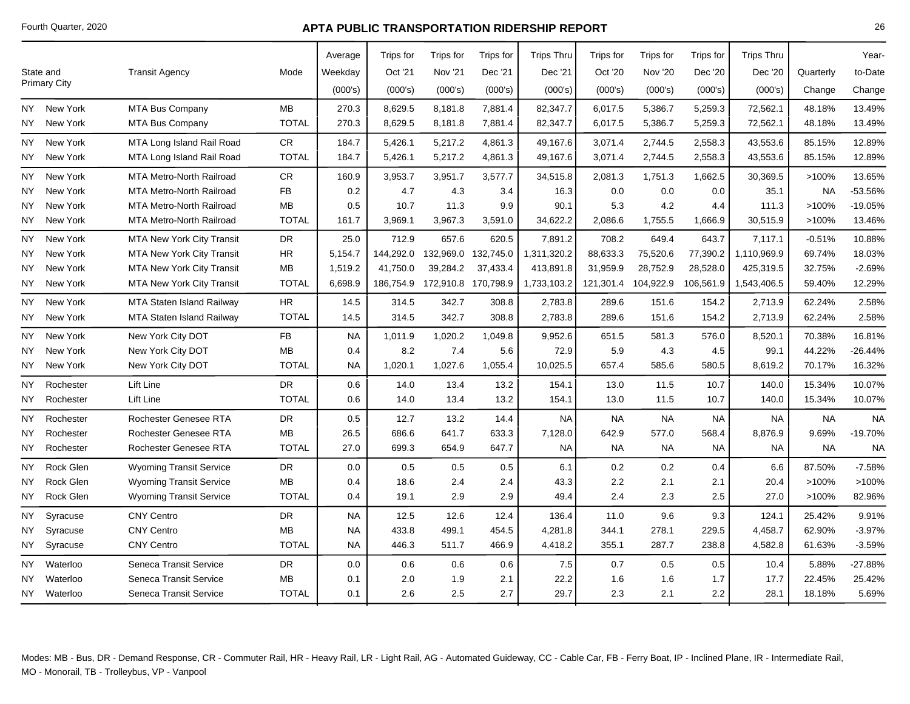|      |                     |                                  |              | Average   | <b>Trips for</b> | Trips for           | Trips for           | <b>Trips Thru</b> | Trips for | Trips for      | Trips for | <b>Trips Thru</b> |           | Year-     |
|------|---------------------|----------------------------------|--------------|-----------|------------------|---------------------|---------------------|-------------------|-----------|----------------|-----------|-------------------|-----------|-----------|
|      | State and           | <b>Transit Agency</b>            | Mode         | Weekday   | Oct '21          | <b>Nov '21</b>      | Dec '21             | Dec '21           | Oct '20   | <b>Nov '20</b> | Dec '20   | Dec '20           | Quarterly | to-Date   |
|      | <b>Primary City</b> |                                  |              | (000's)   | (000's)          | (000's)             | (000's)             | (000's)           | (000's)   | (000's)        | (000's)   | (000's)           | Change    | Change    |
|      | NY New York         | MTA Bus Company                  | <b>MB</b>    | 270.3     | 8,629.5          | 8,181.8             | 7,881.4             | 82,347.7          | 6,017.5   | 5,386.7        | 5,259.3   | 72,562.1          | 48.18%    | 13.49%    |
| NY I | New York            | <b>MTA Bus Company</b>           | <b>TOTAL</b> | 270.3     | 8,629.5          | 8,181.8             | 7,881.4             | 82,347.7          | 6,017.5   | 5,386.7        | 5,259.3   | 72,562.1          | 48.18%    | 13.49%    |
| NY   | New York            | MTA Long Island Rail Road        | ${\sf CR}$   | 184.7     | 5,426.1          | 5,217.2             | 4,861.3             | 49.167.6          | 3,071.4   | 2,744.5        | 2,558.3   | 43,553.6          | 85.15%    | 12.89%    |
| NY I | New York            | MTA Long Island Rail Road        | <b>TOTAL</b> | 184.7     | 5,426.1          | 5,217.2             | 4,861.3             | 49,167.6          | 3,071.4   | 2,744.5        | 2,558.3   | 43,553.6          | 85.15%    | 12.89%    |
|      | NY New York         | <b>MTA Metro-North Railroad</b>  | CR.          | 160.9     | 3,953.7          | 3,951.7             | 3,577.7             | 34,515.8          | 2,081.3   | 1,751.3        | 1,662.5   | 30,369.5          | >100%     | 13.65%    |
| NY.  | New York            | MTA Metro-North Railroad         | <b>FB</b>    | 0.2       | 4.7              | 4.3                 | 3.4                 | 16.3              | 0.0       | 0.0            | 0.0       | 35.1              | <b>NA</b> | -53.56%   |
| NY   | New York            | <b>MTA Metro-North Railroad</b>  | <b>MB</b>    | 0.5       | 10.7             | 11.3                | 9.9                 | 90.1              | 5.3       | 4.2            | 4.4       | 111.3             | $>100\%$  | -19.05%   |
| NY   | New York            | <b>MTA Metro-North Railroad</b>  | <b>TOTAL</b> | 161.7     | 3,969.1          | 3,967.3             | 3,591.0             | 34,622.2          | 2,086.6   | 1,755.5        | 1,666.9   | 30,515.9          | >100%     | 13.46%    |
| NY.  | New York            | <b>MTA New York City Transit</b> | DR           | 25.0      | 712.9            | 657.6               | 620.5               | 7,891.2           | 708.2     | 649.4          | 643.7     | 7,117.1           | $-0.51%$  | 10.88%    |
| NY   | New York            | <b>MTA New York City Transit</b> | HR.          | 5,154.7   | 144,292.0        |                     | 132,969.0 132,745.0 | 1,311,320.2       | 88,633.3  | 75,520.6       | 77,390.2  | 1,110,969.9       | 69.74%    | 18.03%    |
| NY   | New York            | <b>MTA New York City Transit</b> | <b>MB</b>    | 1,519.2   | 41,750.0         | 39,284.2            | 37,433.4            | 413,891.8         | 31,959.9  | 28,752.9       | 28,528.0  | 425,319.5         | 32.75%    | $-2.69%$  |
| NY I | New York            | <b>MTA New York City Transit</b> | <b>TOTAL</b> | 6,698.9   | 186,754.9        | 172,910.8 170,798.9 |                     | 1,733,103.2       | 121,301.4 | 104,922.9      | 106,561.9 | 1,543,406.5       | 59.40%    | 12.29%    |
| NY   | New York            | MTA Staten Island Railway        | HR.          | 14.5      | 314.5            | 342.7               | 308.8               | 2,783.8           | 289.6     | 151.6          | 154.2     | 2,713.9           | 62.24%    | 2.58%     |
| NY.  | New York            | MTA Staten Island Railway        | <b>TOTAL</b> | 14.5      | 314.5            | 342.7               | 308.8               | 2,783.8           | 289.6     | 151.6          | 154.2     | 2,713.9           | 62.24%    | 2.58%     |
| NY   | New York            | New York City DOT                | ${\sf FB}$   | <b>NA</b> | 1,011.9          | 1,020.2             | 1,049.8             | 9,952.6           | 651.5     | 581.3          | 576.0     | 8,520.1           | 70.38%    | 16.81%    |
| NY   | New York            | New York City DOT                | MB           | 0.4       | 8.2              | 7.4                 | 5.6                 | 72.9              | 5.9       | 4.3            | 4.5       | 99.1              | 44.22%    | $-26.44%$ |
| NY.  | New York            | New York City DOT                | <b>TOTAL</b> | <b>NA</b> | 1,020.1          | 1,027.6             | 1,055.4             | 10,025.5          | 657.4     | 585.6          | 580.5     | 8,619.2           | 70.17%    | 16.32%    |
| NY   | Rochester           | Lift Line                        | DR.          | 0.6       | 14.0             | 13.4                | 13.2                | 154.1             | 13.0      | 11.5           | 10.7      | 140.0             | 15.34%    | 10.07%    |
| NY   | Rochester           | Lift Line                        | <b>TOTAL</b> | 0.6       | 14.0             | 13.4                | 13.2                | 154.1             | 13.0      | 11.5           | 10.7      | 140.0             | 15.34%    | 10.07%    |
| NY   | Rochester           | Rochester Genesee RTA            | <b>DR</b>    | 0.5       | 12.7             | 13.2                | 14.4                | <b>NA</b>         | <b>NA</b> | <b>NA</b>      | <b>NA</b> | <b>NA</b>         | <b>NA</b> | <b>NA</b> |
| NY   | Rochester           | <b>Rochester Genesee RTA</b>     | <b>MB</b>    | 26.5      | 686.6            | 641.7               | 633.3               | 7,128.0           | 642.9     | 577.0          | 568.4     | 8,876.9           | 9.69%     | $-19.70%$ |
| NY.  | Rochester           | Rochester Genesee RTA            | <b>TOTAL</b> | 27.0      | 699.3            | 654.9               | 647.7               | <b>NA</b>         | <b>NA</b> | <b>NA</b>      | NA        | <b>NA</b>         | <b>NA</b> | <b>NA</b> |
| NΥ   | Rock Glen           | <b>Wyoming Transit Service</b>   | <b>DR</b>    | 0.0       | 0.5              | 0.5                 | 0.5                 | 6.1               | 0.2       | 0.2            | 0.4       | 6.6               | 87.50%    | $-7.58%$  |
| NY   | Rock Glen           | <b>Wyoming Transit Service</b>   | <b>MB</b>    | 0.4       | 18.6             | 2.4                 | 2.4                 | 43.3              | 2.2       | 2.1            | 2.1       | 20.4              | >100%     | >100%     |
| NY   | Rock Glen           | <b>Wyoming Transit Service</b>   | <b>TOTAL</b> | 0.4       | 19.1             | 2.9                 | 2.9                 | 49.4              | 2.4       | 2.3            | 2.5       | 27.0              | >100%     | 82.96%    |
| NΥ   | Syracuse            | <b>CNY Centro</b>                | <b>DR</b>    | <b>NA</b> | 12.5             | 12.6                | 12.4                | 136.4             | 11.0      | 9.6            | 9.3       | 124.1             | 25.42%    | 9.91%     |
| NΥ   | Syracuse            | <b>CNY Centro</b>                | MВ           | <b>NA</b> | 433.8            | 499.1               | 454.5               | 4,281.8           | 344.1     | 278.1          | 229.5     | 4,458.7           | 62.90%    | $-3.97%$  |
| NY.  | Syracuse            | <b>CNY Centro</b>                | <b>TOTAL</b> | <b>NA</b> | 446.3            | 511.7               | 466.9               | 4,418.2           | 355.1     | 287.7          | 238.8     | 4,582.8           | 61.63%    | $-3.59%$  |
| NY   | Waterloo            | Seneca Transit Service           | <b>DR</b>    | 0.0       | 0.6              | 0.6                 | 0.6                 | 7.5               | 0.7       | 0.5            | 0.5       | 10.4              | 5.88%     | $-27.88%$ |
| ΝY   | Waterloo            | Seneca Transit Service           | MВ           | 0.1       | 2.0              | 1.9                 | 2.1                 | 22.2              | 1.6       | 1.6            | 1.7       | 17.7              | 22.45%    | 25.42%    |
|      | NY Waterloo         | Seneca Transit Service           | <b>TOTAL</b> | 0.1       | 2.6              | 2.5                 | 2.7                 | 29.7              | 2.3       | 2.1            | 2.2       | 28.1              | 18.18%    | 5.69%     |
|      |                     |                                  |              |           |                  |                     |                     |                   |           |                |           |                   |           |           |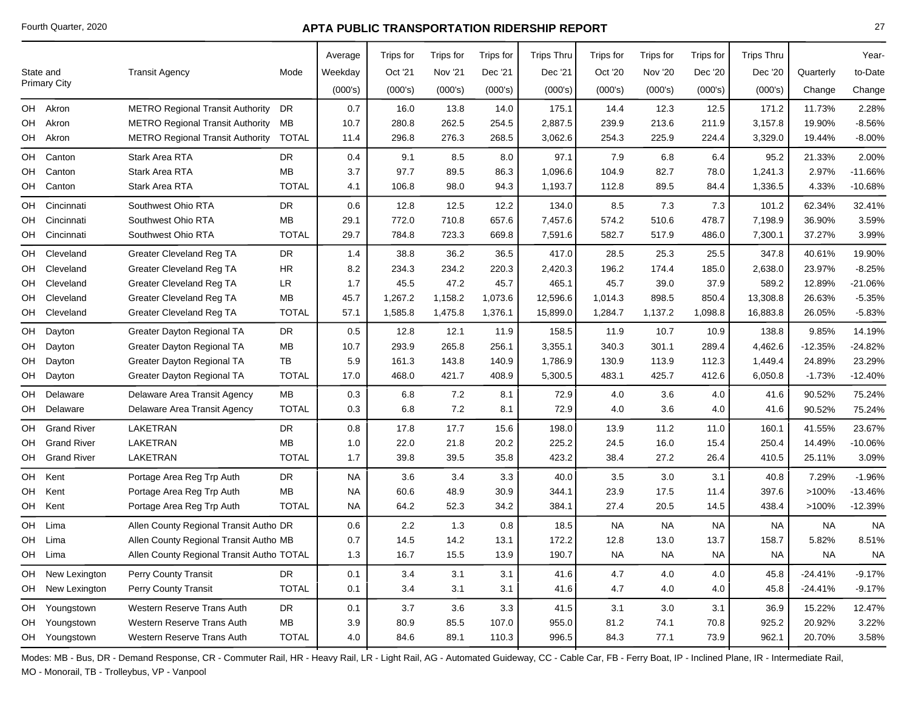|    |                     |                                           |              | Average   | Trips for | Trips for | Trips for | <b>Trips Thru</b> | Trips for | Trips for      | <b>Trips</b> for | <b>Trips Thru</b> |           | Year-     |
|----|---------------------|-------------------------------------------|--------------|-----------|-----------|-----------|-----------|-------------------|-----------|----------------|------------------|-------------------|-----------|-----------|
|    | State and           | <b>Transit Agency</b>                     | Mode         | Weekday   | Oct '21   | Nov '21   | Dec '21   | Dec '21           | Oct '20   | <b>Nov '20</b> | Dec '20          | Dec '20           | Quarterly | to-Date   |
|    | <b>Primary City</b> |                                           |              | (000's)   | (000's)   | (000's)   | (000's)   | (000's)           | (000's)   | (000's)        | (000's)          | (000's)           | Change    | Change    |
|    | OH Akron            | <b>METRO Regional Transit Authority</b>   | DR           | 0.7       | 16.0      | 13.8      | 14.0      | 175.1             | 14.4      | 12.3           | 12.5             | 171.2             | 11.73%    | 2.28%     |
| OH | Akron               | <b>METRO Regional Transit Authority</b>   | МB           | 10.7      | 280.8     | 262.5     | 254.5     | 2,887.5           | 239.9     | 213.6          | 211.9            | 3,157.8           | 19.90%    | $-8.56%$  |
|    | OH Akron            | <b>METRO Regional Transit Authority</b>   | <b>TOTAL</b> | 11.4      | 296.8     | 276.3     | 268.5     | 3,062.6           | 254.3     | 225.9          | 224.4            | 3,329.0           | 19.44%    | $-8.00%$  |
| OH | Canton              | Stark Area RTA                            | DR.          | 0.4       | 9.1       | 8.5       | 8.0       | 97.1              | 7.9       | 6.8            | 6.4              | 95.2              | 21.33%    | 2.00%     |
| OH | Canton              | Stark Area RTA                            | MB           | 3.7       | 97.7      | 89.5      | 86.3      | 1,096.6           | 104.9     | 82.7           | 78.0             | 1,241.3           | 2.97%     | $-11.66%$ |
| OH | Canton              | <b>Stark Area RTA</b>                     | <b>TOTAL</b> | 4.1       | 106.8     | 98.0      | 94.3      | 1,193.7           | 112.8     | 89.5           | 84.4             | 1,336.5           | 4.33%     | $-10.68%$ |
| OH | Cincinnati          | Southwest Ohio RTA                        | DR           | 0.6       | 12.8      | 12.5      | 12.2      | 134.0             | 8.5       | 7.3            | 7.3              | 101.2             | 62.34%    | 32.41%    |
| OH | Cincinnati          | Southwest Ohio RTA                        | MB           | 29.1      | 772.0     | 710.8     | 657.6     | 7,457.6           | 574.2     | 510.6          | 478.7            | 7,198.9           | 36.90%    | 3.59%     |
|    | OH Cincinnati       | Southwest Ohio RTA                        | <b>TOTAL</b> | 29.7      | 784.8     | 723.3     | 669.8     | 7,591.6           | 582.7     | 517.9          | 486.0            | 7,300.1           | 37.27%    | 3.99%     |
| OH | Cleveland           | <b>Greater Cleveland Reg TA</b>           | <b>DR</b>    | 1.4       | 38.8      | 36.2      | 36.5      | 417.0             | 28.5      | 25.3           | 25.5             | 347.8             | 40.61%    | 19.90%    |
| OH | Cleveland           | Greater Cleveland Reg TA                  | <b>HR</b>    | 8.2       | 234.3     | 234.2     | 220.3     | 2,420.3           | 196.2     | 174.4          | 185.0            | 2,638.0           | 23.97%    | $-8.25%$  |
| OH | Cleveland           | <b>Greater Cleveland Reg TA</b>           | LR           | 1.7       | 45.5      | 47.2      | 45.7      | 465.1             | 45.7      | 39.0           | 37.9             | 589.2             | 12.89%    | $-21.06%$ |
| OH | Cleveland           | Greater Cleveland Reg TA                  | MB           | 45.7      | 1,267.2   | 1,158.2   | 1,073.6   | 12,596.6          | 1,014.3   | 898.5          | 850.4            | 13,308.8          | 26.63%    | $-5.35%$  |
| OH | Cleveland           | Greater Cleveland Reg TA                  | <b>TOTAL</b> | 57.1      | 1,585.8   | 1,475.8   | 1,376.1   | 15,899.0          | 1,284.7   | 1,137.2        | 1,098.8          | 16,883.8          | 26.05%    | $-5.83%$  |
| OH | Dayton              | Greater Dayton Regional TA                | DR           | 0.5       | 12.8      | 12.1      | 11.9      | 158.5             | 11.9      | 10.7           | 10.9             | 138.8             | 9.85%     | 14.19%    |
| OH | Dayton              | <b>Greater Dayton Regional TA</b>         | MB           | 10.7      | 293.9     | 265.8     | 256.1     | 3,355.1           | 340.3     | 301.1          | 289.4            | 4,462.6           | $-12.35%$ | $-24.82%$ |
| OH | Dayton              | Greater Dayton Regional TA                | ТB           | 5.9       | 161.3     | 143.8     | 140.9     | 1,786.9           | 130.9     | 113.9          | 112.3            | 1,449.4           | 24.89%    | 23.29%    |
| OH | Dayton              | Greater Dayton Regional TA                | <b>TOTAL</b> | 17.0      | 468.0     | 421.7     | 408.9     | 5,300.5           | 483.1     | 425.7          | 412.6            | 6,050.8           | $-1.73%$  | $-12.40%$ |
| OH | Delaware            | Delaware Area Transit Agency              | MB           | 0.3       | 6.8       | 7.2       | 8.1       | 72.9              | 4.0       | 3.6            | 4.0              | 41.6              | 90.52%    | 75.24%    |
|    | OH Delaware         | Delaware Area Transit Agency              | <b>TOTAL</b> | 0.3       | 6.8       | 7.2       | 8.1       | 72.9              | 4.0       | 3.6            | 4.0              | 41.6              | 90.52%    | 75.24%    |
| OH | <b>Grand River</b>  | LAKETRAN                                  | DR           | 0.8       | 17.8      | 17.7      | 15.6      | 198.0             | 13.9      | 11.2           | 11.0             | 160.1             | 41.55%    | 23.67%    |
| OH | <b>Grand River</b>  | LAKETRAN                                  | <b>MB</b>    | 1.0       | 22.0      | 21.8      | 20.2      | 225.2             | 24.5      | 16.0           | 15.4             | 250.4             | 14.49%    | $-10.06%$ |
|    | OH Grand River      | <b>LAKETRAN</b>                           | <b>TOTAL</b> | 1.7       | 39.8      | 39.5      | 35.8      | 423.2             | 38.4      | 27.2           | 26.4             | 410.5             | 25.11%    | 3.09%     |
| OH | Kent                | Portage Area Reg Trp Auth                 | <b>DR</b>    | NA        | 3.6       | 3.4       | 3.3       | 40.0              | 3.5       | 3.0            | 3.1              | 40.8              | 7.29%     | $-1.96%$  |
| OH | Kent                | Portage Area Reg Trp Auth                 | MB           | <b>NA</b> | 60.6      | 48.9      | 30.9      | 344.1             | 23.9      | 17.5           | 11.4             | 397.6             | >100%     | $-13.46%$ |
|    | OH Kent             | Portage Area Reg Trp Auth                 | <b>TOTAL</b> | NA.       | 64.2      | 52.3      | 34.2      | 384.1             | 27.4      | 20.5           | 14.5             | 438.4             | >100%     | $-12.39%$ |
| OH | Lima                | Allen County Regional Transit Autho DR    |              | 0.6       | 2.2       | 1.3       | 0.8       | 18.5              | <b>NA</b> | <b>NA</b>      | NA               | <b>NA</b>         | <b>NA</b> | <b>NA</b> |
| OH | Lima                | Allen County Regional Transit Autho MB    |              | 0.7       | 14.5      | 14.2      | 13.1      | 172.2             | 12.8      | 13.0           | 13.7             | 158.7             | 5.82%     | 8.51%     |
|    | OH Lima             | Allen County Regional Transit Autho TOTAL |              | 1.3       | 16.7      | 15.5      | 13.9      | 190.7             | <b>NA</b> | <b>NA</b>      | <b>NA</b>        | <b>NA</b>         | <b>NA</b> | <b>NA</b> |
| OH | New Lexington       | <b>Perry County Transit</b>               | <b>DR</b>    | 0.1       | 3.4       | 3.1       | 3.1       | 41.6              | 4.7       | 4.0            | 4.0              | 45.8              | $-24.41%$ | $-9.17%$  |
|    | OH New Lexington    | Perry County Transit                      | <b>TOTAL</b> | 0.1       | 3.4       | 3.1       | 3.1       | 41.6              | 4.7       | 4.0            | 4.0              | 45.8              | $-24.41%$ | $-9.17%$  |
|    | OH Youngstown       | Western Reserve Trans Auth                | <b>DR</b>    | 0.1       | 3.7       | 3.6       | 3.3       | 41.5              | 3.1       | 3.0            | 3.1              | 36.9              | 15.22%    | 12.47%    |
|    | OH Youngstown       | Western Reserve Trans Auth                | MB           | 3.9       | 80.9      | 85.5      | 107.0     | 955.0             | 81.2      | 74.1           | 70.8             | 925.2             | 20.92%    | 3.22%     |
|    | OH Youngstown       | Western Reserve Trans Auth                | <b>TOTAL</b> | 4.0       | 84.6      | 89.1      | 110.3     | 996.5             | 84.3      | 77.1           | 73.9             | 962.1             | 20.70%    | 3.58%     |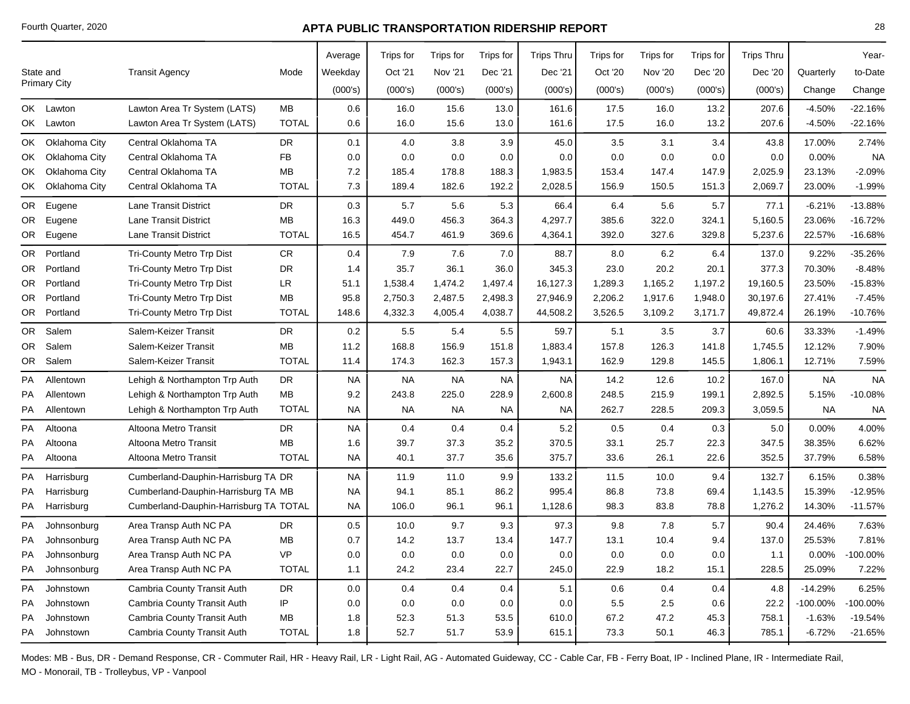|     |                     |                                        |              | Average   | Trips for | Trips for | Trips for | <b>Trips Thru</b> | Trips for | Trips for      | Trips for | <b>Trips Thru</b> |           | Year-       |
|-----|---------------------|----------------------------------------|--------------|-----------|-----------|-----------|-----------|-------------------|-----------|----------------|-----------|-------------------|-----------|-------------|
|     | State and           | <b>Transit Agency</b>                  | Mode         | Weekday   | Oct '21   | Nov '21   | Dec '21   | Dec '21           | Oct '20   | <b>Nov '20</b> | Dec '20   | Dec '20           | Quarterly | to-Date     |
|     | <b>Primary City</b> |                                        |              | (000's)   | (000's)   | (000's)   | (000's)   | (000's)           | (000's)   | (000's)        | (000's)   | (000's)           | Change    | Change      |
|     | OK Lawton           | Lawton Area Tr System (LATS)           | MB           | 0.6       | 16.0      | 15.6      | 13.0      | 161.6             | 17.5      | 16.0           | 13.2      | 207.6             | $-4.50%$  | $-22.16%$   |
|     | OK Lawton           | Lawton Area Tr System (LATS)           | <b>TOTAL</b> | 0.6       | 16.0      | 15.6      | 13.0      | 161.6             | 17.5      | 16.0           | 13.2      | 207.6             | $-4.50%$  | $-22.16%$   |
| OK  | Oklahoma City       | Central Oklahoma TA                    | <b>DR</b>    | 0.1       | 4.0       | 3.8       | 3.9       | 45.0              | 3.5       | 3.1            | 3.4       | 43.8              | 17.00%    | 2.74%       |
| OK  | Oklahoma City       | Central Oklahoma TA                    | <b>FB</b>    | 0.0       | 0.0       | 0.0       | 0.0       | 0.0               | 0.0       | 0.0            | 0.0       | 0.0               | 0.00%     | <b>NA</b>   |
| OK  | Oklahoma City       | Central Oklahoma TA                    | MB           | 7.2       | 185.4     | 178.8     | 188.3     | 1,983.5           | 153.4     | 147.4          | 147.9     | 2,025.9           | 23.13%    | $-2.09%$    |
| OK  | Oklahoma City       | Central Oklahoma TA                    | <b>TOTAL</b> | 7.3       | 189.4     | 182.6     | 192.2     | 2,028.5           | 156.9     | 150.5          | 151.3     | 2,069.7           | 23.00%    | $-1.99%$    |
| OR. | Eugene              | Lane Transit District                  | <b>DR</b>    | 0.3       | 5.7       | 5.6       | 5.3       | 66.4              | 6.4       | 5.6            | 5.7       | 77.1              | $-6.21%$  | $-13.88%$   |
|     | OR Eugene           | Lane Transit District                  | MB           | 16.3      | 449.0     | 456.3     | 364.3     | 4,297.7           | 385.6     | 322.0          | 324.1     | 5,160.5           | 23.06%    | $-16.72%$   |
| OR  | Eugene              | Lane Transit District                  | <b>TOTAL</b> | 16.5      | 454.7     | 461.9     | 369.6     | 4,364.1           | 392.0     | 327.6          | 329.8     | 5,237.6           | 22.57%    | $-16.68%$   |
| OR. | Portland            | Tri-County Metro Trp Dist              | CR.          | 0.4       | 7.9       | 7.6       | 7.0       | 88.7              | 8.0       | 6.2            | 6.4       | 137.0             | 9.22%     | $-35.26%$   |
| OR  | Portland            | <b>Tri-County Metro Trp Dist</b>       | <b>DR</b>    | 1.4       | 35.7      | 36.1      | 36.0      | 345.3             | 23.0      | 20.2           | 20.1      | 377.3             | 70.30%    | $-8.48%$    |
| OR. | Portland            | Tri-County Metro Trp Dist              | LR           | 51.1      | 1,538.4   | 1,474.2   | 1,497.4   | 16,127.3          | 1,289.3   | 1,165.2        | 1,197.2   | 19,160.5          | 23.50%    | $-15.83%$   |
| OR. | Portland            | Tri-County Metro Trp Dist              | MВ           | 95.8      | 2,750.3   | 2,487.5   | 2,498.3   | 27,946.9          | 2,206.2   | 1,917.6        | 1,948.0   | 30,197.6          | 27.41%    | $-7.45%$    |
|     | OR Portland         | Tri-County Metro Trp Dist              | <b>TOTAL</b> | 148.6     | 4,332.3   | 4,005.4   | 4,038.7   | 44,508.2          | 3,526.5   | 3,109.2        | 3,171.7   | 49,872.4          | 26.19%    | $-10.76%$   |
| OR. | Salem               | Salem-Keizer Transit                   | <b>DR</b>    | 0.2       | 5.5       | 5.4       | 5.5       | 59.7              | 5.1       | 3.5            | 3.7       | 60.6              | 33.33%    | $-1.49%$    |
| OR  | Salem               | Salem-Keizer Transit                   | MB           | 11.2      | 168.8     | 156.9     | 151.8     | 1,883.4           | 157.8     | 126.3          | 141.8     | 1,745.5           | 12.12%    | 7.90%       |
|     | OR Salem            | Salem-Keizer Transit                   | <b>TOTAL</b> | 11.4      | 174.3     | 162.3     | 157.3     | 1,943.1           | 162.9     | 129.8          | 145.5     | 1,806.1           | 12.71%    | 7.59%       |
| PA  | Allentown           | Lehigh & Northampton Trp Auth          | DR           | <b>NA</b> | <b>NA</b> | <b>NA</b> | <b>NA</b> | <b>NA</b>         | 14.2      | 12.6           | 10.2      | 167.0             | <b>NA</b> | <b>NA</b>   |
| PA  | Allentown           | Lehigh & Northampton Trp Auth          | MB           | 9.2       | 243.8     | 225.0     | 228.9     | 2,600.8           | 248.5     | 215.9          | 199.1     | 2,892.5           | 5.15%     | $-10.08%$   |
| PA  | Allentown           | Lehigh & Northampton Trp Auth          | <b>TOTAL</b> | <b>NA</b> | NA        | <b>NA</b> | NA.       | <b>NA</b>         | 262.7     | 228.5          | 209.3     | 3,059.5           | <b>NA</b> | <b>NA</b>   |
| PA  | Altoona             | Altoona Metro Transit                  | <b>DR</b>    | <b>NA</b> | 0.4       | 0.4       | 0.4       | 5.2               | 0.5       | 0.4            | 0.3       | 5.0               | 0.00%     | 4.00%       |
| PA  | Altoona             | Altoona Metro Transit                  | MB           | 1.6       | 39.7      | 37.3      | 35.2      | 370.5             | 33.1      | 25.7           | 22.3      | 347.5             | 38.35%    | 6.62%       |
| PA  | Altoona             | Altoona Metro Transit                  | <b>TOTAL</b> | <b>NA</b> | 40.1      | 37.7      | 35.6      | 375.7             | 33.6      | 26.1           | 22.6      | 352.5             | 37.79%    | 6.58%       |
| PA  | Harrisburg          | Cumberland-Dauphin-Harrisburg TA DR    |              | <b>NA</b> | 11.9      | 11.0      | 9.9       | 133.2             | 11.5      | 10.0           | 9.4       | 132.7             | 6.15%     | 0.38%       |
| PA  | Harrisburg          | Cumberland-Dauphin-Harrisburg TA MB    |              | <b>NA</b> | 94.1      | 85.1      | 86.2      | 995.4             | 86.8      | 73.8           | 69.4      | 1,143.5           | 15.39%    | $-12.95%$   |
|     | PA Harrisburg       | Cumberland-Dauphin-Harrisburg TA TOTAL |              | <b>NA</b> | 106.0     | 96.1      | 96.1      | 1,128.6           | 98.3      | 83.8           | 78.8      | 1,276.2           | 14.30%    | $-11.57%$   |
| PA  | Johnsonburg         | Area Transp Auth NC PA                 | <b>DR</b>    | 0.5       | 10.0      | 9.7       | 9.3       | 97.3              | 9.8       | 7.8            | 5.7       | 90.4              | 24.46%    | 7.63%       |
| PA  | Johnsonburg         | Area Transp Auth NC PA                 | MB           | 0.7       | 14.2      | 13.7      | 13.4      | 147.7             | 13.1      | 10.4           | 9.4       | 137.0             | 25.53%    | 7.81%       |
| PA  | Johnsonburg         | Area Transp Auth NC PA                 | <b>VP</b>    | 0.0       | 0.0       | 0.0       | 0.0       | 0.0               | 0.0       | 0.0            | 0.0       | 1.1               | 0.00%     | $-100.00\%$ |
| PA  | Johnsonburg         | Area Transp Auth NC PA                 | <b>TOTAL</b> | 1.1       | 24.2      | 23.4      | 22.7      | 245.0             | 22.9      | 18.2           | 15.1      | 228.5             | 25.09%    | 7.22%       |
| PA  | Johnstown           | Cambria County Transit Auth            | <b>DR</b>    | 0.0       | 0.4       | 0.4       | 0.4       | 5.1               | 0.6       | 0.4            | 0.4       | 4.8               | $-14.29%$ | 6.25%       |
| PA  | Johnstown           | Cambria County Transit Auth            | IP           | 0.0       | 0.0       | 0.0       | 0.0       | 0.0               | 5.5       | 2.5            | 0.6       | 22.2              | -100.00%  | -100.00%    |
| РA  | Johnstown           | Cambria County Transit Auth            | МB           | 1.8       | 52.3      | 51.3      | 53.5      | 610.0             | 67.2      | 47.2           | 45.3      | 758.1             | $-1.63%$  | $-19.54%$   |
| PA  | Johnstown           | Cambria County Transit Auth            | <b>TOTAL</b> | 1.8       | 52.7      | 51.7      | 53.9      | 615.1             | 73.3      | 50.1           | 46.3      | 785.1             | $-6.72%$  | $-21.65%$   |
|     |                     |                                        |              |           |           |           |           |                   |           |                |           |                   |           |             |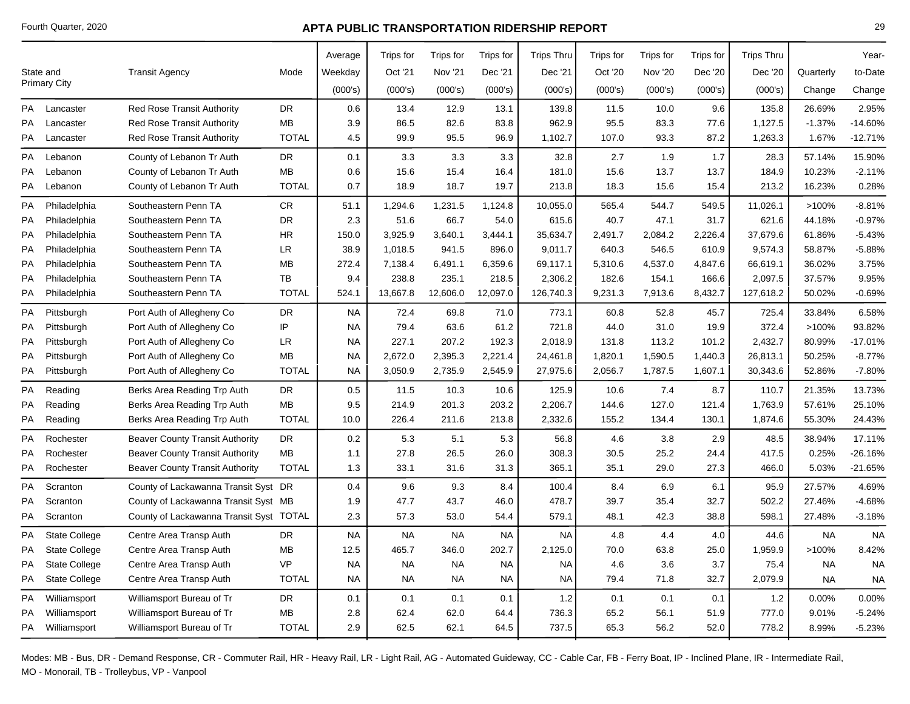|    |                      |                                         |              | Average   | Trips for | Trips for | Trips for | <b>Trips Thru</b> | Trips for | Trips for | Trips for | <b>Trips Thru</b> |           | Year-     |
|----|----------------------|-----------------------------------------|--------------|-----------|-----------|-----------|-----------|-------------------|-----------|-----------|-----------|-------------------|-----------|-----------|
|    | State and            | <b>Transit Agency</b>                   | Mode         | Weekday   | Oct '21   | Nov '21   | Dec '21   | Dec '21           | Oct '20   | Nov '20   | Dec '20   | Dec '20           | Quarterly | to-Date   |
|    | <b>Primary City</b>  |                                         |              | (000's)   | (000's)   | (000's)   | (000's)   | (000's)           | (000's)   | (000's)   | (000's)   | (000's)           | Change    | Change    |
| PA | Lancaster            | <b>Red Rose Transit Authority</b>       | DR           | 0.6       | 13.4      | 12.9      | 13.1      | 139.8             | 11.5      | 10.0      | 9.6       | 135.8             | 26.69%    | 2.95%     |
| PA | Lancaster            | <b>Red Rose Transit Authority</b>       | MB           | 3.9       | 86.5      | 82.6      | 83.8      | 962.9             | 95.5      | 83.3      | 77.6      | 1,127.5           | $-1.37%$  | $-14.60%$ |
| PA | Lancaster            | <b>Red Rose Transit Authority</b>       | <b>TOTAL</b> | 4.5       | 99.9      | 95.5      | 96.9      | 1,102.7           | 107.0     | 93.3      | 87.2      | 1,263.3           | 1.67%     | $-12.71%$ |
| PA | Lebanon              | County of Lebanon Tr Auth               | DR           | 0.1       | 3.3       | 3.3       | 3.3       | 32.8              | 2.7       | 1.9       | 1.7       | 28.3              | 57.14%    | 15.90%    |
| PA | Lebanon              | County of Lebanon Tr Auth               | MВ           | 0.6       | 15.6      | 15.4      | 16.4      | 181.0             | 15.6      | 13.7      | 13.7      | 184.9             | 10.23%    | $-2.11%$  |
| PA | Lebanon              | County of Lebanon Tr Auth               | <b>TOTAL</b> | 0.7       | 18.9      | 18.7      | 19.7      | 213.8             | 18.3      | 15.6      | 15.4      | 213.2             | 16.23%    | 0.28%     |
| PA | Philadelphia         | Southeastern Penn TA                    | CR           | 51.1      | 1,294.6   | 1,231.5   | 1,124.8   | 10,055.0          | 565.4     | 544.7     | 549.5     | 11,026.1          | >100%     | $-8.81%$  |
| PA | Philadelphia         | Southeastern Penn TA                    | DR           | 2.3       | 51.6      | 66.7      | 54.0      | 615.6             | 40.7      | 47.1      | 31.7      | 621.6             | 44.18%    | $-0.97%$  |
| PA | Philadelphia         | Southeastern Penn TA                    | HR.          | 150.0     | 3,925.9   | 3,640.1   | 3,444.1   | 35,634.7          | 2,491.7   | 2,084.2   | 2,226.4   | 37,679.6          | 61.86%    | $-5.43%$  |
| PA | Philadelphia         | Southeastern Penn TA                    | LR           | 38.9      | 1,018.5   | 941.5     | 896.0     | 9,011.7           | 640.3     | 546.5     | 610.9     | 9,574.3           | 58.87%    | $-5.88%$  |
| PA | Philadelphia         | Southeastern Penn TA                    | MВ           | 272.4     | 7,138.4   | 6,491.1   | 6,359.6   | 69,117.1          | 5,310.6   | 4,537.0   | 4,847.6   | 66,619.1          | 36.02%    | 3.75%     |
| PA | Philadelphia         | Southeastern Penn TA                    | TB           | 9.4       | 238.8     | 235.1     | 218.5     | 2,306.2           | 182.6     | 154.1     | 166.6     | 2,097.5           | 37.57%    | 9.95%     |
| PA | Philadelphia         | Southeastern Penn TA                    | <b>TOTAL</b> | 524.1     | 13,667.8  | 12,606.0  | 12,097.0  | 126,740.3         | 9,231.3   | 7,913.6   | 8,432.7   | 127,618.2         | 50.02%    | $-0.69%$  |
| PA | Pittsburgh           | Port Auth of Allegheny Co               | DR           | <b>NA</b> | 72.4      | 69.8      | 71.0      | 773.1             | 60.8      | 52.8      | 45.7      | 725.4             | 33.84%    | 6.58%     |
| PA | Pittsburgh           | Port Auth of Allegheny Co               | IP           | <b>NA</b> | 79.4      | 63.6      | 61.2      | 721.8             | 44.0      | 31.0      | 19.9      | 372.4             | >100%     | 93.82%    |
| PA | Pittsburgh           | Port Auth of Allegheny Co               | LR           | NA        | 227.1     | 207.2     | 192.3     | 2,018.9           | 131.8     | 113.2     | 101.2     | 2,432.7           | 80.99%    | $-17.01%$ |
| PA | Pittsburgh           | Port Auth of Allegheny Co               | MB           | <b>NA</b> | 2,672.0   | 2,395.3   | 2,221.4   | 24,461.8          | 1,820.1   | 1,590.5   | 1,440.3   | 26,813.1          | 50.25%    | $-8.77%$  |
| PA | Pittsburgh           | Port Auth of Allegheny Co               | <b>TOTAL</b> | NA        | 3,050.9   | 2,735.9   | 2,545.9   | 27,975.6          | 2,056.7   | 1,787.5   | 1,607.1   | 30,343.6          | 52.86%    | $-7.80%$  |
| PA | Reading              | Berks Area Reading Trp Auth             | <b>DR</b>    | 0.5       | 11.5      | 10.3      | 10.6      | 125.9             | 10.6      | 7.4       | 8.7       | 110.7             | 21.35%    | 13.73%    |
| PA | Reading              | Berks Area Reading Trp Auth             | MВ           | 9.5       | 214.9     | 201.3     | 203.2     | 2,206.7           | 144.6     | 127.0     | 121.4     | 1,763.9           | 57.61%    | 25.10%    |
| PA | Reading              | Berks Area Reading Trp Auth             | <b>TOTAL</b> | 10.0      | 226.4     | 211.6     | 213.8     | 2,332.6           | 155.2     | 134.4     | 130.1     | 1,874.6           | 55.30%    | 24.43%    |
| PA | Rochester            | <b>Beaver County Transit Authority</b>  | <b>DR</b>    | 0.2       | 5.3       | 5.1       | 5.3       | 56.8              | 4.6       | 3.8       | 2.9       | 48.5              | 38.94%    | 17.11%    |
| PA | Rochester            | <b>Beaver County Transit Authority</b>  | MB           | 1.1       | 27.8      | 26.5      | 26.0      | 308.3             | 30.5      | 25.2      | 24.4      | 417.5             | 0.25%     | $-26.16%$ |
| PA | Rochester            | <b>Beaver County Transit Authority</b>  | <b>TOTAL</b> | 1.3       | 33.1      | 31.6      | 31.3      | 365.1             | 35.1      | 29.0      | 27.3      | 466.0             | 5.03%     | $-21.65%$ |
| PA | Scranton             | County of Lackawanna Transit Syst DR    |              | 0.4       | 9.6       | 9.3       | 8.4       | 100.4             | 8.4       | 6.9       | 6.1       | 95.9              | 27.57%    | 4.69%     |
| PA | Scranton             | County of Lackawanna Transit Syst MB    |              | 1.9       | 47.7      | 43.7      | 46.0      | 478.7             | 39.7      | 35.4      | 32.7      | 502.2             | 27.46%    | $-4.68%$  |
| PA | Scranton             | County of Lackawanna Transit Syst TOTAL |              | 2.3       | 57.3      | 53.0      | 54.4      | 579.1             | 48.1      | 42.3      | 38.8      | 598.1             | 27.48%    | $-3.18%$  |
| PA | <b>State College</b> | Centre Area Transp Auth                 | DR           | <b>NA</b> | <b>NA</b> | <b>NA</b> | <b>NA</b> | <b>NA</b>         | 4.8       | 4.4       | 4.0       | 44.6              | <b>NA</b> | <b>NA</b> |
| PA | <b>State College</b> | Centre Area Transp Auth                 | <b>MB</b>    | 12.5      | 465.7     | 346.0     | 202.7     | 2,125.0           | 70.0      | 63.8      | 25.0      | 1,959.9           | >100%     | 8.42%     |
| PA | <b>State College</b> | Centre Area Transp Auth                 | <b>VP</b>    | <b>NA</b> | <b>NA</b> | <b>NA</b> | <b>NA</b> | <b>NA</b>         | 4.6       | 3.6       | 3.7       | 75.4              | <b>NA</b> | <b>NA</b> |
| PA | <b>State College</b> | Centre Area Transp Auth                 | <b>TOTAL</b> | <b>NA</b> | <b>NA</b> | <b>NA</b> | <b>NA</b> | <b>NA</b>         | 79.4      | 71.8      | 32.7      | 2,079.9           | <b>NA</b> | <b>NA</b> |
| PA | Williamsport         | Williamsport Bureau of Tr               | DR           | 0.1       | 0.1       | 0.1       | 0.1       | $1.2\,$           | 0.1       | 0.1       | 0.1       | 1.2               | 0.00%     | 0.00%     |
| PA | Williamsport         | Williamsport Bureau of Tr               | MB           | 2.8       | 62.4      | 62.0      | 64.4      | 736.3             | 65.2      | 56.1      | 51.9      | 777.0             | 9.01%     | $-5.24%$  |
|    | PA Williamsport      | Williamsport Bureau of Tr               | <b>TOTAL</b> | 2.9       | 62.5      | 62.1      | 64.5      | 737.5             | 65.3      | 56.2      | 52.0      | 778.2             | 8.99%     | $-5.23%$  |
|    |                      |                                         |              |           |           |           |           |                   |           |           |           |                   |           |           |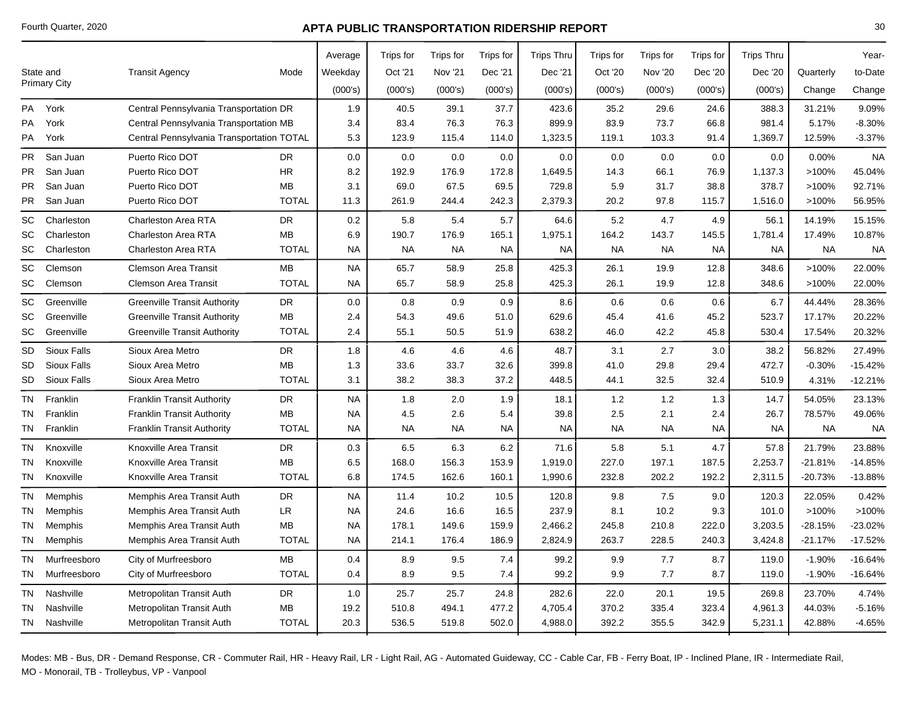|    |                    |                                           |              | Average   | Trips for | Trips for | Trips for | <b>Trips Thru</b> | Trips for | Trips for | Trips for | <b>Trips Thru</b> |           | Year-     |
|----|--------------------|-------------------------------------------|--------------|-----------|-----------|-----------|-----------|-------------------|-----------|-----------|-----------|-------------------|-----------|-----------|
|    | State and          | <b>Transit Agency</b>                     | Mode         | Weekday   | Oct '21   | Nov '21   | Dec '21   | Dec '21           | Oct '20   | Nov '20   | Dec '20   | Dec '20           | Quarterly | to-Date   |
|    | Primary City       |                                           |              | (000's)   | (000's)   | (000's)   | (000's)   | (000's)           | (000's)   | (000's)   | (000's)   | (000's)           | Change    | Change    |
|    |                    |                                           |              |           |           |           |           |                   |           |           |           |                   |           |           |
|    | PA York            | Central Pennsylvania Transportation DR    |              | 1.9       | 40.5      | 39.1      | 37.7      | 423.6             | 35.2      | 29.6      | 24.6      | 388.3             | 31.21%    | 9.09%     |
| PA | York               | Central Pennsylvania Transportation MB    |              | 3.4       | 83.4      | 76.3      | 76.3      | 899.9             | 83.9      | 73.7      | 66.8      | 981.4             | 5.17%     | $-8.30%$  |
| PA | York               | Central Pennsylvania Transportation TOTAL |              | 5.3       | 123.9     | 115.4     | 114.0     | 1,323.5           | 119.1     | 103.3     | 91.4      | 1,369.7           | 12.59%    | $-3.37%$  |
| PR | San Juan           | Puerto Rico DOT                           | <b>DR</b>    | 0.0       | 0.0       | 0.0       | 0.0       | 0.0               | 0.0       | 0.0       | 0.0       | 0.0               | 0.00%     | <b>NA</b> |
| PR | San Juan           | Puerto Rico DOT                           | HR.          | 8.2       | 192.9     | 176.9     | 172.8     | 1,649.5           | 14.3      | 66.1      | 76.9      | 1,137.3           | >100%     | 45.04%    |
| PR | San Juan           | Puerto Rico DOT                           | <b>MB</b>    | 3.1       | 69.0      | 67.5      | 69.5      | 729.8             | 5.9       | 31.7      | 38.8      | 378.7             | >100%     | 92.71%    |
| PR | San Juan           | Puerto Rico DOT                           | <b>TOTAL</b> | 11.3      | 261.9     | 244.4     | 242.3     | 2,379.3           | 20.2      | 97.8      | 115.7     | 1,516.0           | >100%     | 56.95%    |
| SC | Charleston         | Charleston Area RTA                       | <b>DR</b>    | 0.2       | 5.8       | 5.4       | 5.7       | 64.6              | 5.2       | 4.7       | 4.9       | 56.1              | 14.19%    | 15.15%    |
| SC | Charleston         | <b>Charleston Area RTA</b>                | <b>MB</b>    | 6.9       | 190.7     | 176.9     | 165.1     | 1,975.1           | 164.2     | 143.7     | 145.5     | 1,781.4           | 17.49%    | 10.87%    |
| SC | Charleston         | Charleston Area RTA                       | <b>TOTAL</b> | NA        | <b>NA</b> | <b>NA</b> | <b>NA</b> | <b>NA</b>         | <b>NA</b> | NA.       | <b>NA</b> | NA.               | <b>NA</b> | <b>NA</b> |
| SC | Clemson            | <b>Clemson Area Transit</b>               | <b>MB</b>    | <b>NA</b> | 65.7      | 58.9      | 25.8      | 425.3             | 26.1      | 19.9      | 12.8      | 348.6             | >100%     | 22.00%    |
| SC | Clemson            | <b>Clemson Area Transit</b>               | <b>TOTAL</b> | NA.       | 65.7      | 58.9      | 25.8      | 425.3             | 26.1      | 19.9      | 12.8      | 348.6             | $>100\%$  | 22.00%    |
| SC | Greenville         | <b>Greenville Transit Authority</b>       | <b>DR</b>    | 0.0       | 0.8       | 0.9       | 0.9       | 8.6               | 0.6       | 0.6       | 0.6       | 6.7               | 44.44%    | 28.36%    |
| SC | Greenville         | <b>Greenville Transit Authority</b>       | <b>MB</b>    | 2.4       | 54.3      | 49.6      | 51.0      | 629.6             | 45.4      | 41.6      | 45.2      | 523.7             | 17.17%    | 20.22%    |
| SC | Greenville         | <b>Greenville Transit Authority</b>       | <b>TOTAL</b> | 2.4       | 55.1      | 50.5      | 51.9      | 638.2             | 46.0      | 42.2      | 45.8      | 530.4             | 17.54%    | 20.32%    |
| SD | <b>Sioux Falls</b> | Sioux Area Metro                          | <b>DR</b>    | 1.8       | 4.6       | 4.6       | 4.6       | 48.7              | 3.1       | 2.7       | 3.0       | 38.2              | 56.82%    | 27.49%    |
| SD | Sioux Falls        | Sioux Area Metro                          | МB           | 1.3       | 33.6      | 33.7      | 32.6      | 399.8             | 41.0      | 29.8      | 29.4      | 472.7             | $-0.30%$  | $-15.42%$ |
| SD | <b>Sioux Falls</b> | Sioux Area Metro                          | <b>TOTAL</b> | 3.1       | 38.2      | 38.3      | 37.2      | 448.5             | 44.1      | 32.5      | 32.4      | 510.9             | 4.31%     | $-12.21%$ |
| TN | Franklin           | <b>Franklin Transit Authority</b>         | DR           | NA        | 1.8       | 2.0       | 1.9       | 18.1              | 1.2       | 1.2       | 1.3       | 14.7              | 54.05%    | 23.13%    |
| TN | Franklin           | <b>Franklin Transit Authority</b>         | <b>MB</b>    | NA        | 4.5       | 2.6       | 5.4       | 39.8              | 2.5       | 2.1       | 2.4       | 26.7              | 78.57%    | 49.06%    |
| TN | Franklin           | <b>Franklin Transit Authority</b>         | <b>TOTAL</b> | NA        | <b>NA</b> | <b>NA</b> | NA.       | <b>NA</b>         | <b>NA</b> | <b>NA</b> | <b>NA</b> | NA.               | <b>NA</b> | <b>NA</b> |
| TN | Knoxville          | Knoxville Area Transit                    | DR           | 0.3       | 6.5       | 6.3       | 6.2       | 71.6              | 5.8       | 5.1       | 4.7       | 57.8              | 21.79%    | 23.88%    |
| ΤN | Knoxville          | Knoxville Area Transit                    | MB           | 6.5       | 168.0     | 156.3     | 153.9     | 1,919.0           | 227.0     | 197.1     | 187.5     | 2,253.7           | $-21.81%$ | -14.85%   |
| TN | Knoxville          | Knoxville Area Transit                    | <b>TOTAL</b> | 6.8       | 174.5     | 162.6     | 160.1     | 1,990.6           | 232.8     | 202.2     | 192.2     | 2,311.5           | $-20.73%$ | -13.88%   |
| TN | Memphis            | Memphis Area Transit Auth                 | <b>DR</b>    | <b>NA</b> | 11.4      | 10.2      | 10.5      | 120.8             | 9.8       | 7.5       | 9.0       | 120.3             | 22.05%    | 0.42%     |
| ΤN | Memphis            | Memphis Area Transit Auth                 | LR.          | NA.       | 24.6      | 16.6      | 16.5      | 237.9             | 8.1       | 10.2      | 9.3       | 101.0             | >100%     | >100%     |
| ΤN | Memphis            | Memphis Area Transit Auth                 | <b>MB</b>    | NA.       | 178.1     | 149.6     | 159.9     | 2,466.2           | 245.8     | 210.8     | 222.0     | 3,203.5           | $-28.15%$ | -23.02%   |
| TN | Memphis            | Memphis Area Transit Auth                 | <b>TOTAL</b> | NA        | 214.1     | 176.4     | 186.9     | 2,824.9           | 263.7     | 228.5     | 240.3     | 3,424.8           | $-21.17%$ | $-17.52%$ |
| TN | Murfreesboro       | City of Murfreesboro                      | <b>MB</b>    | 0.4       | 8.9       | 9.5       | 7.4       | 99.2              | 9.9       | 7.7       | 8.7       | 119.0             | $-1.90%$  | $-16.64%$ |
| ΤN | Murfreesboro       | City of Murfreesboro                      | <b>TOTAL</b> | 0.4       | 8.9       | 9.5       | 7.4       | 99.2              | 9.9       | 7.7       | 8.7       | 119.0             | $-1.90%$  | $-16.64%$ |
| TN | Nashville          | Metropolitan Transit Auth                 | <b>DR</b>    | 1.0       | 25.7      | 25.7      | 24.8      | 282.6             | 22.0      | 20.1      | 19.5      | 269.8             | 23.70%    | 4.74%     |
| ΤN | Nashville          | Metropolitan Transit Auth                 | МB           | 19.2      | 510.8     | 494.1     | 477.2     | 4,705.4           | 370.2     | 335.4     | 323.4     | 4,961.3           | 44.03%    | $-5.16%$  |
| TN | Nashville          | Metropolitan Transit Auth                 | <b>TOTAL</b> | 20.3      | 536.5     | 519.8     | 502.0     | 4,988.0           | 392.2     | 355.5     | 342.9     | 5,231.1           | 42.88%    | $-4.65%$  |
|    |                    |                                           |              |           |           |           |           |                   |           |           |           |                   |           |           |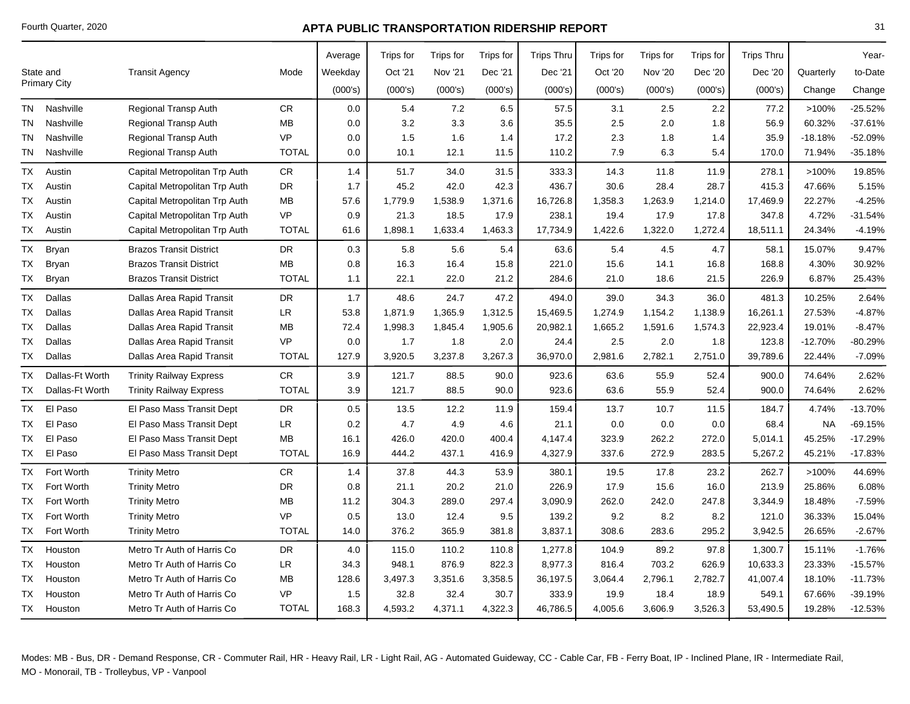|           |                     |                                |              | Average | Trips for | Trips for      | Trips for | <b>Trips Thru</b> | Trips for | <b>Trips for</b> | Trips for | <b>Trips Thru</b> |           | Year-     |
|-----------|---------------------|--------------------------------|--------------|---------|-----------|----------------|-----------|-------------------|-----------|------------------|-----------|-------------------|-----------|-----------|
| State and |                     | <b>Transit Agency</b>          | Mode         | Weekday | Oct '21   | <b>Nov '21</b> | Dec '21   | Dec '21           | Oct '20   | <b>Nov '20</b>   | Dec '20   | Dec '20           | Quarterly | to-Date   |
|           | <b>Primary City</b> |                                |              | (000's) | (000's)   | (000's)        | (000's)   | (000's)           | (000's)   | (000's)          | (000's)   | (000's)           | Change    | Change    |
| TN        | Nashville           | <b>Regional Transp Auth</b>    | <b>CR</b>    | 0.0     | 5.4       | 7.2            | 6.5       | 57.5              | 3.1       | 2.5              | 2.2       | 77.2              | >100%     | $-25.52%$ |
| <b>TN</b> | Nashville           | <b>Regional Transp Auth</b>    | MВ           | 0.0     | 3.2       | 3.3            | 3.6       | 35.5              | 2.5       | 2.0              | 1.8       | 56.9              | 60.32%    | $-37.61%$ |
| TN        | Nashville           | <b>Regional Transp Auth</b>    | <b>VP</b>    | 0.0     | 1.5       | 1.6            | 1.4       | 17.2              | 2.3       | 1.8              | 1.4       | 35.9              | $-18.18%$ | -52.09%   |
| TN        | Nashville           | <b>Regional Transp Auth</b>    | <b>TOTAL</b> | 0.0     | 10.1      | 12.1           | 11.5      | 110.2             | 7.9       | 6.3              | 5.4       | 170.0             | 71.94%    | $-35.18%$ |
| <b>TX</b> | Austin              | Capital Metropolitan Trp Auth  | <b>CR</b>    | 1.4     | 51.7      | 34.0           | 31.5      | 333.3             | 14.3      | 11.8             | 11.9      | 278.1             | >100%     | 19.85%    |
| ТX        | Austin              | Capital Metropolitan Trp Auth  | <b>DR</b>    | 1.7     | 45.2      | 42.0           | 42.3      | 436.7             | 30.6      | 28.4             | 28.7      | 415.3             | 47.66%    | 5.15%     |
| TX        | Austin              | Capital Metropolitan Trp Auth  | <b>MB</b>    | 57.6    | 1,779.9   | 1,538.9        | 1,371.6   | 16,726.8          | 1,358.3   | 1,263.9          | 1,214.0   | 17,469.9          | 22.27%    | $-4.25%$  |
| ТX        | Austin              | Capital Metropolitan Trp Auth  | <b>VP</b>    | 0.9     | 21.3      | 18.5           | 17.9      | 238.1             | 19.4      | 17.9             | 17.8      | 347.8             | 4.72%     | $-31.54%$ |
| TX        | Austin              | Capital Metropolitan Trp Auth  | <b>TOTAL</b> | 61.6    | 1,898.1   | 1,633.4        | 1,463.3   | 17,734.9          | 1,422.6   | 1,322.0          | 1,272.4   | 18,511.1          | 24.34%    | $-4.19%$  |
| TX        | <b>Bryan</b>        | <b>Brazos Transit District</b> | <b>DR</b>    | 0.3     | 5.8       | 5.6            | 5.4       | 63.6              | 5.4       | 4.5              | 4.7       | 58.1              | 15.07%    | 9.47%     |
| TX        | Bryan               | <b>Brazos Transit District</b> | <b>MB</b>    | 0.8     | 16.3      | 16.4           | 15.8      | 221.0             | 15.6      | 14.1             | 16.8      | 168.8             | 4.30%     | 30.92%    |
| TX        | <b>Bryan</b>        | <b>Brazos Transit District</b> | <b>TOTAL</b> | 1.1     | 22.1      | 22.0           | 21.2      | 284.6             | 21.0      | 18.6             | 21.5      | 226.9             | 6.87%     | 25.43%    |
| ТX        | Dallas              | Dallas Area Rapid Transit      | DR           | 1.7     | 48.6      | 24.7           | 47.2      | 494.0             | 39.0      | 34.3             | 36.0      | 481.3             | 10.25%    | 2.64%     |
| ТX        | <b>Dallas</b>       | Dallas Area Rapid Transit      | <b>LR</b>    | 53.8    | 1,871.9   | 1,365.9        | 1,312.5   | 15,469.5          | 1,274.9   | 1,154.2          | 1,138.9   | 16,261.1          | 27.53%    | $-4.87%$  |
| ТX        | <b>Dallas</b>       | Dallas Area Rapid Transit      | MB           | 72.4    | 1,998.3   | 1,845.4        | 1,905.6   | 20,982.1          | 1,665.2   | 1,591.6          | 1,574.3   | 22,923.4          | 19.01%    | $-8.47%$  |
| ТX        | Dallas              | Dallas Area Rapid Transit      | <b>VP</b>    | 0.0     | 1.7       | 1.8            | 2.0       | 24.4              | 2.5       | 2.0              | 1.8       | 123.8             | $-12.70%$ | $-80.29%$ |
| TX        | Dallas              | Dallas Area Rapid Transit      | <b>TOTAL</b> | 127.9   | 3,920.5   | 3,237.8        | 3,267.3   | 36,970.0          | 2,981.6   | 2,782.1          | 2,751.0   | 39,789.6          | 22.44%    | $-7.09%$  |
| ТX        | Dallas-Ft Worth     | <b>Trinity Railway Express</b> | <b>CR</b>    | 3.9     | 121.7     | 88.5           | 90.0      | 923.6             | 63.6      | 55.9             | 52.4      | 900.0             | 74.64%    | 2.62%     |
| TX        | Dallas-Ft Worth     | <b>Trinity Railway Express</b> | <b>TOTAL</b> | 3.9     | 121.7     | 88.5           | 90.0      | 923.6             | 63.6      | 55.9             | 52.4      | 900.0             | 74.64%    | 2.62%     |
| TX        | El Paso             | El Paso Mass Transit Dept      | <b>DR</b>    | 0.5     | 13.5      | 12.2           | 11.9      | 159.4             | 13.7      | 10.7             | 11.5      | 184.7             | 4.74%     | $-13.70%$ |
| ТX        | El Paso             | El Paso Mass Transit Dept      | <b>LR</b>    | 0.2     | 4.7       | 4.9            | 4.6       | 21.1              | 0.0       | 0.0              | 0.0       | 68.4              | <b>NA</b> | $-69.15%$ |
| ТX        | El Paso             | El Paso Mass Transit Dept      | <b>MB</b>    | 16.1    | 426.0     | 420.0          | 400.4     | 4,147.4           | 323.9     | 262.2            | 272.0     | 5,014.1           | 45.25%    | $-17.29%$ |
| TX        | El Paso             | El Paso Mass Transit Dept      | <b>TOTAL</b> | 16.9    | 444.2     | 437.1          | 416.9     | 4,327.9           | 337.6     | 272.9            | 283.5     | 5,267.2           | 45.21%    | $-17.83%$ |
| TX        | Fort Worth          | <b>Trinity Metro</b>           | ${\sf CR}$   | 1.4     | 37.8      | 44.3           | 53.9      | 380.1             | 19.5      | 17.8             | 23.2      | 262.7             | >100%     | 44.69%    |
| TX        | Fort Worth          | <b>Trinity Metro</b>           | <b>DR</b>    | 0.8     | 21.1      | 20.2           | 21.0      | 226.9             | 17.9      | 15.6             | 16.0      | 213.9             | 25.86%    | 6.08%     |
| ТX        | Fort Worth          | <b>Trinity Metro</b>           | <b>MB</b>    | 11.2    | 304.3     | 289.0          | 297.4     | 3,090.9           | 262.0     | 242.0            | 247.8     | 3,344.9           | 18.48%    | $-7.59%$  |
| TX        | Fort Worth          | <b>Trinity Metro</b>           | <b>VP</b>    | 0.5     | 13.0      | 12.4           | 9.5       | 139.2             | 9.2       | 8.2              | 8.2       | 121.0             | 36.33%    | 15.04%    |
| TX        | Fort Worth          | <b>Trinity Metro</b>           | <b>TOTAL</b> | 14.0    | 376.2     | 365.9          | 381.8     | 3,837.1           | 308.6     | 283.6            | 295.2     | 3,942.5           | 26.65%    | $-2.67%$  |
| <b>TX</b> | Houston             | Metro Tr Auth of Harris Co     | <b>DR</b>    | 4.0     | 115.0     | 110.2          | 110.8     | 1,277.8           | 104.9     | 89.2             | 97.8      | 1,300.7           | 15.11%    | $-1.76%$  |
| ТX        | Houston             | Metro Tr Auth of Harris Co     | LR           | 34.3    | 948.1     | 876.9          | 822.3     | 8,977.3           | 816.4     | 703.2            | 626.9     | 10,633.3          | 23.33%    | $-15.57%$ |
| ТX        | Houston             | Metro Tr Auth of Harris Co     | <b>MB</b>    | 128.6   | 3,497.3   | 3,351.6        | 3,358.5   | 36,197.5          | 3,064.4   | 2,796.1          | 2,782.7   | 41,007.4          | 18.10%    | $-11.73%$ |
| ТX        | Houston             | Metro Tr Auth of Harris Co     | <b>VP</b>    | 1.5     | 32.8      | 32.4           | 30.7      | 333.9             | 19.9      | 18.4             | 18.9      | 549.1             | 67.66%    | $-39.19%$ |
| <b>TX</b> | Houston             | Metro Tr Auth of Harris Co     | <b>TOTAL</b> | 168.3   | 4,593.2   | 4,371.1        | 4,322.3   | 46,786.5          | 4,005.6   | 3,606.9          | 3,526.3   | 53,490.5          | 19.28%    | $-12.53%$ |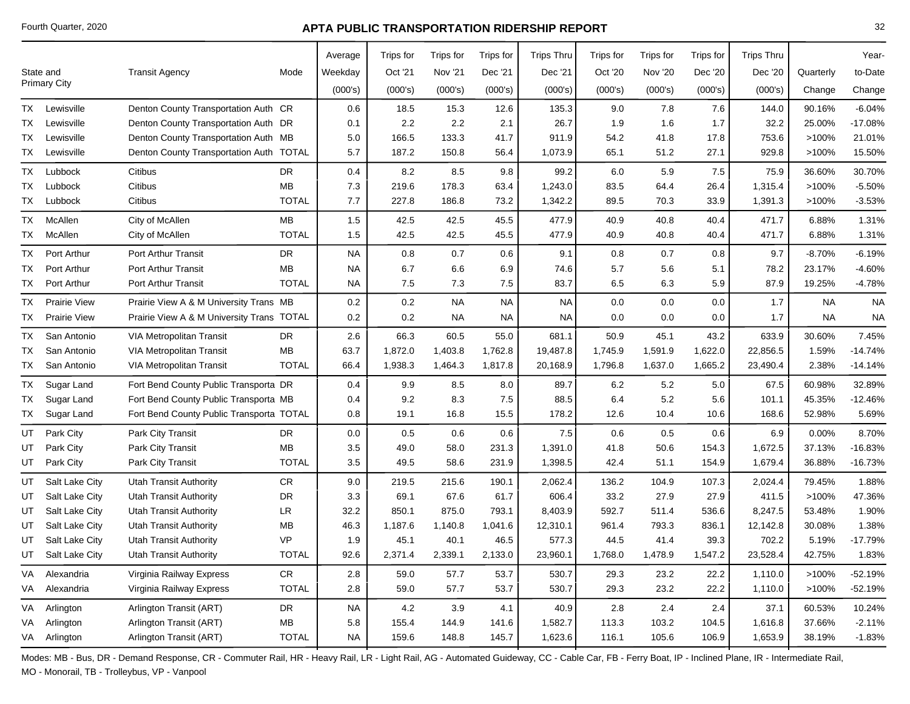|           |                     |                                           |              | Average   | Trips for | Trips for | Trips for | <b>Trips Thru</b> | Trips for | Trips for      | Trips for | <b>Trips Thru</b> |           | Year-     |
|-----------|---------------------|-------------------------------------------|--------------|-----------|-----------|-----------|-----------|-------------------|-----------|----------------|-----------|-------------------|-----------|-----------|
|           | State and           | <b>Transit Agency</b>                     | Mode         | Weekday   | Oct '21   | Nov '21   | Dec '21   | Dec '21           | Oct '20   | <b>Nov '20</b> | Dec '20   | Dec '20           | Quarterly | to-Date   |
|           | <b>Primary City</b> |                                           |              | (000's)   | (000's)   | (000's)   | (000's)   | (000's)           | (000's)   | (000's)        | (000's)   | (000's)           | Change    | Change    |
| TX        | Lewisville          | Denton County Transportation Auth CR      |              | 0.6       | 18.5      | 15.3      | 12.6      | 135.3             | 9.0       | 7.8            | 7.6       | 144.0             | 90.16%    | $-6.04%$  |
| TX        | Lewisville          | Denton County Transportation Auth DR      |              | 0.1       | 2.2       | 2.2       | 2.1       | 26.7              | 1.9       | 1.6            | 1.7       | 32.2              | 25.00%    | $-17.08%$ |
| TX        | Lewisville          | Denton County Transportation Auth MB      |              | 5.0       | 166.5     | 133.3     | 41.7      | 911.9             | 54.2      | 41.8           | 17.8      | 753.6             | >100%     | 21.01%    |
| TX        | Lewisville          | Denton County Transportation Auth TOTAL   |              | 5.7       | 187.2     | 150.8     | 56.4      | 1,073.9           | 65.1      | 51.2           | 27.1      | 929.8             | >100%     | 15.50%    |
| <b>TX</b> | Lubbock             | Citibus                                   | DR           | 0.4       | 8.2       | 8.5       | 9.8       | 99.2              | 6.0       | 5.9            | 7.5       | 75.9              | 36.60%    | 30.70%    |
| TX        | Lubbock             | Citibus                                   | MВ           | 7.3       | 219.6     | 178.3     | 63.4      | 1,243.0           | 83.5      | 64.4           | 26.4      | 1,315.4           | >100%     | $-5.50%$  |
| TX        | Lubbock             | Citibus                                   | <b>TOTAL</b> | 7.7       | 227.8     | 186.8     | 73.2      | 1,342.2           | 89.5      | 70.3           | 33.9      | 1,391.3           | >100%     | $-3.53%$  |
| <b>TX</b> | McAllen             | City of McAllen                           | MB           | 1.5       | 42.5      | 42.5      | 45.5      | 477.9             | 40.9      | 40.8           | 40.4      | 471.7             | 6.88%     | 1.31%     |
| TX        | McAllen             | City of McAllen                           | <b>TOTAL</b> | 1.5       | 42.5      | 42.5      | 45.5      | 477.9             | 40.9      | 40.8           | 40.4      | 471.7             | 6.88%     | 1.31%     |
| TX        | Port Arthur         | <b>Port Arthur Transit</b>                | DR           | <b>NA</b> | 0.8       | 0.7       | 0.6       | 9.1               | 0.8       | 0.7            | 0.8       | 9.7               | $-8.70%$  | $-6.19%$  |
| TX        | Port Arthur         | <b>Port Arthur Transit</b>                | <b>MB</b>    | <b>NA</b> | 6.7       | 6.6       | 6.9       | 74.6              | 5.7       | 5.6            | 5.1       | 78.2              | 23.17%    | $-4.60%$  |
| TX        | Port Arthur         | <b>Port Arthur Transit</b>                | <b>TOTAL</b> | <b>NA</b> | 7.5       | 7.3       | 7.5       | 83.7              | 6.5       | 6.3            | 5.9       | 87.9              | 19.25%    | $-4.78%$  |
| <b>TX</b> | <b>Prairie View</b> | Prairie View A & M University Trans MB    |              | 0.2       | 0.2       | <b>NA</b> | <b>NA</b> | <b>NA</b>         | 0.0       | 0.0            | 0.0       | 1.7               | <b>NA</b> | <b>NA</b> |
| TX        | <b>Prairie View</b> | Prairie View A & M University Trans TOTAL |              | 0.2       | 0.2       | NA        | NA        | <b>NA</b>         | 0.0       | 0.0            | 0.0       | 1.7               | <b>NA</b> | <b>NA</b> |
| ТX        | San Antonio         | <b>VIA Metropolitan Transit</b>           | DR           | 2.6       | 66.3      | 60.5      | 55.0      | 681.1             | 50.9      | 45.1           | 43.2      | 633.9             | 30.60%    | 7.45%     |
| TX        | San Antonio         | <b>VIA Metropolitan Transit</b>           | <b>MB</b>    | 63.7      | 1,872.0   | 1,403.8   | 1,762.8   | 19,487.8          | 1,745.9   | 1,591.9        | 1,622.0   | 22,856.5          | 1.59%     | $-14.74%$ |
| TX        | San Antonio         | <b>VIA Metropolitan Transit</b>           | <b>TOTAL</b> | 66.4      | 1,938.3   | 1,464.3   | 1,817.8   | 20,168.9          | 1,796.8   | 1,637.0        | 1,665.2   | 23,490.4          | 2.38%     | $-14.14%$ |
| <b>TX</b> | Sugar Land          | Fort Bend County Public Transporta DR     |              | 0.4       | 9.9       | 8.5       | 8.0       | 89.7              | 6.2       | 5.2            | 5.0       | 67.5              | 60.98%    | 32.89%    |
| TX        | Sugar Land          | Fort Bend County Public Transporta MB     |              | 0.4       | 9.2       | 8.3       | 7.5       | 88.5              | 6.4       | 5.2            | 5.6       | 101.1             | 45.35%    | $-12.46%$ |
| TX        | Sugar Land          | Fort Bend County Public Transporta TOTAL  |              | 0.8       | 19.1      | 16.8      | 15.5      | 178.2             | 12.6      | 10.4           | 10.6      | 168.6             | 52.98%    | 5.69%     |
| UT        | Park City           | Park City Transit                         | DR           | 0.0       | 0.5       | 0.6       | 0.6       | 7.5               | 0.6       | 0.5            | 0.6       | 6.9               | 0.00%     | 8.70%     |
| UT        | Park City           | Park City Transit                         | MВ           | 3.5       | 49.0      | 58.0      | 231.3     | 1,391.0           | 41.8      | 50.6           | 154.3     | 1,672.5           | 37.13%    | $-16.83%$ |
| UT        | Park City           | Park City Transit                         | <b>TOTAL</b> | 3.5       | 49.5      | 58.6      | 231.9     | 1,398.5           | 42.4      | 51.1           | 154.9     | 1,679.4           | 36.88%    | $-16.73%$ |
| UT        | Salt Lake City      | <b>Utah Transit Authority</b>             | CR           | 9.0       | 219.5     | 215.6     | 190.1     | 2,062.4           | 136.2     | 104.9          | 107.3     | 2,024.4           | 79.45%    | 1.88%     |
| UT        | Salt Lake City      | <b>Utah Transit Authority</b>             | DR           | 3.3       | 69.1      | 67.6      | 61.7      | 606.4             | 33.2      | 27.9           | 27.9      | 411.5             | >100%     | 47.36%    |
| UT        | Salt Lake City      | <b>Utah Transit Authority</b>             | LR           | 32.2      | 850.1     | 875.0     | 793.1     | 8,403.9           | 592.7     | 511.4          | 536.6     | 8,247.5           | 53.48%    | 1.90%     |
| UT        | Salt Lake City      | <b>Utah Transit Authority</b>             | MВ           | 46.3      | 1,187.6   | 1,140.8   | 1,041.6   | 12,310.1          | 961.4     | 793.3          | 836.1     | 12,142.8          | 30.08%    | 1.38%     |
| UT        | Salt Lake City      | <b>Utah Transit Authority</b>             | <b>VP</b>    | 1.9       | 45.1      | 40.1      | 46.5      | 577.3             | 44.5      | 41.4           | 39.3      | 702.2             | 5.19%     | $-17.79%$ |
| UT        | Salt Lake City      | <b>Utah Transit Authority</b>             | <b>TOTAL</b> | 92.6      | 2,371.4   | 2,339.1   | 2,133.0   | 23,960.1          | 1,768.0   | 1,478.9        | 1,547.2   | 23,528.4          | 42.75%    | 1.83%     |
| VA        | Alexandria          | Virginia Railway Express                  | ${\sf CR}$   | 2.8       | 59.0      | 57.7      | 53.7      | 530.7             | 29.3      | 23.2           | 22.2      | 1,110.0           | >100%     | $-52.19%$ |
|           | VA Alexandria       | Virginia Railway Express                  | <b>TOTAL</b> | 2.8       | 59.0      | 57.7      | 53.7      | 530.7             | 29.3      | 23.2           | 22.2      | 1,110.0           | >100%     | $-52.19%$ |
|           | VA Arlington        | Arlington Transit (ART)                   | DR           | NA        | 4.2       | 3.9       | 4.1       | 40.9              | 2.8       | 2.4            | 2.4       | 37.1              | 60.53%    | 10.24%    |
| VA        | Arlington           | Arlington Transit (ART)                   | MB           | 5.8       | 155.4     | 144.9     | 141.6     | 1,582.7           | 113.3     | 103.2          | 104.5     | 1,616.8           | 37.66%    | $-2.11%$  |
|           | VA Arlington        | Arlington Transit (ART)                   | <b>TOTAL</b> | NA.       | 159.6     | 148.8     | 145.7     | 1,623.6           | 116.1     | 105.6          | 106.9     | 1,653.9           | 38.19%    | $-1.83%$  |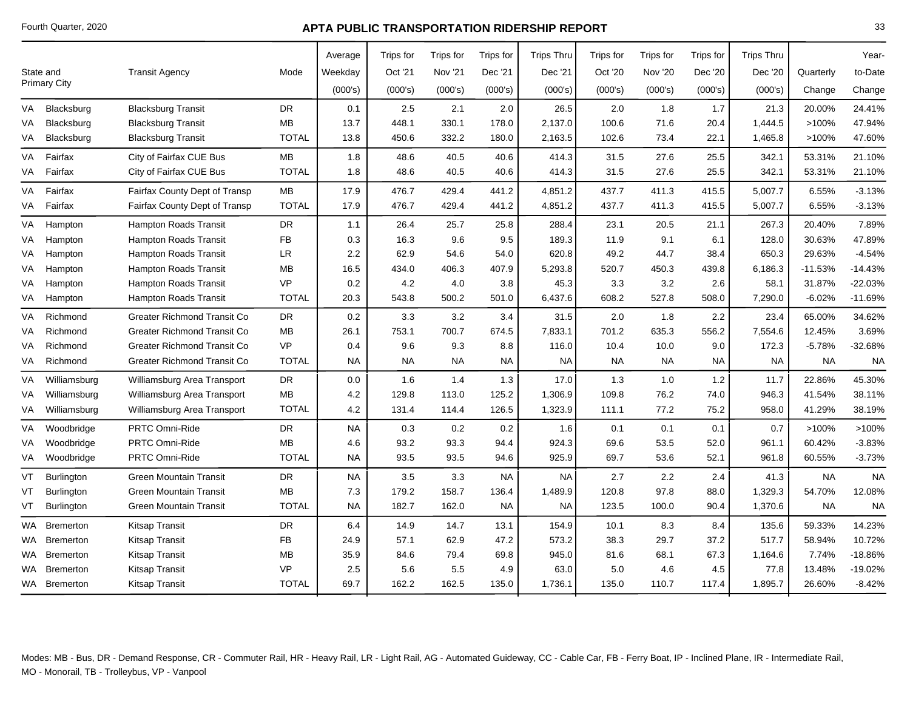|           |                     |                                    |              | Average   | Trips for | Trips for | Trips for | <b>Trips Thru</b> | Trips for | Trips for | Trips for | <b>Trips Thru</b> |           | Year-     |
|-----------|---------------------|------------------------------------|--------------|-----------|-----------|-----------|-----------|-------------------|-----------|-----------|-----------|-------------------|-----------|-----------|
|           | State and           | <b>Transit Agency</b>              | Mode         | Weekday   | Oct '21   | Nov '21   | Dec '21   | Dec '21           | Oct '20   | Nov '20   | Dec '20   | Dec '20           | Quarterly | to-Date   |
|           | <b>Primary City</b> |                                    |              | (000's)   | (000's)   | (000's)   | (000's)   | (000's)           | (000's)   | (000's)   | (000's)   | (000's)           | Change    | Change    |
| VA        | Blacksburg          | <b>Blacksburg Transit</b>          | DR.          | 0.1       | 2.5       | 2.1       | 2.0       | 26.5              | 2.0       | 1.8       | 1.7       | 21.3              | 20.00%    | 24.41%    |
| VA        | Blacksburg          | <b>Blacksburg Transit</b>          | МB           | 13.7      | 448.1     | 330.1     | 178.0     | 2,137.0           | 100.6     | 71.6      | 20.4      | 1,444.5           | >100%     | 47.94%    |
| VA        | Blacksburg          | <b>Blacksburg Transit</b>          | <b>TOTAL</b> | 13.8      | 450.6     | 332.2     | 180.0     | 2,163.5           | 102.6     | 73.4      | 22.1      | 1,465.8           | >100%     | 47.60%    |
| <b>VA</b> | Fairfax             | City of Fairfax CUE Bus            | <b>MB</b>    | 1.8       | 48.6      | 40.5      | 40.6      | 414.3             | 31.5      | 27.6      | 25.5      | 342.1             | 53.31%    | 21.10%    |
| VA        | Fairfax             | City of Fairfax CUE Bus            | <b>TOTAL</b> | 1.8       | 48.6      | 40.5      | 40.6      | 414.3             | 31.5      | 27.6      | 25.5      | 342.1             | 53.31%    | 21.10%    |
| VA        | Fairfax             | Fairfax County Dept of Transp      | MB           | 17.9      | 476.7     | 429.4     | 441.2     | 4,851.2           | 437.7     | 411.3     | 415.5     | 5,007.7           | 6.55%     | $-3.13%$  |
| VA        | Fairfax             | Fairfax County Dept of Transp      | <b>TOTAL</b> | 17.9      | 476.7     | 429.4     | 441.2     | 4,851.2           | 437.7     | 411.3     | 415.5     | 5,007.7           | 6.55%     | $-3.13%$  |
| VA        | Hampton             | Hampton Roads Transit              | <b>DR</b>    | 1.1       | 26.4      | 25.7      | 25.8      | 288.4             | 23.1      | 20.5      | 21.1      | 267.3             | 20.40%    | 7.89%     |
| VA        | Hampton             | <b>Hampton Roads Transit</b>       | FB           | 0.3       | 16.3      | 9.6       | 9.5       | 189.3             | 11.9      | 9.1       | 6.1       | 128.0             | 30.63%    | 47.89%    |
| VA        | Hampton             | Hampton Roads Transit              | LR.          | 2.2       | 62.9      | 54.6      | 54.0      | 620.8             | 49.2      | 44.7      | 38.4      | 650.3             | 29.63%    | $-4.54%$  |
| VA        | Hampton             | <b>Hampton Roads Transit</b>       | МB           | 16.5      | 434.0     | 406.3     | 407.9     | 5,293.8           | 520.7     | 450.3     | 439.8     | 6,186.3           | $-11.53%$ | $-14.43%$ |
| VA        | Hampton             | Hampton Roads Transit              | <b>VP</b>    | 0.2       | 4.2       | 4.0       | 3.8       | 45.3              | 3.3       | 3.2       | 2.6       | 58.1              | 31.87%    | $-22.03%$ |
| VA        | Hampton             | Hampton Roads Transit              | <b>TOTAL</b> | 20.3      | 543.8     | 500.2     | 501.0     | 6,437.6           | 608.2     | 527.8     | 508.0     | 7,290.0           | $-6.02%$  | $-11.69%$ |
| VA        | Richmond            | <b>Greater Richmond Transit Co</b> | <b>DR</b>    | 0.2       | 3.3       | 3.2       | 3.4       | 31.5              | 2.0       | 1.8       | 2.2       | 23.4              | 65.00%    | 34.62%    |
| VA        | Richmond            | <b>Greater Richmond Transit Co</b> | МB           | 26.1      | 753.1     | 700.7     | 674.5     | 7,833.1           | 701.2     | 635.3     | 556.2     | 7,554.6           | 12.45%    | 3.69%     |
| VA        | Richmond            | <b>Greater Richmond Transit Co</b> | <b>VP</b>    | 0.4       | 9.6       | 9.3       | 8.8       | 116.0             | 10.4      | 10.0      | 9.0       | 172.3             | $-5.78%$  | $-32.68%$ |
| VA        | Richmond            | Greater Richmond Transit Co        | <b>TOTAL</b> | NA.       | <b>NA</b> | <b>NA</b> | NA.       | <b>NA</b>         | <b>NA</b> | <b>NA</b> | NA.       | <b>NA</b>         | <b>NA</b> | <b>NA</b> |
| VA        | Williamsburg        | Williamsburg Area Transport        | <b>DR</b>    | $0.0\,$   | 1.6       | 1.4       | 1.3       | 17.0              | 1.3       | 1.0       | 1.2       | 11.7              | 22.86%    | 45.30%    |
| VA        | Williamsburg        | Williamsburg Area Transport        | МB           | 4.2       | 129.8     | 113.0     | 125.2     | 1,306.9           | 109.8     | 76.2      | 74.0      | 946.3             | 41.54%    | 38.11%    |
| VA        | Williamsburg        | Williamsburg Area Transport        | <b>TOTAL</b> | 4.2       | 131.4     | 114.4     | 126.5     | 1,323.9           | 111.1     | 77.2      | 75.2      | 958.0             | 41.29%    | 38.19%    |
| VA        | Woodbridge          | PRTC Omni-Ride                     | <b>DR</b>    | <b>NA</b> | 0.3       | 0.2       | 0.2       | 1.6               | 0.1       | 0.1       | 0.1       | 0.7               | >100%     | >100%     |
| VA        | Woodbridge          | <b>PRTC Omni-Ride</b>              | MB           | 4.6       | 93.2      | 93.3      | 94.4      | 924.3             | 69.6      | 53.5      | 52.0      | 961.1             | 60.42%    | $-3.83%$  |
| VA        | Woodbridge          | PRTC Omni-Ride                     | <b>TOTAL</b> | <b>NA</b> | 93.5      | 93.5      | 94.6      | 925.9             | 69.7      | 53.6      | 52.1      | 961.8             | 60.55%    | $-3.73%$  |
| VT        | <b>Burlington</b>   | <b>Green Mountain Transit</b>      | DR.          | <b>NA</b> | 3.5       | 3.3       | <b>NA</b> | <b>NA</b>         | 2.7       | 2.2       | 2.4       | 41.3              | <b>NA</b> | <b>NA</b> |
| VT        | <b>Burlington</b>   | <b>Green Mountain Transit</b>      | МB           | 7.3       | 179.2     | 158.7     | 136.4     | 1,489.9           | 120.8     | 97.8      | 88.0      | 1,329.3           | 54.70%    | 12.08%    |
| VT        | <b>Burlington</b>   | <b>Green Mountain Transit</b>      | <b>TOTAL</b> | <b>NA</b> | 182.7     | 162.0     | NA.       | NA                | 123.5     | 100.0     | 90.4      | 1,370.6           | <b>NA</b> | <b>NA</b> |
| WA.       | <b>Bremerton</b>    | Kitsap Transit                     | <b>DR</b>    | 6.4       | 14.9      | 14.7      | 13.1      | 154.9             | 10.1      | 8.3       | 8.4       | 135.6             | 59.33%    | 14.23%    |
| WA.       | <b>Bremerton</b>    | <b>Kitsap Transit</b>              | FB           | 24.9      | 57.1      | 62.9      | 47.2      | 573.2             | 38.3      | 29.7      | 37.2      | 517.7             | 58.94%    | 10.72%    |
| WA.       | Bremerton           | Kitsap Transit                     | МB           | 35.9      | 84.6      | 79.4      | 69.8      | 945.0             | 81.6      | 68.1      | 67.3      | 1,164.6           | 7.74%     | $-18.86%$ |
| WA.       | <b>Bremerton</b>    | Kitsap Transit                     | <b>VP</b>    | 2.5       | 5.6       | 5.5       | 4.9       | 63.0              | 5.0       | 4.6       | 4.5       | 77.8              | 13.48%    | $-19.02%$ |
|           | WA Bremerton        | <b>Kitsap Transit</b>              | <b>TOTAL</b> | 69.7      | 162.2     | 162.5     | 135.0     | 1,736.1           | 135.0     | 110.7     | 117.4     | 1,895.7           | 26.60%    | $-8.42%$  |
|           |                     |                                    |              |           |           |           |           |                   |           |           |           |                   |           |           |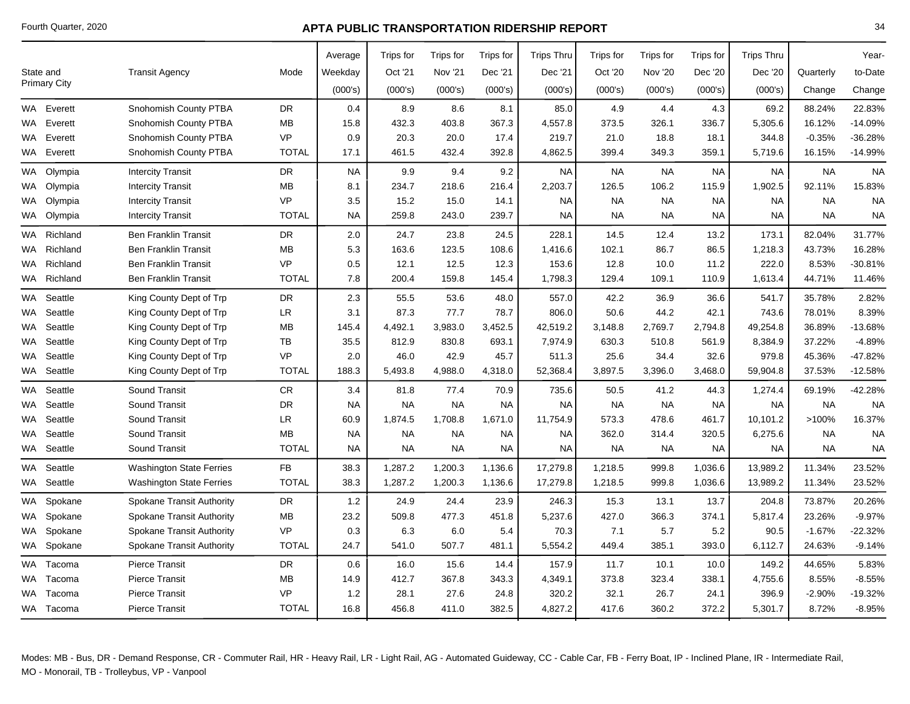|           |                     |                                  |              | Average   | Trips for | Trips for      | Trips for | <b>Trips Thru</b> | Trips for | <b>Trips for</b> | Trips for | <b>Trips Thru</b> |           | Year-     |
|-----------|---------------------|----------------------------------|--------------|-----------|-----------|----------------|-----------|-------------------|-----------|------------------|-----------|-------------------|-----------|-----------|
|           | State and           | <b>Transit Agency</b>            | Mode         | Weekday   | Oct '21   | <b>Nov '21</b> | Dec '21   | Dec '21           | Oct '20   | Nov '20          | Dec '20   | Dec '20           | Quarterly | to-Date   |
|           | <b>Primary City</b> |                                  |              | (000's)   | (000's)   | (000's)        | (000's)   | (000's)           | (000's)   | (000's)          | (000's)   | (000's)           | Change    | Change    |
|           | WA Everett          | Snohomish County PTBA            | <b>DR</b>    | 0.4       | 8.9       | 8.6            | 8.1       | 85.0              | 4.9       | 4.4              | 4.3       | 69.2              | 88.24%    | 22.83%    |
| WA        | Everett             | Snohomish County PTBA            | МB           | 15.8      | 432.3     | 403.8          | 367.3     | 4,557.8           | 373.5     | 326.1            | 336.7     | 5,305.6           | 16.12%    | $-14.09%$ |
| WA        | Everett             | Snohomish County PTBA            | <b>VP</b>    | 0.9       | 20.3      | 20.0           | 17.4      | 219.7             | 21.0      | 18.8             | 18.1      | 344.8             | $-0.35%$  | $-36.28%$ |
|           | WA Everett          | Snohomish County PTBA            | <b>TOTAL</b> | 17.1      | 461.5     | 432.4          | 392.8     | 4,862.5           | 399.4     | 349.3            | 359.1     | 5,719.6           | 16.15%    | $-14.99%$ |
| <b>WA</b> | Olympia             | <b>Intercity Transit</b>         | <b>DR</b>    | <b>NA</b> | 9.9       | 9.4            | 9.2       | <b>NA</b>         | <b>NA</b> | <b>NA</b>        | <b>NA</b> | <b>NA</b>         | <b>NA</b> | <b>NA</b> |
| WA        | Olympia             | <b>Intercity Transit</b>         | MВ           | 8.1       | 234.7     | 218.6          | 216.4     | 2,203.7           | 126.5     | 106.2            | 115.9     | 1,902.5           | 92.11%    | 15.83%    |
| WA.       | Olympia             | <b>Intercity Transit</b>         | <b>VP</b>    | 3.5       | 15.2      | 15.0           | 14.1      | <b>NA</b>         | <b>NA</b> | <b>NA</b>        | <b>NA</b> | <b>NA</b>         | <b>NA</b> | <b>NA</b> |
|           | WA Olympia          | <b>Intercity Transit</b>         | <b>TOTAL</b> | <b>NA</b> | 259.8     | 243.0          | 239.7     | <b>NA</b>         | <b>NA</b> | <b>NA</b>        | <b>NA</b> | <b>NA</b>         | <b>NA</b> | <b>NA</b> |
| WA        | Richland            | <b>Ben Franklin Transit</b>      | <b>DR</b>    | 2.0       | 24.7      | 23.8           | 24.5      | 228.1             | 14.5      | 12.4             | 13.2      | 173.1             | 82.04%    | 31.77%    |
| WA.       | Richland            | <b>Ben Franklin Transit</b>      | МB           | 5.3       | 163.6     | 123.5          | 108.6     | 1,416.6           | 102.1     | 86.7             | 86.5      | 1,218.3           | 43.73%    | 16.28%    |
| WA.       | Richland            | <b>Ben Franklin Transit</b>      | <b>VP</b>    | 0.5       | 12.1      | 12.5           | 12.3      | 153.6             | 12.8      | 10.0             | 11.2      | 222.0             | 8.53%     | $-30.81%$ |
|           | WA Richland         | <b>Ben Franklin Transit</b>      | <b>TOTAL</b> | 7.8       | 200.4     | 159.8          | 145.4     | 1,798.3           | 129.4     | 109.1            | 110.9     | 1,613.4           | 44.71%    | 11.46%    |
| WA.       | Seattle             | King County Dept of Trp          | <b>DR</b>    | 2.3       | 55.5      | 53.6           | 48.0      | 557.0             | 42.2      | 36.9             | 36.6      | 541.7             | 35.78%    | 2.82%     |
| WA        | Seattle             | King County Dept of Trp          | LR.          | 3.1       | 87.3      | 77.7           | 78.7      | 806.0             | 50.6      | 44.2             | 42.1      | 743.6             | 78.01%    | 8.39%     |
| WA        | Seattle             | King County Dept of Trp          | МB           | 145.4     | 4,492.1   | 3,983.0        | 3,452.5   | 42,519.2          | 3,148.8   | 2,769.7          | 2,794.8   | 49,254.8          | 36.89%    | -13.68%   |
| WA .      | Seattle             | King County Dept of Trp          | TB           | 35.5      | 812.9     | 830.8          | 693.1     | 7,974.9           | 630.3     | 510.8            | 561.9     | 8,384.9           | 37.22%    | $-4.89%$  |
| WA.       | Seattle             | King County Dept of Trp          | VP           | 2.0       | 46.0      | 42.9           | 45.7      | 511.3             | 25.6      | 34.4             | 32.6      | 979.8             | 45.36%    | -47.82%   |
|           | WA Seattle          | King County Dept of Trp          | <b>TOTAL</b> | 188.3     | 5,493.8   | 4,988.0        | 4,318.0   | 52,368.4          | 3,897.5   | 3,396.0          | 3,468.0   | 59,904.8          | 37.53%    | $-12.58%$ |
| WA        | Seattle             | <b>Sound Transit</b>             | CR.          | 3.4       | 81.8      | 77.4           | 70.9      | 735.6             | 50.5      | 41.2             | 44.3      | 1,274.4           | 69.19%    | $-42.28%$ |
| WA .      | Seattle             | <b>Sound Transit</b>             | <b>DR</b>    | <b>NA</b> | <b>NA</b> | <b>NA</b>      | <b>NA</b> | <b>NA</b>         | <b>NA</b> | <b>NA</b>        | <b>NA</b> | <b>NA</b>         | <b>NA</b> | <b>NA</b> |
| WA        | Seattle             | <b>Sound Transit</b>             | ${\sf LR}$   | 60.9      | 1,874.5   | 1,708.8        | 1,671.0   | 11,754.9          | 573.3     | 478.6            | 461.7     | 10,101.2          | >100%     | 16.37%    |
| WA.       | Seattle             | Sound Transit                    | МB           | NA.       | <b>NA</b> | <b>NA</b>      | <b>NA</b> | <b>NA</b>         | 362.0     | 314.4            | 320.5     | 6,275.6           | <b>NA</b> | <b>NA</b> |
|           | WA Seattle          | Sound Transit                    | <b>TOTAL</b> | <b>NA</b> | <b>NA</b> | <b>NA</b>      | NA.       | <b>NA</b>         | <b>NA</b> | <b>NA</b>        | <b>NA</b> | NA.               | <b>NA</b> | <b>NA</b> |
| <b>WA</b> | Seattle             | <b>Washington State Ferries</b>  | FB           | 38.3      | 1,287.2   | 1,200.3        | 1,136.6   | 17,279.8          | 1,218.5   | 999.8            | 1,036.6   | 13,989.2          | 11.34%    | 23.52%    |
| WA        | Seattle             | <b>Washington State Ferries</b>  | <b>TOTAL</b> | 38.3      | 1,287.2   | 1,200.3        | 1,136.6   | 17,279.8          | 1,218.5   | 999.8            | 1,036.6   | 13,989.2          | 11.34%    | 23.52%    |
| <b>WA</b> | Spokane             | <b>Spokane Transit Authority</b> | <b>DR</b>    | 1.2       | 24.9      | 24.4           | 23.9      | 246.3             | 15.3      | 13.1             | 13.7      | 204.8             | 73.87%    | 20.26%    |
| WA        | Spokane             | <b>Spokane Transit Authority</b> | MВ           | 23.2      | 509.8     | 477.3          | 451.8     | 5,237.6           | 427.0     | 366.3            | 374.1     | 5,817.4           | 23.26%    | $-9.97%$  |
| WA.       | Spokane             | <b>Spokane Transit Authority</b> | VP           | 0.3       | 6.3       | 6.0            | 5.4       | 70.3              | 7.1       | 5.7              | 5.2       | 90.5              | $-1.67%$  | $-22.32%$ |
|           | WA Spokane          | Spokane Transit Authority        | <b>TOTAL</b> | 24.7      | 541.0     | 507.7          | 481.1     | 5,554.2           | 449.4     | 385.1            | 393.0     | 6,112.7           | 24.63%    | $-9.14%$  |
|           | WA Tacoma           | <b>Pierce Transit</b>            | DR.          | 0.6       | 16.0      | 15.6           | 14.4      | 157.9             | 11.7      | 10.1             | 10.0      | 149.2             | 44.65%    | 5.83%     |
|           | WA Tacoma           | <b>Pierce Transit</b>            | MВ           | 14.9      | 412.7     | 367.8          | 343.3     | 4,349.1           | 373.8     | 323.4            | 338.1     | 4,755.6           | 8.55%     | $-8.55%$  |
| WA.       | Tacoma              | <b>Pierce Transit</b>            | VP           | 1.2       | 28.1      | 27.6           | 24.8      | 320.2             | 32.1      | 26.7             | 24.1      | 396.9             | $-2.90%$  | $-19.32%$ |
|           | WA Tacoma           | <b>Pierce Transit</b>            | <b>TOTAL</b> | 16.8      | 456.8     | 411.0          | 382.5     | 4,827.2           | 417.6     | 360.2            | 372.2     | 5,301.7           | 8.72%     | $-8.95%$  |
|           |                     |                                  |              |           |           |                |           |                   |           |                  |           |                   |           |           |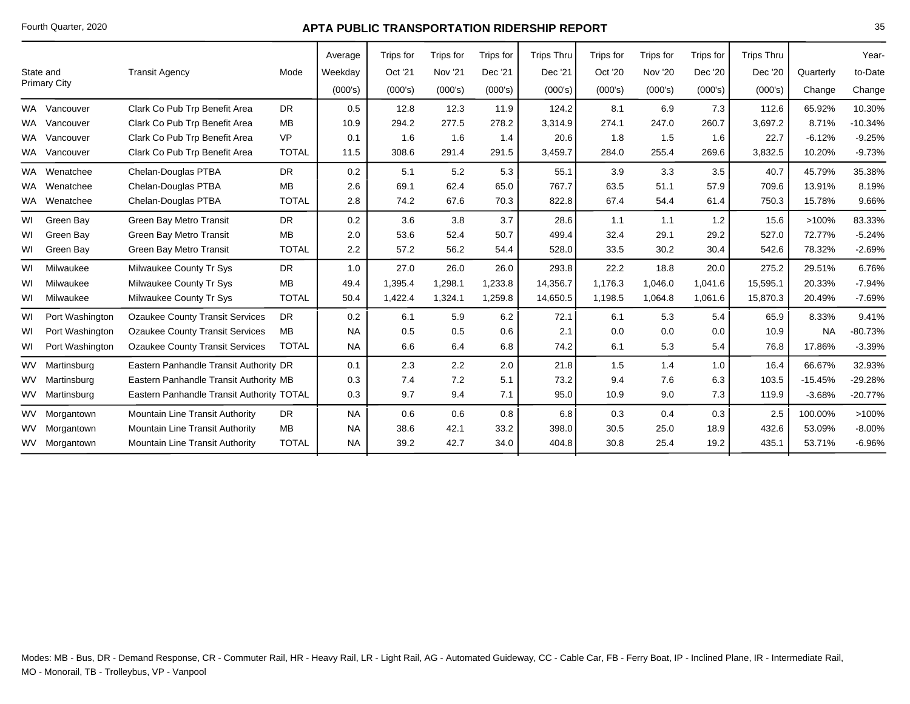|           |                     |                                           |              | Average   | Trips for | Trips for      | Trips for | <b>Trips Thru</b> | Trips for | Trips for      | Trips for | <b>Trips Thru</b> |           | Year-     |
|-----------|---------------------|-------------------------------------------|--------------|-----------|-----------|----------------|-----------|-------------------|-----------|----------------|-----------|-------------------|-----------|-----------|
| State and |                     | <b>Transit Agency</b>                     | Mode         | Weekdav   | Oct '21   | <b>Nov '21</b> | Dec '21   | Dec '21           | Oct '20   | <b>Nov '20</b> | Dec '20   | Dec '20           | Quarterly | to-Date   |
|           | <b>Primary City</b> |                                           |              | (000's)   | (000's)   | (000's)        | (000's)   | (000's)           | (000's)   | (000's)        | (000's)   | (000's)           | Change    | Change    |
|           | WA Vancouver        | Clark Co Pub Trp Benefit Area             | <b>DR</b>    | 0.5       | 12.8      | 12.3           | 11.9      | 124.2             | 8.1       | 6.9            | 7.3       | 112.6             | 65.92%    | 10.30%    |
|           | WA Vancouver        | Clark Co Pub Trp Benefit Area             | <b>MB</b>    | 10.9      | 294.2     | 277.5          | 278.2     | 3,314.9           | 274.1     | 247.0          | 260.7     | 3,697.2           | 8.71%     | $-10.34%$ |
| WA        | Vancouver           | Clark Co Pub Trp Benefit Area             | <b>VP</b>    | 0.1       | 1.6       | 1.6            | 1.4       | 20.6              | 1.8       | 1.5            | 1.6       | 22.7              | $-6.12%$  | $-9.25%$  |
|           | WA Vancouver        | Clark Co Pub Trp Benefit Area             | <b>TOTAL</b> | 11.5      | 308.6     | 291.4          | 291.5     | 3,459.7           | 284.0     | 255.4          | 269.6     | 3,832.5           | 10.20%    | $-9.73%$  |
|           | WA Wenatchee        | Chelan-Douglas PTBA                       | <b>DR</b>    | 0.2       | 5.1       | 5.2            | 5.3       | 55.1              | 3.9       | 3.3            | 3.5       | 40.7              | 45.79%    | 35.38%    |
| WA        | Wenatchee           | Chelan-Douglas PTBA                       | <b>MB</b>    | 2.6       | 69.1      | 62.4           | 65.0      | 767.7             | 63.5      | 51.1           | 57.9      | 709.6             | 13.91%    | 8.19%     |
|           | WA Wenatchee        | Chelan-Douglas PTBA                       | <b>TOTAL</b> | 2.8       | 74.2      | 67.6           | 70.3      | 822.8             | 67.4      | 54.4           | 61.4      | 750.3             | 15.78%    | 9.66%     |
| WI        | Green Bay           | Green Bay Metro Transit                   | <b>DR</b>    | 0.2       | 3.6       | 3.8            | 3.7       | 28.6              | 1.1       | 1.1            | 1.2       | 15.6              | $>100\%$  | 83.33%    |
| WI        | Green Bav           | <b>Green Bay Metro Transit</b>            | <b>MB</b>    | 2.0       | 53.6      | 52.4           | 50.7      | 499.4             | 32.4      | 29.1           | 29.2      | 527.0             | 72.77%    | $-5.24%$  |
| WI        | Green Bay           | Green Bay Metro Transit                   | <b>TOTAL</b> | 2.2       | 57.2      | 56.2           | 54.4      | 528.0             | 33.5      | 30.2           | 30.4      | 542.6             | 78.32%    | $-2.69%$  |
| WI        | Milwaukee           | Milwaukee County Tr Sys                   | <b>DR</b>    | 1.0       | 27.0      | 26.0           | 26.0      | 293.8             | 22.2      | 18.8           | 20.0      | 275.2             | 29.51%    | 6.76%     |
| WI        | Milwaukee           | Milwaukee County Tr Sys                   | MВ           | 49.4      | 1,395.4   | 1,298.1        | 1,233.8   | 14,356.7          | 1,176.3   | 1,046.0        | 1,041.6   | 15,595.1          | 20.33%    | $-7.94%$  |
| WI        | Milwaukee           | Milwaukee County Tr Sys                   | <b>TOTAL</b> | 50.4      | 1,422.4   | 1,324.1        | 1,259.8   | 14,650.5          | 1,198.5   | 1,064.8        | 1,061.6   | 15,870.3          | 20.49%    | $-7.69%$  |
| WI        | Port Washington     | <b>Ozaukee County Transit Services</b>    | <b>DR</b>    | 0.2       | 6.1       | 5.9            | 6.2       | 72.1              | 6.1       | 5.3            | 5.4       | 65.9              | 8.33%     | 9.41%     |
| WI        | Port Washington     | <b>Ozaukee County Transit Services</b>    | MB           | <b>NA</b> | 0.5       | 0.5            | 0.6       | 2.1               | 0.0       | 0.0            | 0.0       | 10.9              | <b>NA</b> | $-80.73%$ |
| WI        | Port Washington     | <b>Ozaukee County Transit Services</b>    | <b>TOTAL</b> | <b>NA</b> | 6.6       | 6.4            | 6.8       | 74.2              | 6.1       | 5.3            | 5.4       | 76.8              | 17.86%    | $-3.39%$  |
| <b>WV</b> | Martinsburg         | Eastern Panhandle Transit Authority DR    |              | 0.1       | 2.3       | 2.2            | 2.0       | 21.8              | 1.5       | 1.4            | 1.0       | 16.4              | 66.67%    | 32.93%    |
| WV.       | Martinsburg         | Eastern Panhandle Transit Authority MB    |              | 0.3       | 7.4       | 7.2            | 5.1       | 73.2              | 9.4       | 7.6            | 6.3       | 103.5             | $-15.45%$ | -29.28%   |
| WV.       | Martinsburg         | Eastern Panhandle Transit Authority TOTAL |              | 0.3       | 9.7       | 9.4            | 7.1       | 95.0              | 10.9      | 9.0            | 7.3       | 119.9             | $-3.68%$  | $-20.77%$ |
| WV        | Morgantown          | Mountain Line Transit Authority           | <b>DR</b>    | <b>NA</b> | 0.6       | 0.6            | 0.8       | 6.8               | 0.3       | 0.4            | 0.3       | 2.5               | 100.00%   | >100%     |
| WV        | Morgantown          | Mountain Line Transit Authority           | <b>MB</b>    | <b>NA</b> | 38.6      | 42.1           | 33.2      | 398.0             | 30.5      | 25.0           | 18.9      | 432.6             | 53.09%    | $-8.00%$  |
|           | WV Morgantown       | Mountain Line Transit Authority           | <b>TOTAL</b> | <b>NA</b> | 39.2      | 42.7           | 34.0      | 404.8             | 30.8      | 25.4           | 19.2      | 435.1             | 53.71%    | $-6.96%$  |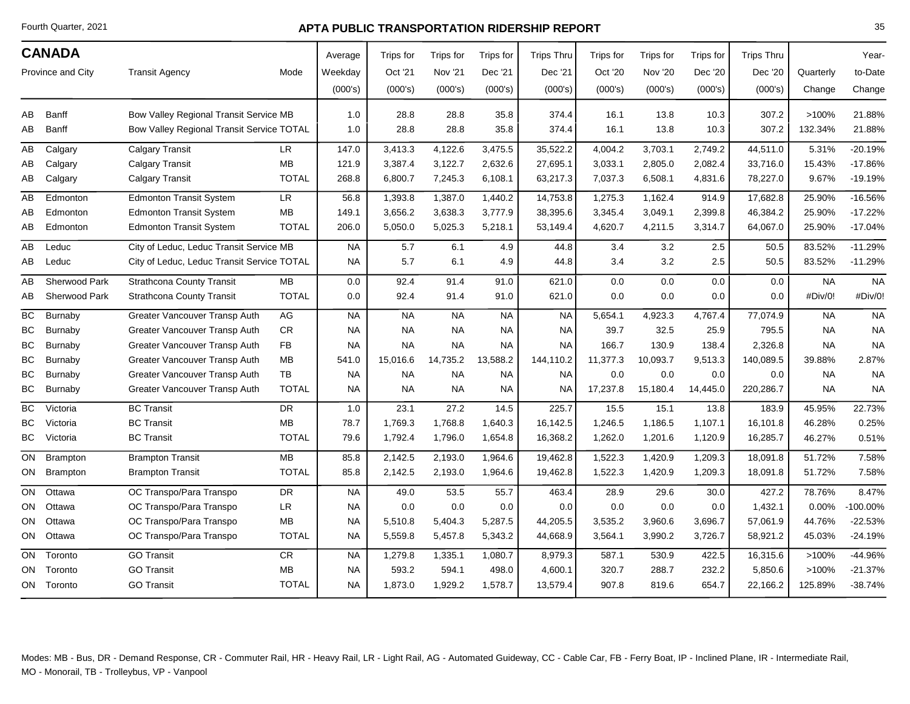Fourth Quarter, 2021

## **APTA PUBLIC TRANSPORTATION RIDERSHIP REPORT**

| <b>CANADA</b><br>Province and City<br><b>Transit Agency</b> |                                                  |                                            |              | Average   | Trips for | Trips for | Trips for | <b>Trips Thru</b> | Trips for | Trips for      | Trips for | <b>Trips Thru</b> |           | Year-     |
|-------------------------------------------------------------|--------------------------------------------------|--------------------------------------------|--------------|-----------|-----------|-----------|-----------|-------------------|-----------|----------------|-----------|-------------------|-----------|-----------|
|                                                             |                                                  |                                            | Mode         | Weekday   | Oct '21   | Nov '21   | Dec '21   | Dec '21           | Oct '20   | <b>Nov '20</b> | Dec '20   | Dec '20           | Quarterly | to-Date   |
|                                                             |                                                  |                                            |              | (000's)   | (000's)   | (000's)   | (000's)   | (000's)           | (000's)   | (000's)        | (000's)   | (000's)           | Change    | Change    |
| AB                                                          | Banff                                            | Bow Valley Regional Transit Service MB     |              | 1.0       | 28.8      | 28.8      | 35.8      | 374.4             | 16.1      | 13.8           | 10.3      | 307.2             | >100%     | 21.88%    |
| AB                                                          | <b>Banff</b>                                     | Bow Valley Regional Transit Service TOTAL  |              | 1.0       | 28.8      | 28.8      | 35.8      | 374.4             | 16.1      | 13.8           | 10.3      | 307.2             | 132.34%   | 21.88%    |
| AB                                                          | Calgary                                          | <b>Calgary Transit</b>                     | LR           | 147.0     | 3,413.3   | 4,122.6   | 3,475.5   | 35,522.2          | 4,004.2   | 3,703.1        | 2,749.2   | 44,511.0          | 5.31%     | $-20.19%$ |
| AB                                                          | Calgary                                          | <b>Calgary Transit</b>                     | MB           | 121.9     | 3,387.4   | 3,122.7   | 2,632.6   | 27,695.1          | 3,033.1   | 2,805.0        | 2,082.4   | 33,716.0          | 15.43%    | $-17.86%$ |
| AВ                                                          | Calgary                                          | <b>Calgary Transit</b>                     | <b>TOTAL</b> | 268.8     | 6,800.7   | 7,245.3   | 6,108.1   | 63,217.3          | 7,037.3   | 6,508.1        | 4,831.6   | 78,227.0          | 9.67%     | $-19.19%$ |
| AB                                                          | Edmonton                                         | <b>Edmonton Transit System</b>             | <b>LR</b>    | 56.8      | 1,393.8   | 1,387.0   | 1,440.2   | 14,753.8          | 1,275.3   | 1,162.4        | 914.9     | 17,682.8          | 25.90%    | $-16.56%$ |
| AB                                                          | Edmonton                                         | <b>Edmonton Transit System</b>             | MB           | 149.1     | 3,656.2   | 3,638.3   | 3,777.9   | 38,395.6          | 3,345.4   | 3,049.1        | 2,399.8   | 46,384.2          | 25.90%    | $-17.22%$ |
| AВ                                                          | Edmonton                                         | <b>Edmonton Transit System</b>             | <b>TOTAL</b> | 206.0     | 5,050.0   | 5,025.3   | 5,218.1   | 53,149.4          | 4,620.7   | 4,211.5        | 3,314.7   | 64,067.0          | 25.90%    | $-17.04%$ |
| AB                                                          | City of Leduc, Leduc Transit Service MB<br>Leduc |                                            | <b>NA</b>    | 5.7       | 6.1       | 4.9       | 44.8      | 3.4               | 3.2       | 2.5            | 50.5      | 83.52%            | $-11.29%$ |           |
| AB                                                          | Leduc                                            | City of Leduc, Leduc Transit Service TOTAL |              | <b>NA</b> | 5.7       | 6.1       | 4.9       | 44.8              | 3.4       | 3.2            | 2.5       | 50.5              | 83.52%    | $-11.29%$ |
| AB                                                          | Sherwood Park                                    | <b>Strathcona County Transit</b>           | МB           | 0.0       | 92.4      | 91.4      | 91.0      | 621.0             | 0.0       | 0.0            | 0.0       | 0.0               | <b>NA</b> | <b>NA</b> |
| AВ                                                          | Sherwood Park                                    | <b>Strathcona County Transit</b>           | <b>TOTAL</b> | 0.0       | 92.4      | 91.4      | 91.0      | 621.0             | 0.0       | 0.0            | 0.0       | 0.0               | #Div/0!   | #Div/0!   |
| BC                                                          | Burnaby                                          | Greater Vancouver Transp Auth              | AG           | <b>NA</b> | <b>NA</b> | <b>NA</b> | <b>NA</b> | <b>NA</b>         | 5,654.1   | 4,923.3        | 4,767.4   | 77,074.9          | <b>NA</b> | <b>NA</b> |
| BC                                                          | Burnaby                                          | Greater Vancouver Transp Auth              | <b>CR</b>    | <b>NA</b> | <b>NA</b> | <b>NA</b> | <b>NA</b> | <b>NA</b>         | 39.7      | 32.5           | 25.9      | 795.5             | <b>NA</b> | <b>NA</b> |
| ВC                                                          | Burnaby                                          | Greater Vancouver Transp Auth              | <b>FB</b>    | <b>NA</b> | <b>NA</b> | <b>NA</b> | <b>NA</b> | <b>NA</b>         | 166.7     | 130.9          | 138.4     | 2,326.8           | <b>NA</b> | <b>NA</b> |
| BC                                                          | Burnaby                                          | Greater Vancouver Transp Auth              | MB           | 541.0     | 15,016.6  | 14,735.2  | 13,588.2  | 144,110.2         | 11,377.3  | 10,093.7       | 9,513.3   | 140,089.5         | 39.88%    | 2.87%     |
| ВC                                                          | Burnaby                                          | Greater Vancouver Transp Auth              | TB           | <b>NA</b> | <b>NA</b> | <b>NA</b> | NA.       | <b>NA</b>         | 0.0       | 0.0            | 0.0       | 0.0               | <b>NA</b> | <b>NA</b> |
| BC                                                          | Burnaby                                          | Greater Vancouver Transp Auth              | <b>TOTAL</b> | <b>NA</b> | <b>NA</b> | <b>NA</b> | NA.       | <b>NA</b>         | 17,237.8  | 15,180.4       | 14,445.0  | 220,286.7         | <b>NA</b> | <b>NA</b> |
| <b>BC</b>                                                   | Victoria                                         | <b>BC Transit</b>                          | <b>DR</b>    | 1.0       | 23.1      | 27.2      | 14.5      | 225.7             | 15.5      | 15.1           | 13.8      | 183.9             | 45.95%    | 22.73%    |
| BC                                                          | Victoria                                         | <b>BC Transit</b>                          | MB           | 78.7      | 1,769.3   | 1,768.8   | 1,640.3   | 16,142.5          | 1,246.5   | 1,186.5        | 1,107.1   | 16,101.8          | 46.28%    | 0.25%     |
| BC                                                          | Victoria                                         | <b>BC Transit</b>                          | <b>TOTAL</b> | 79.6      | 1,792.4   | 1,796.0   | 1,654.8   | 16,368.2          | 1,262.0   | 1,201.6        | 1,120.9   | 16,285.7          | 46.27%    | 0.51%     |
| ON                                                          | <b>Brampton</b>                                  | <b>Brampton Transit</b>                    | MB           | 85.8      | 2,142.5   | 2,193.0   | 1,964.6   | 19,462.8          | 1,522.3   | 1,420.9        | 1,209.3   | 18,091.8          | 51.72%    | 7.58%     |
| ON                                                          | <b>Brampton</b>                                  | <b>Brampton Transit</b>                    | <b>TOTAL</b> | 85.8      | 2,142.5   | 2,193.0   | 1,964.6   | 19,462.8          | 1,522.3   | 1,420.9        | 1,209.3   | 18,091.8          | 51.72%    | 7.58%     |
| ON                                                          | Ottawa                                           | OC Transpo/Para Transpo                    | DR.          | <b>NA</b> | 49.0      | 53.5      | 55.7      | 463.4             | 28.9      | 29.6           | 30.0      | 427.2             | 78.76%    | 8.47%     |
| ON                                                          | Ottawa                                           | OC Transpo/Para Transpo                    | <b>LR</b>    | <b>NA</b> | 0.0       | 0.0       | 0.0       | 0.0               | 0.0       | 0.0            | 0.0       | 1,432.1           | 0.00%     | 100.00%   |
| ON                                                          | Ottawa                                           | OC Transpo/Para Transpo                    | МB           | <b>NA</b> | 5,510.8   | 5,404.3   | 5,287.5   | 44,205.5          | 3,535.2   | 3,960.6        | 3,696.7   | 57,061.9          | 44.76%    | $-22.53%$ |
| ON                                                          | Ottawa                                           | OC Transpo/Para Transpo                    | <b>TOTAL</b> | <b>NA</b> | 5,559.8   | 5,457.8   | 5,343.2   | 44,668.9          | 3,564.1   | 3,990.2        | 3,726.7   | 58,921.2          | 45.03%    | $-24.19%$ |
| ON                                                          | Toronto                                          | <b>GO Transit</b>                          | <b>CR</b>    | <b>NA</b> | 1,279.8   | 1,335.1   | 1,080.7   | 8,979.3           | 587.1     | 530.9          | 422.5     | 16,315.6          | >100%     | -44.96%   |
| ON                                                          | Toronto                                          | <b>GO Transit</b>                          | MB           | <b>NA</b> | 593.2     | 594.1     | 498.0     | 4,600.1           | 320.7     | 288.7          | 232.2     | 5,850.6           | >100%     | $-21.37%$ |
|                                                             | ON Toronto                                       | <b>GO Transit</b>                          | <b>TOTAL</b> | <b>NA</b> | 1,873.0   | 1,929.2   | 1,578.7   | 13,579.4          | 907.8     | 819.6          | 654.7     | 22,166.2          | 125.89%   | $-38.74%$ |